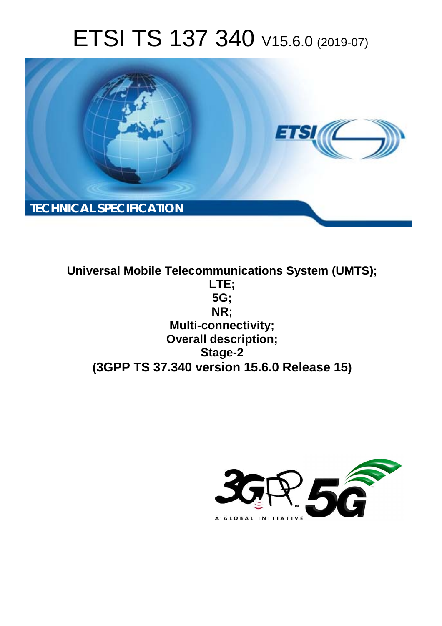# ETSI TS 137 340 V15.6.0 (2019-07)



**Universal Mobile Telecommunications System (UMTS); LTE; 5G; NR; Multi-connectivity; Overall description; Stage-2 (3GPP TS 37.340 version 15.6.0 Release 15)**

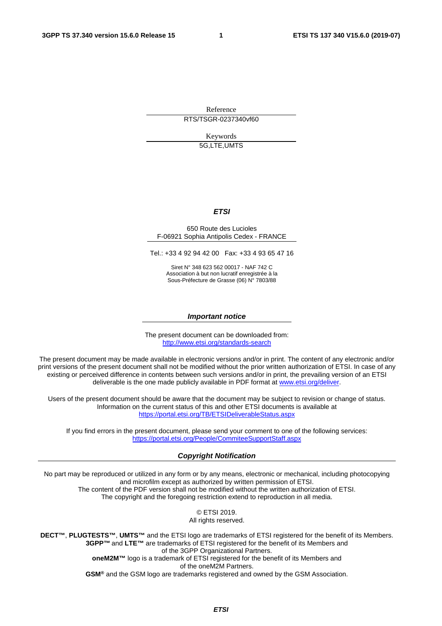Reference

RTS/TSGR-0237340vf60

Keywords 5G,LTE,UMTS

#### *ETSI*

#### 650 Route des Lucioles F-06921 Sophia Antipolis Cedex - FRANCE

Tel.: +33 4 92 94 42 00 Fax: +33 4 93 65 47 16

Siret N° 348 623 562 00017 - NAF 742 C Association à but non lucratif enregistrée à la Sous-Préfecture de Grasse (06) N° 7803/88

#### *Important notice*

The present document can be downloaded from: <http://www.etsi.org/standards-search>

The present document may be made available in electronic versions and/or in print. The content of any electronic and/or print versions of the present document shall not be modified without the prior written authorization of ETSI. In case of any existing or perceived difference in contents between such versions and/or in print, the prevailing version of an ETSI deliverable is the one made publicly available in PDF format at [www.etsi.org/deliver](http://www.etsi.org/deliver).

Users of the present document should be aware that the document may be subject to revision or change of status. Information on the current status of this and other ETSI documents is available at <https://portal.etsi.org/TB/ETSIDeliverableStatus.aspx>

If you find errors in the present document, please send your comment to one of the following services: <https://portal.etsi.org/People/CommiteeSupportStaff.aspx>

#### *Copyright Notification*

No part may be reproduced or utilized in any form or by any means, electronic or mechanical, including photocopying and microfilm except as authorized by written permission of ETSI. The content of the PDF version shall not be modified without the written authorization of ETSI. The copyright and the foregoing restriction extend to reproduction in all media.

> © ETSI 2019. All rights reserved.

**DECT™**, **PLUGTESTS™**, **UMTS™** and the ETSI logo are trademarks of ETSI registered for the benefit of its Members. **3GPP™** and **LTE™** are trademarks of ETSI registered for the benefit of its Members and of the 3GPP Organizational Partners. **oneM2M™** logo is a trademark of ETSI registered for the benefit of its Members and of the oneM2M Partners. **GSM®** and the GSM logo are trademarks registered and owned by the GSM Association.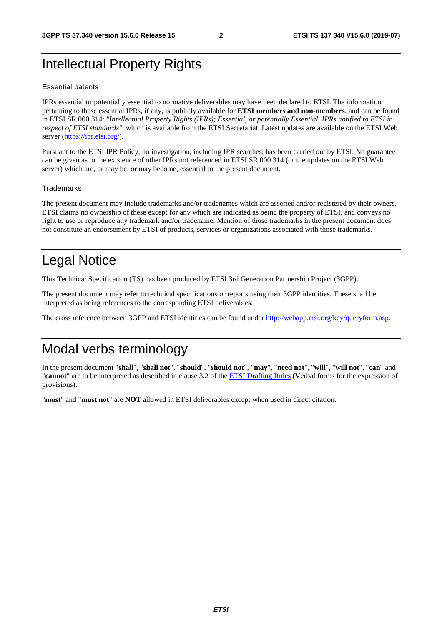# Intellectual Property Rights

#### Essential patents

IPRs essential or potentially essential to normative deliverables may have been declared to ETSI. The information pertaining to these essential IPRs, if any, is publicly available for **ETSI members and non-members**, and can be found in ETSI SR 000 314: *"Intellectual Property Rights (IPRs); Essential, or potentially Essential, IPRs notified to ETSI in respect of ETSI standards"*, which is available from the ETSI Secretariat. Latest updates are available on the ETSI Web server ([https://ipr.etsi.org/\)](https://ipr.etsi.org/).

Pursuant to the ETSI IPR Policy, no investigation, including IPR searches, has been carried out by ETSI. No guarantee can be given as to the existence of other IPRs not referenced in ETSI SR 000 314 (or the updates on the ETSI Web server) which are, or may be, or may become, essential to the present document.

#### **Trademarks**

The present document may include trademarks and/or tradenames which are asserted and/or registered by their owners. ETSI claims no ownership of these except for any which are indicated as being the property of ETSI, and conveys no right to use or reproduce any trademark and/or tradename. Mention of those trademarks in the present document does not constitute an endorsement by ETSI of products, services or organizations associated with those trademarks.

# Legal Notice

This Technical Specification (TS) has been produced by ETSI 3rd Generation Partnership Project (3GPP).

The present document may refer to technical specifications or reports using their 3GPP identities. These shall be interpreted as being references to the corresponding ETSI deliverables.

The cross reference between 3GPP and ETSI identities can be found under<http://webapp.etsi.org/key/queryform.asp>.

# Modal verbs terminology

In the present document "**shall**", "**shall not**", "**should**", "**should not**", "**may**", "**need not**", "**will**", "**will not**", "**can**" and "**cannot**" are to be interpreted as described in clause 3.2 of the [ETSI Drafting Rules](https://portal.etsi.org/Services/editHelp!/Howtostart/ETSIDraftingRules.aspx) (Verbal forms for the expression of provisions).

"**must**" and "**must not**" are **NOT** allowed in ETSI deliverables except when used in direct citation.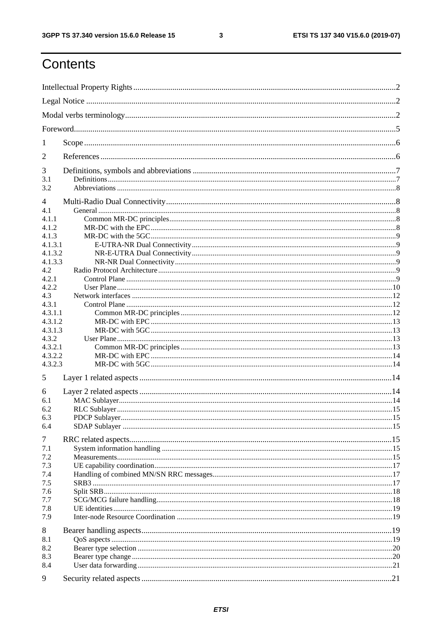$\mathbf{3}$ 

# Contents

| 1            |  |  |  |  |  |  |  |
|--------------|--|--|--|--|--|--|--|
| 2            |  |  |  |  |  |  |  |
| 3            |  |  |  |  |  |  |  |
| 3.1<br>3.2   |  |  |  |  |  |  |  |
| 4            |  |  |  |  |  |  |  |
| 4.1          |  |  |  |  |  |  |  |
| 4.1.1        |  |  |  |  |  |  |  |
| 4.1.2        |  |  |  |  |  |  |  |
| 4.1.3        |  |  |  |  |  |  |  |
| 4.1.3.1      |  |  |  |  |  |  |  |
| 4.1.3.2      |  |  |  |  |  |  |  |
| 4.1.3.3      |  |  |  |  |  |  |  |
| 4.2<br>4.2.1 |  |  |  |  |  |  |  |
| 4.2.2        |  |  |  |  |  |  |  |
| 4.3          |  |  |  |  |  |  |  |
| 4.3.1        |  |  |  |  |  |  |  |
| 4.3.1.1      |  |  |  |  |  |  |  |
| 4.3.1.2      |  |  |  |  |  |  |  |
| 4.3.1.3      |  |  |  |  |  |  |  |
| 4.3.2        |  |  |  |  |  |  |  |
| 4.3.2.1      |  |  |  |  |  |  |  |
| 4.3.2.2      |  |  |  |  |  |  |  |
| 4.3.2.3      |  |  |  |  |  |  |  |
| 5            |  |  |  |  |  |  |  |
| 6            |  |  |  |  |  |  |  |
| 6.1          |  |  |  |  |  |  |  |
| 6.2          |  |  |  |  |  |  |  |
| 6.3          |  |  |  |  |  |  |  |
| 6.4          |  |  |  |  |  |  |  |
| 7            |  |  |  |  |  |  |  |
| 7.1          |  |  |  |  |  |  |  |
| 7.2<br>7.3   |  |  |  |  |  |  |  |
| 7.4          |  |  |  |  |  |  |  |
| 7.5          |  |  |  |  |  |  |  |
| 7.6          |  |  |  |  |  |  |  |
| 7.7          |  |  |  |  |  |  |  |
| 7.8          |  |  |  |  |  |  |  |
| 7.9          |  |  |  |  |  |  |  |
| 8            |  |  |  |  |  |  |  |
| 8.1          |  |  |  |  |  |  |  |
| 8.2          |  |  |  |  |  |  |  |
| 8.3          |  |  |  |  |  |  |  |
| 8.4          |  |  |  |  |  |  |  |
| 9            |  |  |  |  |  |  |  |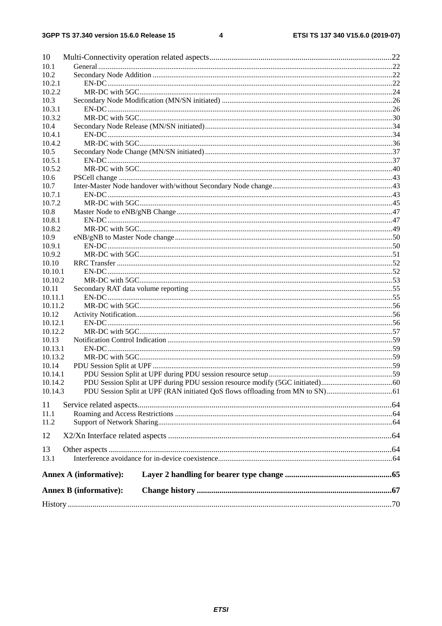#### $\overline{\mathbf{4}}$

| 10      |                               |  |
|---------|-------------------------------|--|
| 10.1    |                               |  |
| 10.2    |                               |  |
| 10.2.1  |                               |  |
| 10.2.2  |                               |  |
| 10.3    |                               |  |
| 10.3.1  |                               |  |
| 10.3.2  |                               |  |
| 10.4    |                               |  |
| 10.4.1  |                               |  |
| 10.4.2  |                               |  |
| 10.5    |                               |  |
| 10.5.1  |                               |  |
| 10.5.2  |                               |  |
| 10.6    |                               |  |
| 10.7    |                               |  |
| 10.7.1  |                               |  |
| 10.7.2  |                               |  |
| 10.8    |                               |  |
| 10.8.1  |                               |  |
| 10.8.2  |                               |  |
|         |                               |  |
| 10.9    |                               |  |
| 10.9.1  |                               |  |
| 10.9.2  |                               |  |
| 10.10   |                               |  |
| 10.10.1 |                               |  |
| 10.10.2 |                               |  |
| 10.11   |                               |  |
| 10.11.1 |                               |  |
| 10.11.2 |                               |  |
| 10.12   |                               |  |
| 10.12.1 |                               |  |
| 10.12.2 |                               |  |
| 10.13   |                               |  |
| 10.13.1 |                               |  |
| 10.13.2 |                               |  |
| 10.14   |                               |  |
| 10.14.1 |                               |  |
| 10.14.2 |                               |  |
| 10.14.3 |                               |  |
| 11      |                               |  |
| 11.1    |                               |  |
| 11.2    |                               |  |
|         |                               |  |
| 12      |                               |  |
|         |                               |  |
| 13      |                               |  |
| 13.1    |                               |  |
|         | <b>Annex A (informative):</b> |  |
|         |                               |  |
|         | <b>Annex B</b> (informative): |  |
|         |                               |  |
|         |                               |  |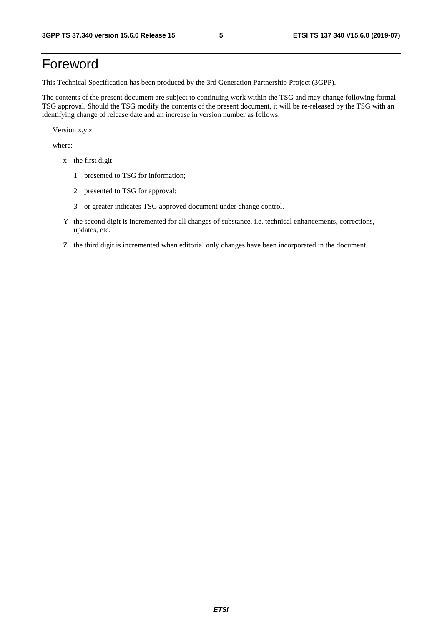# Foreword

This Technical Specification has been produced by the 3rd Generation Partnership Project (3GPP).

The contents of the present document are subject to continuing work within the TSG and may change following formal TSG approval. Should the TSG modify the contents of the present document, it will be re-released by the TSG with an identifying change of release date and an increase in version number as follows:

Version x.y.z

where:

- x the first digit:
	- 1 presented to TSG for information;
	- 2 presented to TSG for approval;
	- 3 or greater indicates TSG approved document under change control.
- Y the second digit is incremented for all changes of substance, i.e. technical enhancements, corrections, updates, etc.
- Z the third digit is incremented when editorial only changes have been incorporated in the document.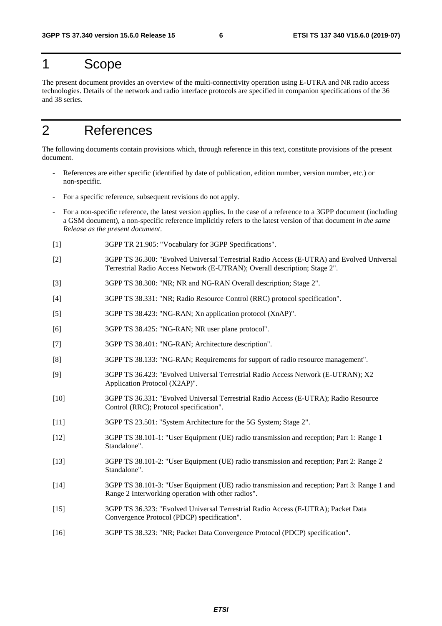# 1 Scope

The present document provides an overview of the multi-connectivity operation using E-UTRA and NR radio access technologies. Details of the network and radio interface protocols are specified in companion specifications of the 36 and 38 series.

# 2 References

The following documents contain provisions which, through reference in this text, constitute provisions of the present document.

- References are either specific (identified by date of publication, edition number, version number, etc.) or non-specific.
- For a specific reference, subsequent revisions do not apply.
- For a non-specific reference, the latest version applies. In the case of a reference to a 3GPP document (including a GSM document), a non-specific reference implicitly refers to the latest version of that document *in the same Release as the present document*.
- [1] 3GPP TR 21.905: "Vocabulary for 3GPP Specifications".
- [2] 3GPP TS 36.300: "Evolved Universal Terrestrial Radio Access (E-UTRA) and Evolved Universal Terrestrial Radio Access Network (E-UTRAN); Overall description; Stage 2".
- [3] 3GPP TS 38.300: "NR; NR and NG-RAN Overall description; Stage 2".
- [4] 3GPP TS 38.331: "NR; Radio Resource Control (RRC) protocol specification".
- [5] 3GPP TS 38.423: "NG-RAN; Xn application protocol (XnAP)".
- [6] 3GPP TS 38.425: "NG-RAN; NR user plane protocol".
- [7] 3GPP TS 38.401: "NG-RAN; Architecture description".
- [8] 3GPP TS 38.133: "NG-RAN; Requirements for support of radio resource management".
- [9] 3GPP TS 36.423: "Evolved Universal Terrestrial Radio Access Network (E-UTRAN); X2 Application Protocol (X2AP)".
- [10] 3GPP TS 36.331: "Evolved Universal Terrestrial Radio Access (E-UTRA); Radio Resource Control (RRC); Protocol specification".
- [11] 3GPP TS 23.501: "System Architecture for the 5G System; Stage 2".
- [12] 3GPP TS 38.101-1: "User Equipment (UE) radio transmission and reception; Part 1: Range 1 Standalone".
- [13] 3GPP TS 38.101-2: "User Equipment (UE) radio transmission and reception; Part 2: Range 2 Standalone".
- [14] 3GPP TS 38.101-3: "User Equipment (UE) radio transmission and reception; Part 3: Range 1 and Range 2 Interworking operation with other radios".
- [15] 3GPP TS 36.323: "Evolved Universal Terrestrial Radio Access (E-UTRA); Packet Data Convergence Protocol (PDCP) specification".
- [16] 3GPP TS 38.323: "NR; Packet Data Convergence Protocol (PDCP) specification".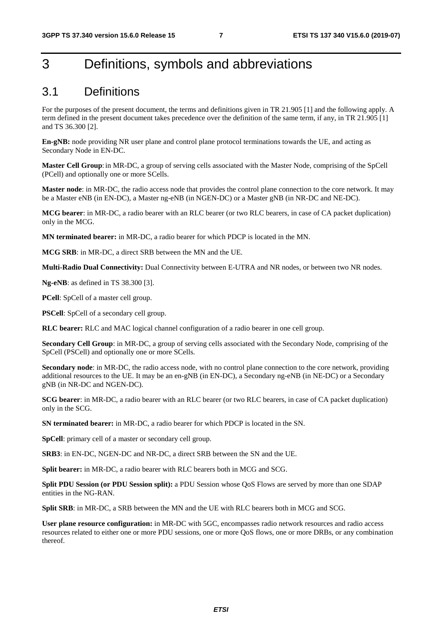# 3 Definitions, symbols and abbreviations

### 3.1 Definitions

For the purposes of the present document, the terms and definitions given in TR 21.905 [1] and the following apply. A term defined in the present document takes precedence over the definition of the same term, if any, in TR 21.905 [1] and TS 36.300 [2].

**En-gNB:** node providing NR user plane and control plane protocol terminations towards the UE, and acting as Secondary Node in EN-DC.

**Master Cell Group**: in MR-DC, a group of serving cells associated with the Master Node, comprising of the SpCell (PCell) and optionally one or more SCells.

**Master node**: in MR-DC, the radio access node that provides the control plane connection to the core network. It may be a Master eNB (in EN-DC), a Master ng-eNB (in NGEN-DC) or a Master gNB (in NR-DC and NE-DC).

**MCG bearer**: in MR-DC, a radio bearer with an RLC bearer (or two RLC bearers, in case of CA packet duplication) only in the MCG.

**MN terminated bearer:** in MR-DC, a radio bearer for which PDCP is located in the MN.

**MCG SRB**: in MR-DC, a direct SRB between the MN and the UE.

**Multi-Radio Dual Connectivity:** Dual Connectivity between E-UTRA and NR nodes, or between two NR nodes.

**Ng-eNB**: as defined in TS 38.300 [3].

**PCell**: SpCell of a master cell group.

**PSCell**: SpCell of a secondary cell group.

**RLC bearer:** RLC and MAC logical channel configuration of a radio bearer in one cell group.

**Secondary Cell Group**: in MR-DC, a group of serving cells associated with the Secondary Node, comprising of the SpCell (PSCell) and optionally one or more SCells.

**Secondary node**: in MR-DC, the radio access node, with no control plane connection to the core network, providing additional resources to the UE. It may be an en-gNB (in EN-DC), a Secondary ng-eNB (in NE-DC) or a Secondary gNB (in NR-DC and NGEN-DC).

**SCG bearer**: in MR-DC, a radio bearer with an RLC bearer (or two RLC bearers, in case of CA packet duplication) only in the SCG.

**SN terminated bearer:** in MR-DC, a radio bearer for which PDCP is located in the SN.

**SpCell**: primary cell of a master or secondary cell group.

**SRB3**: in EN-DC, NGEN-DC and NR-DC, a direct SRB between the SN and the UE.

**Split bearer:** in MR-DC, a radio bearer with RLC bearers both in MCG and SCG.

**Split PDU Session (or PDU Session split):** a PDU Session whose QoS Flows are served by more than one SDAP entities in the NG-RAN.

**Split SRB**: in MR-DC, a SRB between the MN and the UE with RLC bearers both in MCG and SCG.

**User plane resource configuration:** in MR-DC with 5GC, encompasses radio network resources and radio access resources related to either one or more PDU sessions, one or more QoS flows, one or more DRBs, or any combination thereof.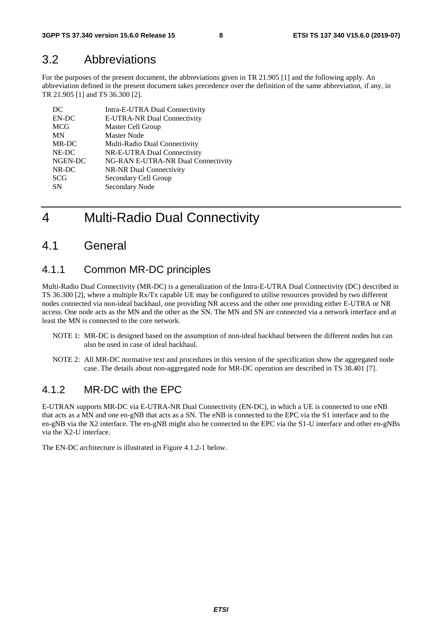### 3.2 Abbreviations

For the purposes of the present document, the abbreviations given in TR 21.905 [1] and the following apply. An abbreviation defined in the present document takes precedence over the definition of the same abbreviation, if any, in TR 21.905 [1] and TS 36.300 [2].

| DC         | Intra-E-UTRA Dual Connectivity     |
|------------|------------------------------------|
| EN-DC      | E-UTRA-NR Dual Connectivity        |
| <b>MCG</b> | Master Cell Group                  |
| MN         | <b>Master Node</b>                 |
| MR-DC      | Multi-Radio Dual Connectivity      |
| NE-DC      | NR-E-UTRA Dual Connectivity        |
| NGEN-DC    | NG-RAN E-UTRA-NR Dual Connectivity |
| NR-DC      | NR-NR Dual Connectivity            |
| <b>SCG</b> | Secondary Cell Group               |
| <b>SN</b>  | Secondary Node                     |

# 4 Multi-Radio Dual Connectivity

### 4.1 General

### 4.1.1 Common MR-DC principles

Multi-Radio Dual Connectivity (MR-DC) is a generalization of the Intra-E-UTRA Dual Connectivity (DC) described in TS 36.300 [2], where a multiple Rx/Tx capable UE may be configured to utilise resources provided by two different nodes connected via non-ideal backhaul, one providing NR access and the other one providing either E-UTRA or NR access. One node acts as the MN and the other as the SN. The MN and SN are connected via a network interface and at least the MN is connected to the core network.

- NOTE 1: MR-DC is designed based on the assumption of non-ideal backhaul between the different nodes but can also be used in case of ideal backhaul.
- NOTE 2: All MR-DC normative text and procedures in this version of the specification show the aggregated node case. The details about non-aggregated node for MR-DC operation are described in TS 38.401 [7].

### 4.1.2 MR-DC with the FPC

E-UTRAN supports MR-DC via E-UTRA-NR Dual Connectivity (EN-DC), in which a UE is connected to one eNB that acts as a MN and one en-gNB that acts as a SN. The eNB is connected to the EPC via the S1 interface and to the en-gNB via the X2 interface. The en-gNB might also be connected to the EPC via the S1-U interface and other en-gNBs via the X2-U interface.

The EN-DC architecture is illustrated in Figure 4.1.2-1 below.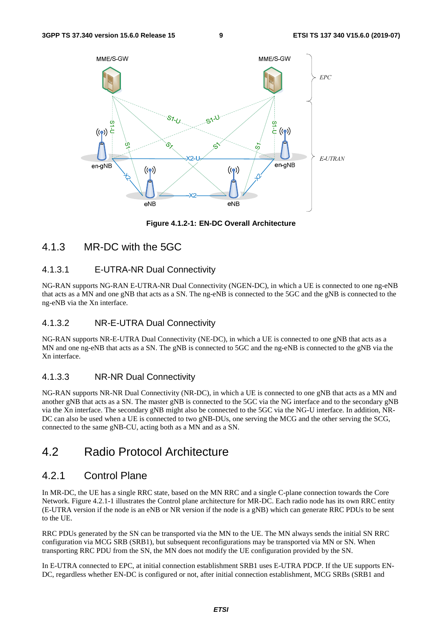

**Figure 4.1.2-1: EN-DC Overall Architecture** 

### 4.1.3 MR-DC with the 5GC

### 4.1.3.1 E-UTRA-NR Dual Connectivity

NG-RAN supports NG-RAN E-UTRA-NR Dual Connectivity (NGEN-DC), in which a UE is connected to one ng-eNB that acts as a MN and one gNB that acts as a SN. The ng-eNB is connected to the 5GC and the gNB is connected to the ng-eNB via the Xn interface.

### 4.1.3.2 NR-E-UTRA Dual Connectivity

NG-RAN supports NR-E-UTRA Dual Connectivity (NE-DC), in which a UE is connected to one gNB that acts as a MN and one ng-eNB that acts as a SN. The gNB is connected to 5GC and the ng-eNB is connected to the gNB via the Xn interface.

### 4.1.3.3 NR-NR Dual Connectivity

NG-RAN supports NR-NR Dual Connectivity (NR-DC), in which a UE is connected to one gNB that acts as a MN and another gNB that acts as a SN. The master gNB is connected to the 5GC via the NG interface and to the secondary gNB via the Xn interface. The secondary gNB might also be connected to the 5GC via the NG-U interface. In addition, NR-DC can also be used when a UE is connected to two gNB-DUs, one serving the MCG and the other serving the SCG, connected to the same gNB-CU, acting both as a MN and as a SN.

### 4.2 Radio Protocol Architecture

### 4.2.1 Control Plane

In MR-DC, the UE has a single RRC state, based on the MN RRC and a single C-plane connection towards the Core Network. Figure 4.2.1-1 illustrates the Control plane architecture for MR-DC. Each radio node has its own RRC entity (E-UTRA version if the node is an eNB or NR version if the node is a gNB) which can generate RRC PDUs to be sent to the UE.

RRC PDUs generated by the SN can be transported via the MN to the UE. The MN always sends the initial SN RRC configuration via MCG SRB (SRB1), but subsequent reconfigurations may be transported via MN or SN. When transporting RRC PDU from the SN, the MN does not modify the UE configuration provided by the SN.

In E-UTRA connected to EPC, at initial connection establishment SRB1 uses E-UTRA PDCP. If the UE supports EN-DC, regardless whether EN-DC is configured or not, after initial connection establishment, MCG SRBs (SRB1 and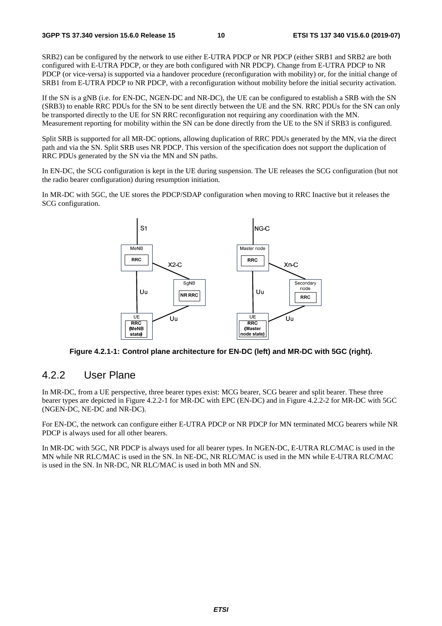SRB2) can be configured by the network to use either E-UTRA PDCP or NR PDCP (either SRB1 and SRB2 are both configured with E-UTRA PDCP, or they are both configured with NR PDCP). Change from E-UTRA PDCP to NR PDCP (or vice-versa) is supported via a handover procedure (reconfiguration with mobility) or, for the initial change of SRB1 from E-UTRA PDCP to NR PDCP, with a reconfiguration without mobility before the initial security activation.

If the SN is a gNB (i.e. for EN-DC, NGEN-DC and NR-DC), the UE can be configured to establish a SRB with the SN (SRB3) to enable RRC PDUs for the SN to be sent directly between the UE and the SN. RRC PDUs for the SN can only be transported directly to the UE for SN RRC reconfiguration not requiring any coordination with the MN. Measurement reporting for mobility within the SN can be done directly from the UE to the SN if SRB3 is configured.

Split SRB is supported for all MR-DC options, allowing duplication of RRC PDUs generated by the MN, via the direct path and via the SN. Split SRB uses NR PDCP. This version of the specification does not support the duplication of RRC PDUs generated by the SN via the MN and SN paths.

In EN-DC, the SCG configuration is kept in the UE during suspension. The UE releases the SCG configuration (but not the radio bearer configuration) during resumption initiation.

In MR-DC with 5GC, the UE stores the PDCP/SDAP configuration when moving to RRC Inactive but it releases the SCG configuration.



**Figure 4.2.1-1: Control plane architecture for EN-DC (left) and MR-DC with 5GC (right).** 

### 4.2.2 User Plane

In MR-DC, from a UE perspective, three bearer types exist: MCG bearer, SCG bearer and split bearer. These three bearer types are depicted in Figure 4.2.2-1 for MR-DC with EPC (EN-DC) and in Figure 4.2.2-2 for MR-DC with 5GC (NGEN-DC, NE-DC and NR-DC).

For EN-DC, the network can configure either E-UTRA PDCP or NR PDCP for MN terminated MCG bearers while NR PDCP is always used for all other bearers.

In MR-DC with 5GC, NR PDCP is always used for all bearer types. In NGEN-DC, E-UTRA RLC/MAC is used in the MN while NR RLC/MAC is used in the SN. In NE-DC, NR RLC/MAC is used in the MN while E-UTRA RLC/MAC is used in the SN. In NR-DC, NR RLC/MAC is used in both MN and SN.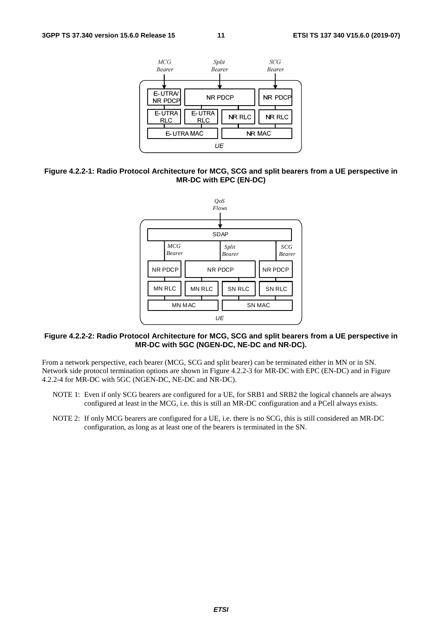

#### **Figure 4.2.2-1: Radio Protocol Architecture for MCG, SCG and split bearers from a UE perspective in MR-DC with EPC (EN-DC)**



#### **Figure 4.2.2-2: Radio Protocol Architecture for MCG, SCG and split bearers from a UE perspective in MR-DC with 5GC (NGEN-DC, NE-DC and NR-DC).**

From a network perspective, each bearer (MCG, SCG and split bearer) can be terminated either in MN or in SN. Network side protocol termination options are shown in Figure 4.2.2-3 for MR-DC with EPC (EN-DC) and in Figure 4.2.2-4 for MR-DC with 5GC (NGEN-DC, NE-DC and NR-DC).

- NOTE 1: Even if only SCG bearers are configured for a UE, for SRB1 and SRB2 the logical channels are always configured at least in the MCG, i.e. this is still an MR-DC configuration and a PCell always exists.
- NOTE 2: If only MCG bearers are configured for a UE, i.e. there is no SCG, this is still considered an MR-DC configuration, as long as at least one of the bearers is terminated in the SN.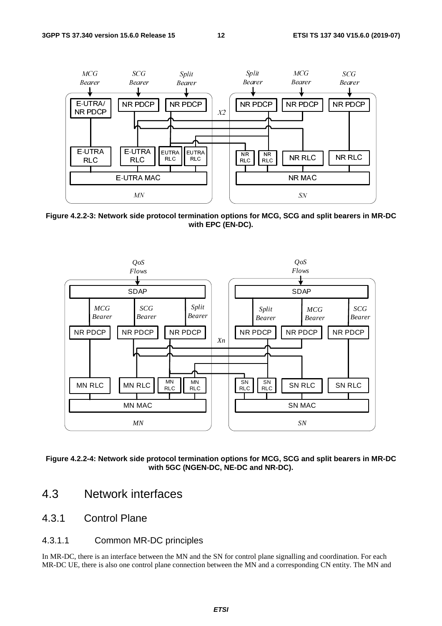

**Figure 4.2.2-3: Network side protocol termination options for MCG, SCG and split bearers in MR-DC with EPC (EN-DC).** 



**Figure 4.2.2-4: Network side protocol termination options for MCG, SCG and split bearers in MR-DC with 5GC (NGEN-DC, NE-DC and NR-DC).** 

- 4.3 Network interfaces
- 4.3.1 Control Plane
- 4.3.1.1 Common MR-DC principles

In MR-DC, there is an interface between the MN and the SN for control plane signalling and coordination. For each MR-DC UE, there is also one control plane connection between the MN and a corresponding CN entity. The MN and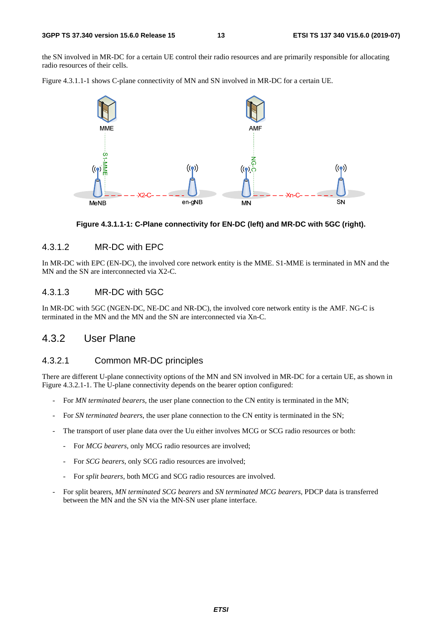the SN involved in MR-DC for a certain UE control their radio resources and are primarily responsible for allocating radio resources of their cells.

Figure 4.3.1.1-1 shows C-plane connectivity of MN and SN involved in MR-DC for a certain UE.



#### **Figure 4.3.1.1-1: C-Plane connectivity for EN-DC (left) and MR-DC with 5GC (right).**

#### 4.3.1.2 MR-DC with EPC

In MR-DC with EPC (EN-DC), the involved core network entity is the MME. S1-MME is terminated in MN and the MN and the SN are interconnected via X2-C.

### 4.3.1.3 MR-DC with 5GC

In MR-DC with 5GC (NGEN-DC, NE-DC and NR-DC), the involved core network entity is the AMF. NG-C is terminated in the MN and the MN and the SN are interconnected via Xn-C.

### 4.3.2 User Plane

#### 4.3.2.1 Common MR-DC principles

There are different U-plane connectivity options of the MN and SN involved in MR-DC for a certain UE, as shown in Figure 4.3.2.1-1. The U-plane connectivity depends on the bearer option configured:

- For *MN terminated bearers*, the user plane connection to the CN entity is terminated in the MN;
- For *SN terminated bearers*, the user plane connection to the CN entity is terminated in the SN;
- The transport of user plane data over the Uu either involves MCG or SCG radio resources or both:
	- For *MCG bearers*, only MCG radio resources are involved;
	- For *SCG bearers*, only SCG radio resources are involved;
	- For *split bearers*, both MCG and SCG radio resources are involved.
- For split bearers, *MN terminated SCG bearers* and *SN terminated MCG bearers*, PDCP data is transferred between the MN and the SN via the MN-SN user plane interface.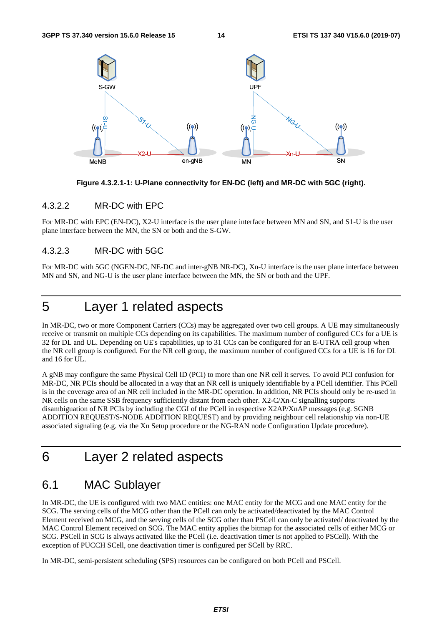

**Figure 4.3.2.1-1: U-Plane connectivity for EN-DC (left) and MR-DC with 5GC (right).** 

#### 4.3.2.2 MR-DC with EPC

For MR-DC with EPC (EN-DC), X2-U interface is the user plane interface between MN and SN, and S1-U is the user plane interface between the MN, the SN or both and the S-GW.

### 4.3.2.3 MR-DC with 5GC

For MR-DC with 5GC (NGEN-DC, NE-DC and inter-gNB NR-DC), Xn-U interface is the user plane interface between MN and SN, and NG-U is the user plane interface between the MN, the SN or both and the UPF.

# 5 Layer 1 related aspects

In MR-DC, two or more Component Carriers (CCs) may be aggregated over two cell groups. A UE may simultaneously receive or transmit on multiple CCs depending on its capabilities. The maximum number of configured CCs for a UE is 32 for DL and UL. Depending on UE's capabilities, up to 31 CCs can be configured for an E-UTRA cell group when the NR cell group is configured. For the NR cell group, the maximum number of configured CCs for a UE is 16 for DL and 16 for UL.

A gNB may configure the same Physical Cell ID (PCI) to more than one NR cell it serves. To avoid PCI confusion for MR-DC, NR PCIs should be allocated in a way that an NR cell is uniquely identifiable by a PCell identifier. This PCell is in the coverage area of an NR cell included in the MR-DC operation. In addition, NR PCIs should only be re-used in NR cells on the same SSB frequency sufficiently distant from each other. X2-C/Xn-C signalling supports disambiguation of NR PCIs by including the CGI of the PCell in respective X2AP/XnAP messages (e.g. SGNB ADDITION REQUEST/S-NODE ADDITION REQUEST) and by providing neighbour cell relationship via non-UE associated signaling (e.g. via the Xn Setup procedure or the NG-RAN node Configuration Update procedure).

# 6 Layer 2 related aspects

### 6.1 MAC Sublayer

In MR-DC, the UE is configured with two MAC entities: one MAC entity for the MCG and one MAC entity for the SCG. The serving cells of the MCG other than the PCell can only be activated/deactivated by the MAC Control Element received on MCG, and the serving cells of the SCG other than PSCell can only be activated/ deactivated by the MAC Control Element received on SCG. The MAC entity applies the bitmap for the associated cells of either MCG or SCG. PSCell in SCG is always activated like the PCell (i.e. deactivation timer is not applied to PSCell). With the exception of PUCCH SCell, one deactivation timer is configured per SCell by RRC.

In MR-DC, semi-persistent scheduling (SPS) resources can be configured on both PCell and PSCell.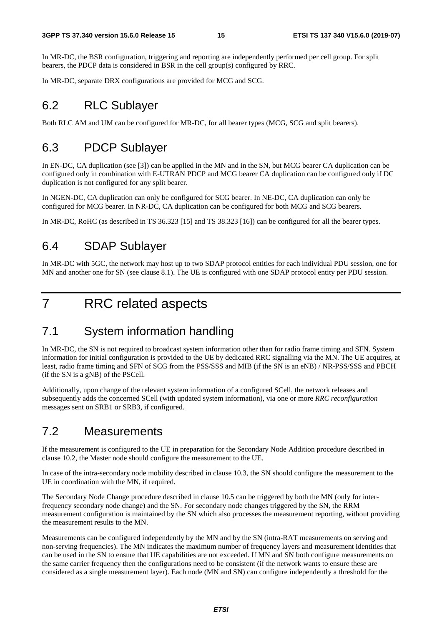In MR-DC, the BSR configuration, triggering and reporting are independently performed per cell group. For split bearers, the PDCP data is considered in BSR in the cell group(s) configured by RRC.

In MR-DC, separate DRX configurations are provided for MCG and SCG.

# 6.2 RLC Sublayer

Both RLC AM and UM can be configured for MR-DC, for all bearer types (MCG, SCG and split bearers).

## 6.3 PDCP Sublayer

In EN-DC, CA duplication (see [3]) can be applied in the MN and in the SN, but MCG bearer CA duplication can be configured only in combination with E-UTRAN PDCP and MCG bearer CA duplication can be configured only if DC duplication is not configured for any split bearer.

In NGEN-DC, CA duplication can only be configured for SCG bearer. In NE-DC, CA duplication can only be configured for MCG bearer. In NR-DC, CA duplication can be configured for both MCG and SCG bearers.

In MR-DC, RoHC (as described in TS 36.323 [15] and TS 38.323 [16]) can be configured for all the bearer types.

## 6.4 SDAP Sublayer

In MR-DC with 5GC, the network may host up to two SDAP protocol entities for each individual PDU session, one for MN and another one for SN (see clause 8.1). The UE is configured with one SDAP protocol entity per PDU session.

# 7 RRC related aspects

# 7.1 System information handling

In MR-DC, the SN is not required to broadcast system information other than for radio frame timing and SFN. System information for initial configuration is provided to the UE by dedicated RRC signalling via the MN. The UE acquires, at least, radio frame timing and SFN of SCG from the PSS/SSS and MIB (if the SN is an eNB) / NR-PSS/SSS and PBCH (if the SN is a gNB) of the PSCell.

Additionally, upon change of the relevant system information of a configured SCell, the network releases and subsequently adds the concerned SCell (with updated system information), via one or more *RRC reconfiguration* messages sent on SRB1 or SRB3, if configured.

### 7.2 Measurements

If the measurement is configured to the UE in preparation for the Secondary Node Addition procedure described in clause 10.2, the Master node should configure the measurement to the UE.

In case of the intra-secondary node mobility described in clause 10.3, the SN should configure the measurement to the UE in coordination with the MN, if required.

The Secondary Node Change procedure described in clause 10.5 can be triggered by both the MN (only for interfrequency secondary node change) and the SN. For secondary node changes triggered by the SN, the RRM measurement configuration is maintained by the SN which also processes the measurement reporting, without providing the measurement results to the MN.

Measurements can be configured independently by the MN and by the SN (intra-RAT measurements on serving and non-serving frequencies). The MN indicates the maximum number of frequency layers and measurement identities that can be used in the SN to ensure that UE capabilities are not exceeded. If MN and SN both configure measurements on the same carrier frequency then the configurations need to be consistent (if the network wants to ensure these are considered as a single measurement layer). Each node (MN and SN) can configure independently a threshold for the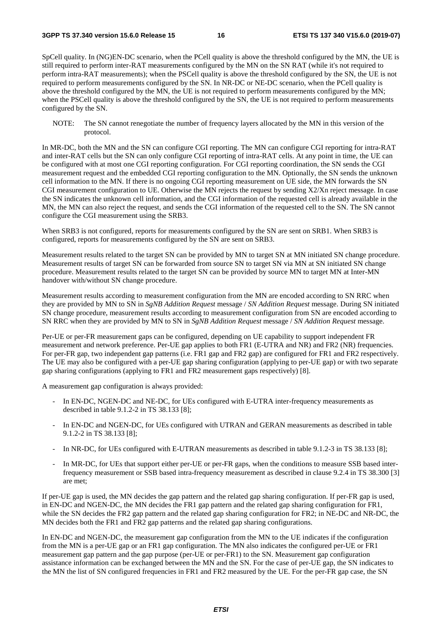SpCell quality. In (NG)EN-DC scenario, when the PCell quality is above the threshold configured by the MN, the UE is still required to perform inter-RAT measurements configured by the MN on the SN RAT (while it's not required to perform intra-RAT measurements); when the PSCell quality is above the threshold configured by the SN, the UE is not required to perform measurements configured by the SN. In NR-DC or NE-DC scenario, when the PCell quality is above the threshold configured by the MN, the UE is not required to perform measurements configured by the MN; when the PSCell quality is above the threshold configured by the SN, the UE is not required to perform measurements configured by the SN.

NOTE: The SN cannot renegotiate the number of frequency layers allocated by the MN in this version of the protocol.

In MR-DC, both the MN and the SN can configure CGI reporting. The MN can configure CGI reporting for intra-RAT and inter-RAT cells but the SN can only configure CGI reporting of intra-RAT cells. At any point in time, the UE can be configured with at most one CGI reporting configuration. For CGI reporting coordination, the SN sends the CGI measurement request and the embedded CGI reporting configuration to the MN. Optionally, the SN sends the unknown cell information to the MN. If there is no ongoing CGI reporting measurement on UE side, the MN forwards the SN CGI measurement configuration to UE. Otherwise the MN rejects the request by sending  $X2/Xn$  reject message. In case the SN indicates the unknown cell information, and the CGI information of the requested cell is already available in the MN, the MN can also reject the request, and sends the CGI information of the requested cell to the SN. The SN cannot configure the CGI measurement using the SRB3.

When SRB3 is not configured, reports for measurements configured by the SN are sent on SRB1. When SRB3 is configured, reports for measurements configured by the SN are sent on SRB3.

Measurement results related to the target SN can be provided by MN to target SN at MN initiated SN change procedure. Measurement results of target SN can be forwarded from source SN to target SN via MN at SN initiated SN change procedure. Measurement results related to the target SN can be provided by source MN to target MN at Inter-MN handover with/without SN change procedure.

Measurement results according to measurement configuration from the MN are encoded according to SN RRC when they are provided by MN to SN in *SgNB Addition Request* message / *SN Addition Request* message. During SN initiated SN change procedure, measurement results according to measurement configuration from SN are encoded according to SN RRC when they are provided by MN to SN in *SgNB Addition Request* message / *SN Addition Request* message.

Per-UE or per-FR measurement gaps can be configured, depending on UE capability to support independent FR measurement and network preference. Per-UE gap applies to both FR1 (E-UTRA and NR) and FR2 (NR) frequencies. For per-FR gap, two independent gap patterns (i.e. FR1 gap and FR2 gap) are configured for FR1 and FR2 respectively. The UE may also be configured with a per-UE gap sharing configuration (applying to per-UE gap) or with two separate gap sharing configurations (applying to FR1 and FR2 measurement gaps respectively) [8].

A measurement gap configuration is always provided:

- In EN-DC, NGEN-DC and NE-DC, for UEs configured with E-UTRA inter-frequency measurements as described in table 9.1.2-2 in TS 38.133 [8];
- In EN-DC and NGEN-DC, for UEs configured with UTRAN and GERAN measurements as described in table 9.1.2-2 in TS 38.133 [8];
- In NR-DC, for UEs configured with E-UTRAN measurements as described in table 9.1.2-3 in TS 38.133 [8];
- In MR-DC, for UEs that support either per-UE or per-FR gaps, when the conditions to measure SSB based interfrequency measurement or SSB based intra-frequency measurement as described in clause 9.2.4 in TS 38.300 [3] are met;

If per-UE gap is used, the MN decides the gap pattern and the related gap sharing configuration. If per-FR gap is used, in EN-DC and NGEN-DC, the MN decides the FR1 gap pattern and the related gap sharing configuration for FR1, while the SN decides the FR2 gap pattern and the related gap sharing configuration for FR2; in NE-DC and NR-DC, the MN decides both the FR1 and FR2 gap patterns and the related gap sharing configurations.

In EN-DC and NGEN-DC, the measurement gap configuration from the MN to the UE indicates if the configuration from the MN is a per-UE gap or an FR1 gap configuration. The MN also indicates the configured per-UE or FR1 measurement gap pattern and the gap purpose (per-UE or per-FR1) to the SN. Measurement gap configuration assistance information can be exchanged between the MN and the SN. For the case of per-UE gap, the SN indicates to the MN the list of SN configured frequencies in FR1 and FR2 measured by the UE. For the per-FR gap case, the SN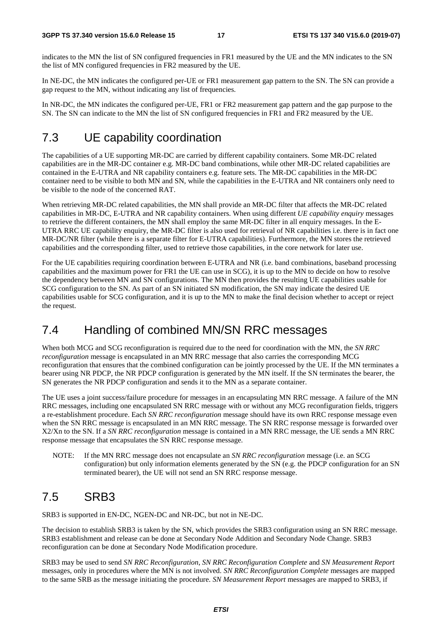indicates to the MN the list of SN configured frequencies in FR1 measured by the UE and the MN indicates to the SN the list of MN configured frequencies in FR2 measured by the UE.

In NE-DC, the MN indicates the configured per-UE or FR1 measurement gap pattern to the SN. The SN can provide a gap request to the MN, without indicating any list of frequencies.

In NR-DC, the MN indicates the configured per-UE, FR1 or FR2 measurement gap pattern and the gap purpose to the SN. The SN can indicate to the MN the list of SN configured frequencies in FR1 and FR2 measured by the UE.

# 7.3 UE capability coordination

The capabilities of a UE supporting MR-DC are carried by different capability containers. Some MR-DC related capabilities are in the MR-DC container e.g. MR-DC band combinations, while other MR-DC related capabilities are contained in the E-UTRA and NR capability containers e.g. feature sets. The MR-DC capabilities in the MR-DC container need to be visible to both MN and SN, while the capabilities in the E-UTRA and NR containers only need to be visible to the node of the concerned RAT.

When retrieving MR-DC related capabilities, the MN shall provide an MR-DC filter that affects the MR-DC related capabilities in MR-DC, E-UTRA and NR capability containers. When using different *UE capability enquiry* messages to retrieve the different containers, the MN shall employ the same MR-DC filter in all enquiry messages. In the E-UTRA RRC UE capability enquiry, the MR-DC filter is also used for retrieval of NR capabilities i.e. there is in fact one MR-DC/NR filter (while there is a separate filter for E-UTRA capabilities). Furthermore, the MN stores the retrieved capabilities and the corresponding filter, used to retrieve those capabilities, in the core network for later use.

For the UE capabilities requiring coordination between E-UTRA and NR (i.e. band combinations, baseband processing capabilities and the maximum power for FR1 the UE can use in SCG), it is up to the MN to decide on how to resolve the dependency between MN and SN configurations. The MN then provides the resulting UE capabilities usable for SCG configuration to the SN. As part of an SN initiated SN modification, the SN may indicate the desired UE capabilities usable for SCG configuration, and it is up to the MN to make the final decision whether to accept or reject the request.

## 7.4 Handling of combined MN/SN RRC messages

When both MCG and SCG reconfiguration is required due to the need for coordination with the MN, the *SN RRC reconfiguration* message is encapsulated in an MN RRC message that also carries the corresponding MCG reconfiguration that ensures that the combined configuration can be jointly processed by the UE. If the MN terminates a bearer using NR PDCP, the NR PDCP configuration is generated by the MN itself. If the SN terminates the bearer, the SN generates the NR PDCP configuration and sends it to the MN as a separate container.

The UE uses a joint success/failure procedure for messages in an encapsulating MN RRC message. A failure of the MN RRC messages, including one encapsulated SN RRC message with or without any MCG reconfiguration fields, triggers a re-establishment procedure. Each *SN RRC reconfiguration* message should have its own RRC response message even when the SN RRC message is encapsulated in an MN RRC message. The SN RRC response message is forwarded over X2/Xn to the SN. If a *SN RRC reconfiguration* message is contained in a MN RRC message, the UE sends a MN RRC response message that encapsulates the SN RRC response message.

NOTE: If the MN RRC message does not encapsulate an *SN RRC reconfiguration* message (i.e. an SCG configuration) but only information elements generated by the SN (e.g. the PDCP configuration for an SN terminated bearer), the UE will not send an SN RRC response message.

# 7.5 SRB3

SRB3 is supported in EN-DC, NGEN-DC and NR-DC, but not in NE-DC.

The decision to establish SRB3 is taken by the SN, which provides the SRB3 configuration using an SN RRC message. SRB3 establishment and release can be done at Secondary Node Addition and Secondary Node Change. SRB3 reconfiguration can be done at Secondary Node Modification procedure.

SRB3 may be used to send *SN RRC Reconfiguration*, *SN RRC Reconfiguration Complete* and *SN Measurement Report* messages, only in procedures where the MN is not involved. *SN RRC Reconfiguration Complete* messages are mapped to the same SRB as the message initiating the procedure. *SN Measurement Report* messages are mapped to SRB3, if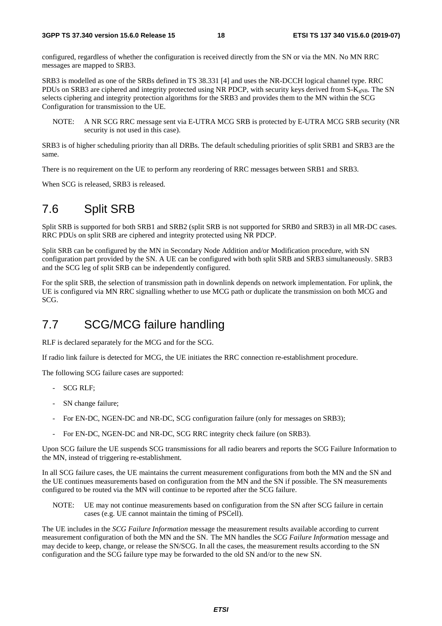configured, regardless of whether the configuration is received directly from the SN or via the MN. No MN RRC messages are mapped to SRB3.

SRB3 is modelled as one of the SRBs defined in TS 38.331 [4] and uses the NR-DCCH logical channel type. RRC PDUs on SRB3 are ciphered and integrity protected using NR PDCP, with security keys derived from  $S-K_{\text{eNB}}$ . The SN selects ciphering and integrity protection algorithms for the SRB3 and provides them to the MN within the SCG Configuration for transmission to the UE.

NOTE: A NR SCG RRC message sent via E-UTRA MCG SRB is protected by E-UTRA MCG SRB security (NR security is not used in this case).

SRB3 is of higher scheduling priority than all DRBs. The default scheduling priorities of split SRB1 and SRB3 are the same.

There is no requirement on the UE to perform any reordering of RRC messages between SRB1 and SRB3.

When SCG is released, SRB3 is released.

# 7.6 Split SRB

Split SRB is supported for both SRB1 and SRB2 (split SRB is not supported for SRB0 and SRB3) in all MR-DC cases. RRC PDUs on split SRB are ciphered and integrity protected using NR PDCP.

Split SRB can be configured by the MN in Secondary Node Addition and/or Modification procedure, with SN configuration part provided by the SN. A UE can be configured with both split SRB and SRB3 simultaneously. SRB3 and the SCG leg of split SRB can be independently configured.

For the split SRB, the selection of transmission path in downlink depends on network implementation. For uplink, the UE is configured via MN RRC signalling whether to use MCG path or duplicate the transmission on both MCG and SCG.

## 7.7 SCG/MCG failure handling

RLF is declared separately for the MCG and for the SCG.

If radio link failure is detected for MCG, the UE initiates the RRC connection re-establishment procedure.

The following SCG failure cases are supported:

- SCG RLF;
- SN change failure;
- For EN-DC, NGEN-DC and NR-DC, SCG configuration failure (only for messages on SRB3);
- For EN-DC, NGEN-DC and NR-DC, SCG RRC integrity check failure (on SRB3).

Upon SCG failure the UE suspends SCG transmissions for all radio bearers and reports the SCG Failure Information to the MN, instead of triggering re-establishment.

In all SCG failure cases, the UE maintains the current measurement configurations from both the MN and the SN and the UE continues measurements based on configuration from the MN and the SN if possible. The SN measurements configured to be routed via the MN will continue to be reported after the SCG failure.

NOTE: UE may not continue measurements based on configuration from the SN after SCG failure in certain cases (e.g. UE cannot maintain the timing of PSCell).

The UE includes in the *SCG Failure Information* message the measurement results available according to current measurement configuration of both the MN and the SN. The MN handles the *SCG Failure Information* message and may decide to keep, change, or release the SN/SCG. In all the cases, the measurement results according to the SN configuration and the SCG failure type may be forwarded to the old SN and/or to the new SN.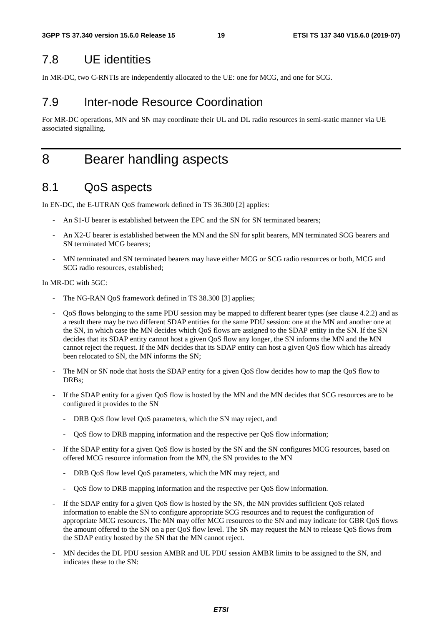# 7.8 UE identities

In MR-DC, two C-RNTIs are independently allocated to the UE: one for MCG, and one for SCG.

# 7.9 Inter-node Resource Coordination

For MR-DC operations, MN and SN may coordinate their UL and DL radio resources in semi-static manner via UE associated signalling.

# 8 Bearer handling aspects

## 8.1 QoS aspects

In EN-DC, the E-UTRAN QoS framework defined in TS 36.300 [2] applies:

- An S1-U bearer is established between the EPC and the SN for SN terminated bearers;
- An X2-U bearer is established between the MN and the SN for split bearers, MN terminated SCG bearers and SN terminated MCG bearers;
- MN terminated and SN terminated bearers may have either MCG or SCG radio resources or both, MCG and SCG radio resources, established;

In MR-DC with 5GC:

- The NG-RAN OoS framework defined in TS 38.300 [3] applies:
- QoS flows belonging to the same PDU session may be mapped to different bearer types (see clause 4.2.2) and as a result there may be two different SDAP entities for the same PDU session: one at the MN and another one at the SN, in which case the MN decides which QoS flows are assigned to the SDAP entity in the SN. If the SN decides that its SDAP entity cannot host a given QoS flow any longer, the SN informs the MN and the MN cannot reject the request. If the MN decides that its SDAP entity can host a given QoS flow which has already been relocated to SN, the MN informs the SN;
- The MN or SN node that hosts the SDAP entity for a given QoS flow decides how to map the QoS flow to DRBs;
- If the SDAP entity for a given OoS flow is hosted by the MN and the MN decides that SCG resources are to be configured it provides to the SN
	- DRB QoS flow level QoS parameters, which the SN may reject, and
	- QoS flow to DRB mapping information and the respective per QoS flow information;
- If the SDAP entity for a given QoS flow is hosted by the SN and the SN configures MCG resources, based on offered MCG resource information from the MN, the SN provides to the MN
	- DRB QoS flow level QoS parameters, which the MN may reject, and
	- QoS flow to DRB mapping information and the respective per QoS flow information.
- If the SDAP entity for a given QoS flow is hosted by the SN, the MN provides sufficient QoS related information to enable the SN to configure appropriate SCG resources and to request the configuration of appropriate MCG resources. The MN may offer MCG resources to the SN and may indicate for GBR QoS flows the amount offered to the SN on a per QoS flow level. The SN may request the MN to release QoS flows from the SDAP entity hosted by the SN that the MN cannot reject.
- MN decides the DL PDU session AMBR and UL PDU session AMBR limits to be assigned to the SN, and indicates these to the SN: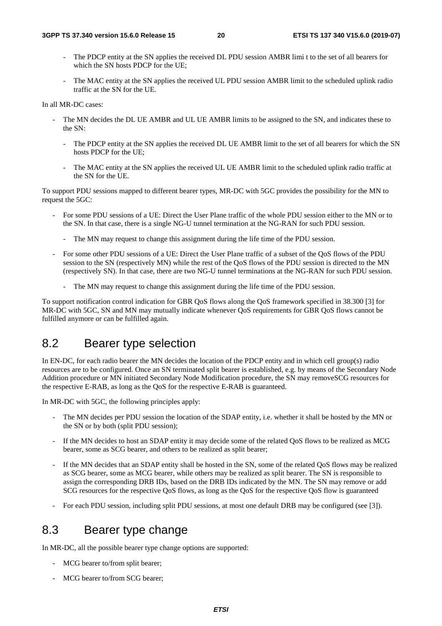- The PDCP entity at the SN applies the received DL PDU session AMBR limi t to the set of all bearers for which the SN hosts PDCP for the UE;
- The MAC entity at the SN applies the received UL PDU session AMBR limit to the scheduled uplink radio traffic at the SN for the UE.

In all MR-DC cases:

- The MN decides the DL UE AMBR and UL UE AMBR limits to be assigned to the SN, and indicates these to the SN:
	- The PDCP entity at the SN applies the received DL UE AMBR limit to the set of all bearers for which the SN hosts PDCP for the UE;
	- The MAC entity at the SN applies the received UL UE AMBR limit to the scheduled uplink radio traffic at the SN for the UE.

To support PDU sessions mapped to different bearer types, MR-DC with 5GC provides the possibility for the MN to request the 5GC:

- For some PDU sessions of a UE: Direct the User Plane traffic of the whole PDU session either to the MN or to the SN. In that case, there is a single NG-U tunnel termination at the NG-RAN for such PDU session.
	- The MN may request to change this assignment during the life time of the PDU session.
- For some other PDU sessions of a UE: Direct the User Plane traffic of a subset of the QoS flows of the PDU session to the SN (respectively MN) while the rest of the QoS flows of the PDU session is directed to the MN (respectively SN). In that case, there are two NG-U tunnel terminations at the NG-RAN for such PDU session.
	- The MN may request to change this assignment during the life time of the PDU session.

To support notification control indication for GBR QoS flows along the QoS framework specified in 38.300 [3] for MR-DC with 5GC, SN and MN may mutually indicate whenever QoS requirements for GBR QoS flows cannot be fulfilled anymore or can be fulfilled again.

### 8.2 Bearer type selection

In EN-DC, for each radio bearer the MN decides the location of the PDCP entity and in which cell group(s) radio resources are to be configured. Once an SN terminated split bearer is established, e.g. by means of the Secondary Node Addition procedure or MN initiated Secondary Node Modification procedure, the SN may removeSCG resources for the respective E-RAB, as long as the QoS for the respective E-RAB is guaranteed.

In MR-DC with 5GC, the following principles apply:

- The MN decides per PDU session the location of the SDAP entity, i.e. whether it shall be hosted by the MN or the SN or by both (split PDU session);
- If the MN decides to host an SDAP entity it may decide some of the related QoS flows to be realized as MCG bearer, some as SCG bearer, and others to be realized as split bearer;
- If the MN decides that an SDAP entity shall be hosted in the SN, some of the related QoS flows may be realized as SCG bearer, some as MCG bearer, while others may be realized as split bearer. The SN is responsible to assign the corresponding DRB IDs, based on the DRB IDs indicated by the MN. The SN may remove or add SCG resources for the respective QoS flows, as long as the QoS for the respective QoS flow is guaranteed
- For each PDU session, including split PDU sessions, at most one default DRB may be configured (see [3]).

## 8.3 Bearer type change

In MR-DC, all the possible bearer type change options are supported:

- MCG bearer to/from split bearer;
- MCG bearer to/from SCG bearer: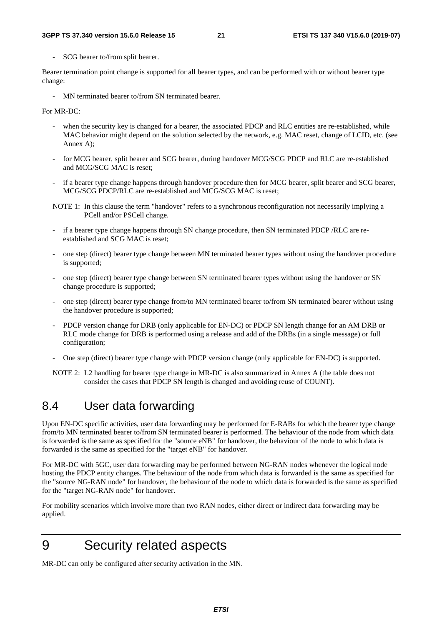SCG bearer to/from split bearer.

Bearer termination point change is supported for all bearer types, and can be performed with or without bearer type change:

MN terminated bearer to/from SN terminated bearer.

For MR-DC:

- when the security key is changed for a bearer, the associated PDCP and RLC entities are re-established, while MAC behavior might depend on the solution selected by the network, e.g. MAC reset, change of LCID, etc. (see Annex A);
- for MCG bearer, split bearer and SCG bearer, during handover MCG/SCG PDCP and RLC are re-established and MCG/SCG MAC is reset;
- if a bearer type change happens through handover procedure then for MCG bearer, split bearer and SCG bearer, MCG/SCG PDCP/RLC are re-established and MCG/SCG MAC is reset;
- NOTE 1: In this clause the term "handover" refers to a synchronous reconfiguration not necessarily implying a PCell and/or PSCell change.
- if a bearer type change happens through SN change procedure, then SN terminated PDCP /RLC are reestablished and SCG MAC is reset;
- one step (direct) bearer type change between MN terminated bearer types without using the handover procedure is supported;
- one step (direct) bearer type change between SN terminated bearer types without using the handover or SN change procedure is supported;
- one step (direct) bearer type change from/to MN terminated bearer to/from SN terminated bearer without using the handover procedure is supported;
- PDCP version change for DRB (only applicable for EN-DC) or PDCP SN length change for an AM DRB or RLC mode change for DRB is performed using a release and add of the DRBs (in a single message) or full configuration;
- One step (direct) bearer type change with PDCP version change (only applicable for EN-DC) is supported.
- NOTE 2: L2 handling for bearer type change in MR-DC is also summarized in Annex A (the table does not consider the cases that PDCP SN length is changed and avoiding reuse of COUNT).

## 8.4 User data forwarding

Upon EN-DC specific activities, user data forwarding may be performed for E-RABs for which the bearer type change from/to MN terminated bearer to/from SN terminated bearer is performed. The behaviour of the node from which data is forwarded is the same as specified for the "source eNB" for handover, the behaviour of the node to which data is forwarded is the same as specified for the "target eNB" for handover.

For MR-DC with 5GC, user data forwarding may be performed between NG-RAN nodes whenever the logical node hosting the PDCP entity changes. The behaviour of the node from which data is forwarded is the same as specified for the "source NG-RAN node" for handover, the behaviour of the node to which data is forwarded is the same as specified for the "target NG-RAN node" for handover.

For mobility scenarios which involve more than two RAN nodes, either direct or indirect data forwarding may be applied.

# 9 Security related aspects

MR-DC can only be configured after security activation in the MN.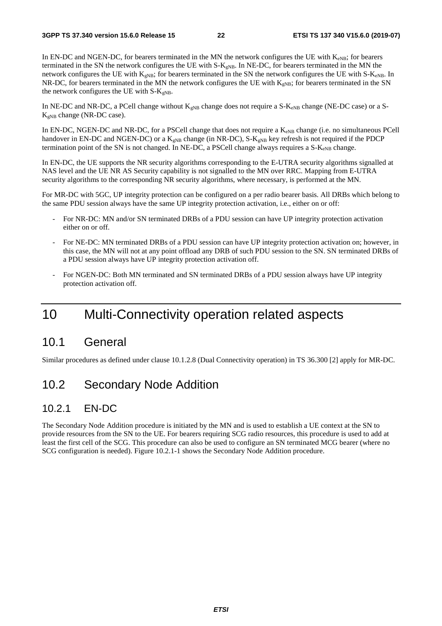In EN-DC and NGEN-DC, for bearers terminated in the MN the network configures the UE with  $K_{eNB}$ ; for bearers terminated in the SN the network configures the UE with  $S-K<sub>gNB</sub>$ . In NE-DC, for bearers terminated in the MN the network configures the UE with  $K_{gNB}$ ; for bearers terminated in the SN the network configures the UE with S- $K_{eNB}$ . In NR-DC, for bearers terminated in the MN the network configures the UE with  $K_{\rm gNB}$ ; for bearers terminated in the SN the network configures the UE with  $S-K_{eNB}$ .

In NE-DC and NR-DC, a PCell change without  $K_{gNB}$  change does not require a S- $K_{eNB}$  change (NE-DC case) or a S- $K_{gNB}$  change (NR-DC case).

In EN-DC, NGEN-DC and NR-DC, for a PSCell change that does not require a K<sub>eNB</sub> change (i.e. no simultaneous PCell handover in EN-DC and NGEN-DC) or a  $K_{gNB}$  change (in NR-DC), S- $K_{gNB}$  key refresh is not required if the PDCP termination point of the SN is not changed. In NE-DC, a PSCell change always requires a  $S-K_{eNB}$  change.

In EN-DC, the UE supports the NR security algorithms corresponding to the E-UTRA security algorithms signalled at NAS level and the UE NR AS Security capability is not signalled to the MN over RRC. Mapping from E-UTRA security algorithms to the corresponding NR security algorithms, where necessary, is performed at the MN.

For MR-DC with 5GC, UP integrity protection can be configured on a per radio bearer basis. All DRBs which belong to the same PDU session always have the same UP integrity protection activation, i.e., either on or off:

- For NR-DC: MN and/or SN terminated DRBs of a PDU session can have UP integrity protection activation either on or off.
- For NE-DC: MN terminated DRBs of a PDU session can have UP integrity protection activation on; however, in this case, the MN will not at any point offload any DRB of such PDU session to the SN. SN terminated DRBs of a PDU session always have UP integrity protection activation off.
- For NGEN-DC: Both MN terminated and SN terminated DRBs of a PDU session always have UP integrity protection activation off.

# 10 Multi-Connectivity operation related aspects

### 10.1 General

Similar procedures as defined under clause 10.1.2.8 (Dual Connectivity operation) in TS 36.300 [2] apply for MR-DC.

## 10.2 Secondary Node Addition

### 10.2.1 EN-DC

The Secondary Node Addition procedure is initiated by the MN and is used to establish a UE context at the SN to provide resources from the SN to the UE. For bearers requiring SCG radio resources, this procedure is used to add at least the first cell of the SCG. This procedure can also be used to configure an SN terminated MCG bearer (where no SCG configuration is needed). Figure 10.2.1-1 shows the Secondary Node Addition procedure.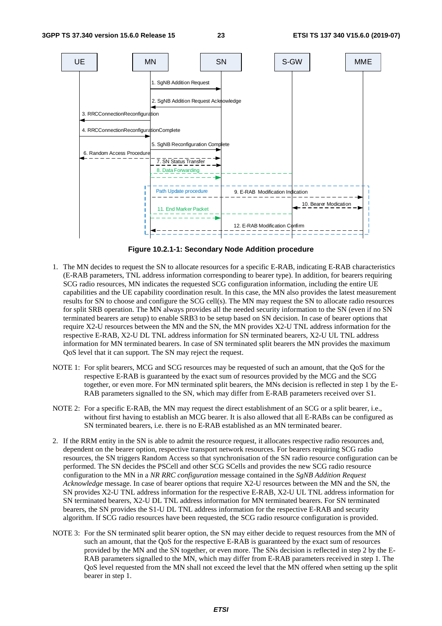

**Figure 10.2.1-1: Secondary Node Addition procedure** 

- 1. The MN decides to request the SN to allocate resources for a specific E-RAB, indicating E-RAB characteristics (E-RAB parameters, TNL address information corresponding to bearer type). In addition, for bearers requiring SCG radio resources, MN indicates the requested SCG configuration information, including the entire UE capabilities and the UE capability coordination result. In this case, the MN also provides the latest measurement results for SN to choose and configure the SCG cell(s). The MN may request the SN to allocate radio resources for split SRB operation. The MN always provides all the needed security information to the SN (even if no SN terminated bearers are setup) to enable SRB3 to be setup based on SN decision. In case of bearer options that require X2-U resources between the MN and the SN, the MN provides X2-U TNL address information for the respective E-RAB, X2-U DL TNL address information for SN terminated bearers, X2-U UL TNL address information for MN terminated bearers. In case of SN terminated split bearers the MN provides the maximum QoS level that it can support. The SN may reject the request.
- NOTE 1: For split bearers, MCG and SCG resources may be requested of such an amount, that the QoS for the respective E-RAB is guaranteed by the exact sum of resources provided by the MCG and the SCG together, or even more. For MN terminated split bearers, the MNs decision is reflected in step 1 by the E-RAB parameters signalled to the SN, which may differ from E-RAB parameters received over S1.
- NOTE 2: For a specific E-RAB, the MN may request the direct establishment of an SCG or a split bearer, i.e., without first having to establish an MCG bearer. It is also allowed that all E-RABs can be configured as SN terminated bearers, i.e. there is no E-RAB established as an MN terminated bearer.
- 2. If the RRM entity in the SN is able to admit the resource request, it allocates respective radio resources and, dependent on the bearer option, respective transport network resources. For bearers requiring SCG radio resources, the SN triggers Random Access so that synchronisation of the SN radio resource configuration can be performed. The SN decides the PSCell and other SCG SCells and provides the new SCG radio resource configuration to the MN in a *NR RRC configuration* message contained in the *SgNB Addition Request Acknowledge* message. In case of bearer options that require X2-U resources between the MN and the SN, the SN provides X2-U TNL address information for the respective E-RAB, X2-U UL TNL address information for SN terminated bearers, X2-U DL TNL address information for MN terminated bearers. For SN terminated bearers, the SN provides the S1-U DL TNL address information for the respective E-RAB and security algorithm. If SCG radio resources have been requested, the SCG radio resource configuration is provided.
- NOTE 3: For the SN terminated split bearer option, the SN may either decide to request resources from the MN of such an amount, that the QoS for the respective E-RAB is guaranteed by the exact sum of resources provided by the MN and the SN together, or even more. The SNs decision is reflected in step 2 by the E-RAB parameters signalled to the MN, which may differ from E-RAB parameters received in step 1. The QoS level requested from the MN shall not exceed the level that the MN offered when setting up the split bearer in step 1.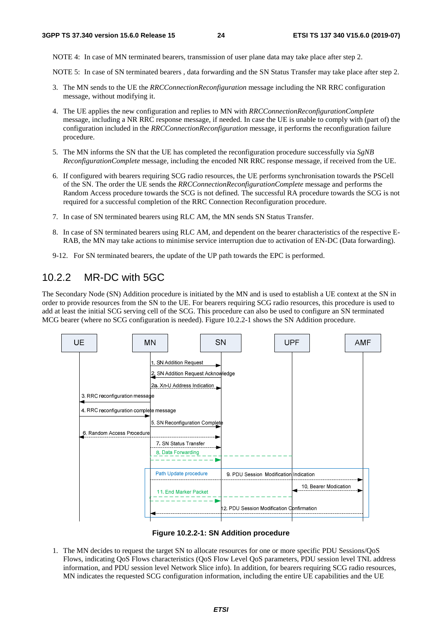NOTE 4: In case of MN terminated bearers, transmission of user plane data may take place after step 2.

NOTE 5: In case of SN terminated bearers , data forwarding and the SN Status Transfer may take place after step 2.

- 3. The MN sends to the UE the *RRCConnectionReconfiguration* message including the NR RRC configuration message, without modifying it.
- 4. The UE applies the new configuration and replies to MN with *RRCConnectionReconfigurationComplete* message, including a NR RRC response message, if needed. In case the UE is unable to comply with (part of) the configuration included in the *RRCConnectionReconfiguration* message, it performs the reconfiguration failure procedure.
- 5. The MN informs the SN that the UE has completed the reconfiguration procedure successfully via *SgNB ReconfigurationComplete* message, including the encoded NR RRC response message, if received from the UE.
- 6. If configured with bearers requiring SCG radio resources, the UE performs synchronisation towards the PSCell of the SN. The order the UE sends the *RRCConnectionReconfigurationComplete* message and performs the Random Access procedure towards the SCG is not defined. The successful RA procedure towards the SCG is not required for a successful completion of the RRC Connection Reconfiguration procedure.
- 7. In case of SN terminated bearers using RLC AM, the MN sends SN Status Transfer.
- 8. In case of SN terminated bearers using RLC AM, and dependent on the bearer characteristics of the respective E-RAB, the MN may take actions to minimise service interruption due to activation of EN-DC (Data forwarding).
- 9-12. For SN terminated bearers, the update of the UP path towards the EPC is performed.

### 10.2.2 MR-DC with 5GC

The Secondary Node (SN) Addition procedure is initiated by the MN and is used to establish a UE context at the SN in order to provide resources from the SN to the UE. For bearers requiring SCG radio resources, this procedure is used to add at least the initial SCG serving cell of the SCG. This procedure can also be used to configure an SN terminated MCG bearer (where no SCG configuration is needed). Figure 10.2.2-1 shows the SN Addition procedure.



**Figure 10.2.2-1: SN Addition procedure** 

1. The MN decides to request the target SN to allocate resources for one or more specific PDU Sessions/QoS Flows, indicating QoS Flows characteristics (QoS Flow Level QoS parameters, PDU session level TNL address information, and PDU session level Network Slice info). In addition, for bearers requiring SCG radio resources, MN indicates the requested SCG configuration information, including the entire UE capabilities and the UE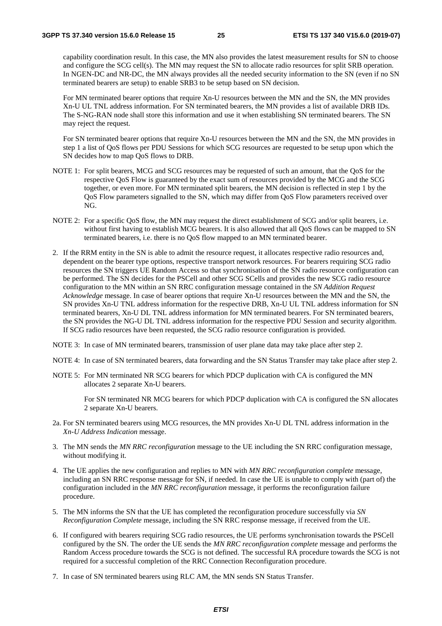capability coordination result. In this case, the MN also provides the latest measurement results for SN to choose and configure the SCG cell(s). The MN may request the SN to allocate radio resources for split SRB operation. In NGEN-DC and NR-DC, the MN always provides all the needed security information to the SN (even if no SN terminated bearers are setup) to enable SRB3 to be setup based on SN decision.

 For MN terminated bearer options that require Xn-U resources between the MN and the SN, the MN provides Xn-U UL TNL address information. For SN terminated bearers, the MN provides a list of available DRB IDs. The S-NG-RAN node shall store this information and use it when establishing SN terminated bearers. The SN may reject the request.

 For SN terminated bearer options that require Xn-U resources between the MN and the SN, the MN provides in step 1 a list of QoS flows per PDU Sessions for which SCG resources are requested to be setup upon which the SN decides how to map QoS flows to DRB.

- NOTE 1: For split bearers, MCG and SCG resources may be requested of such an amount, that the OoS for the respective QoS Flow is guaranteed by the exact sum of resources provided by the MCG and the SCG together, or even more. For MN terminated split bearers, the MN decision is reflected in step 1 by the QoS Flow parameters signalled to the SN, which may differ from QoS Flow parameters received over NG.
- NOTE 2: For a specific QoS flow, the MN may request the direct establishment of SCG and/or split bearers, i.e. without first having to establish MCG bearers. It is also allowed that all QoS flows can be mapped to SN terminated bearers, i.e. there is no QoS flow mapped to an MN terminated bearer.
- 2. If the RRM entity in the SN is able to admit the resource request, it allocates respective radio resources and, dependent on the bearer type options, respective transport network resources. For bearers requiring SCG radio resources the SN triggers UE Random Access so that synchronisation of the SN radio resource configuration can be performed. The SN decides for the PSCell and other SCG SCells and provides the new SCG radio resource configuration to the MN within an SN RRC configuration message contained in the *SN Addition Request Acknowledge* message. In case of bearer options that require Xn-U resources between the MN and the SN, the SN provides Xn-U TNL address information for the respective DRB, Xn-U UL TNL address information for SN terminated bearers, Xn-U DL TNL address information for MN terminated bearers. For SN terminated bearers, the SN provides the NG-U DL TNL address information for the respective PDU Session and security algorithm. If SCG radio resources have been requested, the SCG radio resource configuration is provided.
- NOTE 3: In case of MN terminated bearers, transmission of user plane data may take place after step 2.
- NOTE 4: In case of SN terminated bearers, data forwarding and the SN Status Transfer may take place after step 2.
- NOTE 5: For MN terminated NR SCG bearers for which PDCP duplication with CA is configured the MN allocates 2 separate Xn-U bearers.

 For SN terminated NR MCG bearers for which PDCP duplication with CA is configured the SN allocates 2 separate Xn-U bearers.

- 2a. For SN terminated bearers using MCG resources, the MN provides Xn-U DL TNL address information in the *Xn-U Address Indication* message.
- 3. The MN sends the *MN RRC reconfiguration* message to the UE including the SN RRC configuration message, without modifying it.
- 4. The UE applies the new configuration and replies to MN with *MN RRC reconfiguration complete* message, including an SN RRC response message for SN, if needed. In case the UE is unable to comply with (part of) the configuration included in the *MN RRC reconfiguration* message, it performs the reconfiguration failure procedure.
- 5. The MN informs the SN that the UE has completed the reconfiguration procedure successfully via *SN Reconfiguration Complete* message, including the SN RRC response message, if received from the UE.
- 6. If configured with bearers requiring SCG radio resources, the UE performs synchronisation towards the PSCell configured by the SN. The order the UE sends the *MN RRC reconfiguration complete* message and performs the Random Access procedure towards the SCG is not defined. The successful RA procedure towards the SCG is not required for a successful completion of the RRC Connection Reconfiguration procedure.
- 7. In case of SN terminated bearers using RLC AM, the MN sends SN Status Transfer.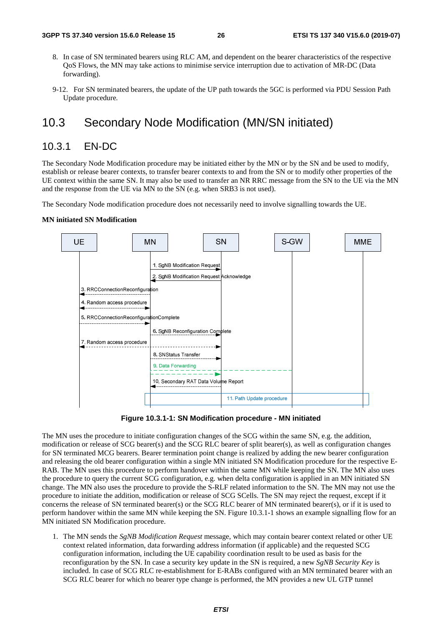- 8. In case of SN terminated bearers using RLC AM, and dependent on the bearer characteristics of the respective QoS Flows, the MN may take actions to minimise service interruption due to activation of MR-DC (Data forwarding).
- 9-12. For SN terminated bearers, the update of the UP path towards the 5GC is performed via PDU Session Path Update procedure*.*

### 10.3 Secondary Node Modification (MN/SN initiated)

### 10.3.1 EN-DC

The Secondary Node Modification procedure may be initiated either by the MN or by the SN and be used to modify, establish or release bearer contexts, to transfer bearer contexts to and from the SN or to modify other properties of the UE context within the same SN. It may also be used to transfer an NR RRC message from the SN to the UE via the MN and the response from the UE via MN to the SN (e.g. when SRB3 is not used).

The Secondary Node modification procedure does not necessarily need to involve signalling towards the UE.

#### **MN initiated SN Modification**



**Figure 10.3.1-1: SN Modification procedure - MN initiated** 

The MN uses the procedure to initiate configuration changes of the SCG within the same SN, e.g. the addition, modification or release of SCG bearer(s) and the SCG RLC bearer of split bearer(s), as well as configuration changes for SN terminated MCG bearers. Bearer termination point change is realized by adding the new bearer configuration and releasing the old bearer configuration within a single MN initiated SN Modification procedure for the respective E-RAB. The MN uses this procedure to perform handover within the same MN while keeping the SN. The MN also uses the procedure to query the current SCG configuration, e.g. when delta configuration is applied in an MN initiated SN change. The MN also uses the procedure to provide the S-RLF related information to the SN. The MN may not use the procedure to initiate the addition, modification or release of SCG SCells. The SN may reject the request, except if it concerns the release of SN terminated bearer(s) or the SCG RLC bearer of MN terminated bearer(s), or if it is used to perform handover within the same MN while keeping the SN. Figure 10.3.1-1 shows an example signalling flow for an MN initiated SN Modification procedure.

1. The MN sends the *SgNB Modification Request* message, which may contain bearer context related or other UE context related information, data forwarding address information (if applicable) and the requested SCG configuration information, including the UE capability coordination result to be used as basis for the reconfiguration by the SN. In case a security key update in the SN is required, a new *SgNB Security Key* is included. In case of SCG RLC re-establishment for E-RABs configured with an MN terminated bearer with an SCG RLC bearer for which no bearer type change is performed, the MN provides a new UL GTP tunnel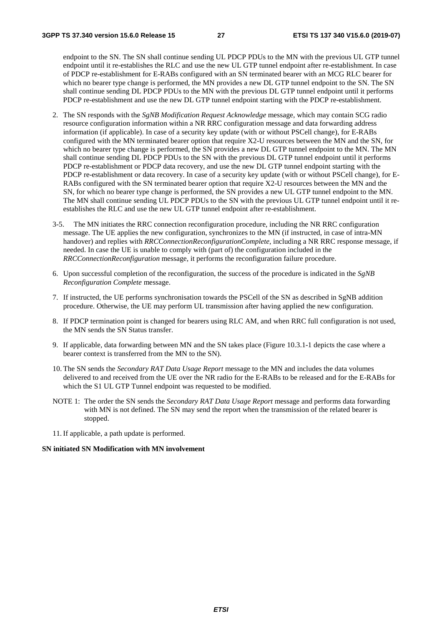endpoint to the SN. The SN shall continue sending UL PDCP PDUs to the MN with the previous UL GTP tunnel endpoint until it re-establishes the RLC and use the new UL GTP tunnel endpoint after re-establishment. In case of PDCP re-establishment for E-RABs configured with an SN terminated bearer with an MCG RLC bearer for which no bearer type change is performed, the MN provides a new DL GTP tunnel endpoint to the SN. The SN shall continue sending DL PDCP PDUs to the MN with the previous DL GTP tunnel endpoint until it performs PDCP re-establishment and use the new DL GTP tunnel endpoint starting with the PDCP re-establishment.

- 2. The SN responds with the *SgNB Modification Request Acknowledge* message, which may contain SCG radio resource configuration information within a NR RRC configuration message and data forwarding address information (if applicable). In case of a security key update (with or without PSCell change), for E-RABs configured with the MN terminated bearer option that require X2-U resources between the MN and the SN, for which no bearer type change is performed, the SN provides a new DL GTP tunnel endpoint to the MN. The MN shall continue sending DL PDCP PDUs to the SN with the previous DL GTP tunnel endpoint until it performs PDCP re-establishment or PDCP data recovery, and use the new DL GTP tunnel endpoint starting with the PDCP re-establishment or data recovery. In case of a security key update (with or without PSCell change), for E-RABs configured with the SN terminated bearer option that require X2-U resources between the MN and the SN, for which no bearer type change is performed, the SN provides a new UL GTP tunnel endpoint to the MN. The MN shall continue sending UL PDCP PDUs to the SN with the previous UL GTP tunnel endpoint until it reestablishes the RLC and use the new UL GTP tunnel endpoint after re-establishment.
- 3-5. The MN initiates the RRC connection reconfiguration procedure, including the NR RRC configuration message. The UE applies the new configuration, synchronizes to the MN (if instructed, in case of intra-MN handover) and replies with *RRCConnectionReconfigurationComplete*, including a NR RRC response message, if needed. In case the UE is unable to comply with (part of) the configuration included in the *RRCConnectionReconfiguration* message, it performs the reconfiguration failure procedure.
- 6. Upon successful completion of the reconfiguration, the success of the procedure is indicated in the *SgNB Reconfiguration Complete* message.
- 7. If instructed, the UE performs synchronisation towards the PSCell of the SN as described in SgNB addition procedure. Otherwise, the UE may perform UL transmission after having applied the new configuration.
- 8. If PDCP termination point is changed for bearers using RLC AM, and when RRC full configuration is not used, the MN sends the SN Status transfer.
- 9. If applicable, data forwarding between MN and the SN takes place (Figure 10.3.1-1 depicts the case where a bearer context is transferred from the MN to the SN).
- 10. The SN sends the *Secondary RAT Data Usage Report* message to the MN and includes the data volumes delivered to and received from the UE over the NR radio for the E-RABs to be released and for the E-RABs for which the S1 UL GTP Tunnel endpoint was requested to be modified.
- NOTE 1: The order the SN sends the *Secondary RAT Data Usage Report* message and performs data forwarding with MN is not defined. The SN may send the report when the transmission of the related bearer is stopped.
- 11. If applicable, a path update is performed.

#### **SN initiated SN Modification with MN involvement**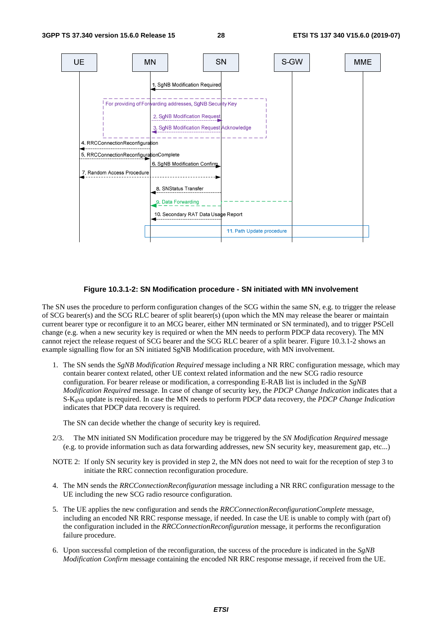

#### **Figure 10.3.1-2: SN Modification procedure - SN initiated with MN involvement**

The SN uses the procedure to perform configuration changes of the SCG within the same SN, e.g. to trigger the release of SCG bearer(s) and the SCG RLC bearer of split bearer(s) (upon which the MN may release the bearer or maintain current bearer type or reconfigure it to an MCG bearer, either MN terminated or SN terminated), and to trigger PSCell change (e.g. when a new security key is required or when the MN needs to perform PDCP data recovery). The MN cannot reject the release request of SCG bearer and the SCG RLC bearer of a split bearer. Figure 10.3.1-2 shows an example signalling flow for an SN initiated SgNB Modification procedure, with MN involvement.

1. The SN sends the *SgNB Modification Required* message including a NR RRC configuration message, which may contain bearer context related, other UE context related information and the new SCG radio resource configuration. For bearer release or modification, a corresponding E-RAB list is included in the *SgNB Modification Required* message. In case of change of security key, the *PDCP Change Indication* indicates that a S-KgNB update is required. In case the MN needs to perform PDCP data recovery, the *PDCP Change Indication* indicates that PDCP data recovery is required.

The SN can decide whether the change of security key is required.

- 2/3. The MN initiated SN Modification procedure may be triggered by the *SN Modification Required* message (e.g. to provide information such as data forwarding addresses, new SN security key, measurement gap, etc...)
- NOTE 2: If only SN security key is provided in step 2, the MN does not need to wait for the reception of step 3 to initiate the RRC connection reconfiguration procedure.
- 4. The MN sends the *RRCConnectionReconfiguration* message including a NR RRC configuration message to the UE including the new SCG radio resource configuration.
- 5. The UE applies the new configuration and sends the *RRCConnectionReconfigurationComplete* message, including an encoded NR RRC response message, if needed. In case the UE is unable to comply with (part of) the configuration included in the *RRCConnectionReconfiguration* message, it performs the reconfiguration failure procedure.
- 6. Upon successful completion of the reconfiguration, the success of the procedure is indicated in the *SgNB Modification Confirm* message containing the encoded NR RRC response message, if received from the UE.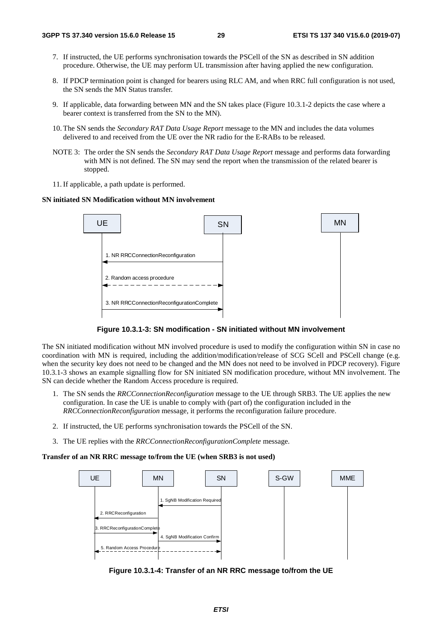- 7. If instructed, the UE performs synchronisation towards the PSCell of the SN as described in SN addition procedure. Otherwise, the UE may perform UL transmission after having applied the new configuration.
- 8. If PDCP termination point is changed for bearers using RLC AM, and when RRC full configuration is not used, the SN sends the MN Status transfer.
- 9. If applicable, data forwarding between MN and the SN takes place (Figure 10.3.1-2 depicts the case where a bearer context is transferred from the SN to the MN).
- 10. The SN sends the *Secondary RAT Data Usage Report* message to the MN and includes the data volumes delivered to and received from the UE over the NR radio for the E-RABs to be released.
- NOTE 3: The order the SN sends the *Secondary RAT Data Usage Report* message and performs data forwarding with MN is not defined. The SN may send the report when the transmission of the related bearer is stopped.
- 11. If applicable, a path update is performed.

#### **SN initiated SN Modification without MN involvement**





The SN initiated modification without MN involved procedure is used to modify the configuration within SN in case no coordination with MN is required, including the addition/modification/release of SCG SCell and PSCell change (e.g. when the security key does not need to be changed and the MN does not need to be involved in PDCP recovery). Figure 10.3.1-3 shows an example signalling flow for SN initiated SN modification procedure, without MN involvement. The SN can decide whether the Random Access procedure is required.

- 1. The SN sends the *RRCConnectionReconfiguration* message to the UE through SRB3. The UE applies the new configuration. In case the UE is unable to comply with (part of) the configuration included in the *RRCConnectionReconfiguration* message, it performs the reconfiguration failure procedure.
- 2. If instructed, the UE performs synchronisation towards the PSCell of the SN.
- 3. The UE replies with the *RRCConnectionReconfigurationComplete* message.

#### **Transfer of an NR RRC message to/from the UE (when SRB3 is not used)**



**Figure 10.3.1-4: Transfer of an NR RRC message to/from the UE**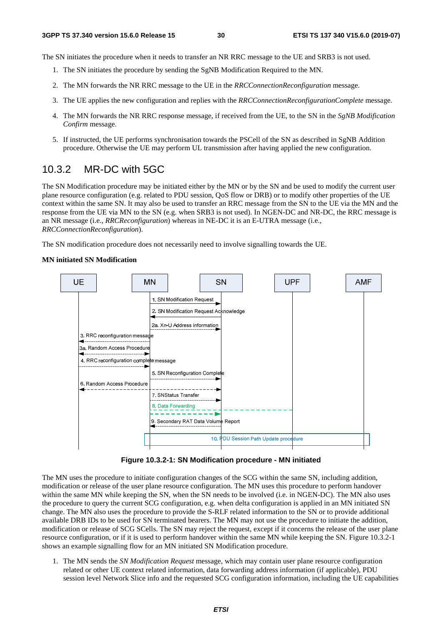The SN initiates the procedure when it needs to transfer an NR RRC message to the UE and SRB3 is not used.

- 1. The SN initiates the procedure by sending the SgNB Modification Required to the MN.
- 2. The MN forwards the NR RRC message to the UE in the *RRCConnectionReconfiguration* message.
- 3. The UE applies the new configuration and replies with the *RRCConnectionReconfigurationComplete* message.
- 4. The MN forwards the NR RRC response message, if received from the UE, to the SN in the *SgNB Modification Confirm* message.
- 5. If instructed, the UE performs synchronisation towards the PSCell of the SN as described in SgNB Addition procedure. Otherwise the UE may perform UL transmission after having applied the new configuration.

### 10.3.2 MR-DC with 5GC

The SN Modification procedure may be initiated either by the MN or by the SN and be used to modify the current user plane resource configuration (e.g. related to PDU session, QoS flow or DRB) or to modify other properties of the UE context within the same SN. It may also be used to transfer an RRC message from the SN to the UE via the MN and the response from the UE via MN to the SN (e.g. when SRB3 is not used). In NGEN-DC and NR-DC, the RRC message is an NR message (i.e., *RRCReconfiguration*) whereas in NE-DC it is an E-UTRA message (i.e., *RRCConnectionReconfiguration*).

The SN modification procedure does not necessarily need to involve signalling towards the UE.

#### **MN initiated SN Modification**



**Figure 10.3.2-1: SN Modification procedure - MN initiated** 

The MN uses the procedure to initiate configuration changes of the SCG within the same SN, including addition, modification or release of the user plane resource configuration. The MN uses this procedure to perform handover within the same MN while keeping the SN, when the SN needs to be involved (i.e. in NGEN-DC). The MN also uses the procedure to query the current SCG configuration, e.g. when delta configuration is applied in an MN initiated SN change. The MN also uses the procedure to provide the S-RLF related information to the SN or to provide additional available DRB IDs to be used for SN terminated bearers. The MN may not use the procedure to initiate the addition, modification or release of SCG SCells. The SN may reject the request, except if it concerns the release of the user plane resource configuration, or if it is used to perform handover within the same MN while keeping the SN. Figure 10.3.2-1 shows an example signalling flow for an MN initiated SN Modification procedure.

1. The MN sends the *SN Modification Request* message, which may contain user plane resource configuration related or other UE context related information, data forwarding address information (if applicable), PDU session level Network Slice info and the requested SCG configuration information, including the UE capabilities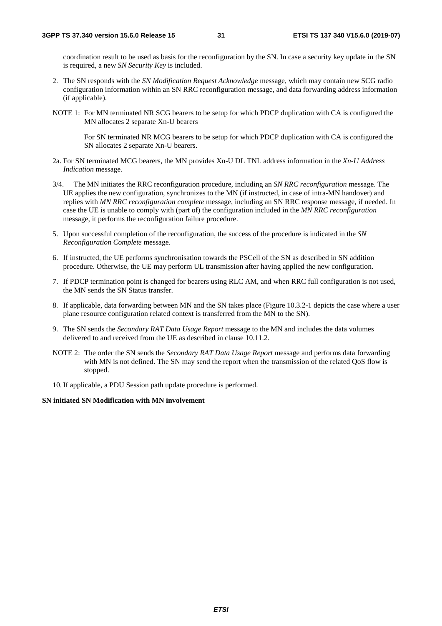coordination result to be used as basis for the reconfiguration by the SN. In case a security key update in the SN is required, a new *SN Security Key* is included.

- 2. The SN responds with the *SN Modification Request Acknowledge* message, which may contain new SCG radio configuration information within an SN RRC reconfiguration message*,* and data forwarding address information (if applicable).
- NOTE 1: For MN terminated NR SCG bearers to be setup for which PDCP duplication with CA is configured the MN allocates 2 separate Xn-U bearers

 For SN terminated NR MCG bearers to be setup for which PDCP duplication with CA is configured the SN allocates 2 separate Xn-U bearers.

- 2a. For SN terminated MCG bearers, the MN provides Xn-U DL TNL address information in the *Xn-U Address Indication* message.
- 3/4. The MN initiates the RRC reconfiguration procedure, including an *SN RRC reconfiguration* message. The UE applies the new configuration, synchronizes to the MN (if instructed, in case of intra-MN handover) and replies with *MN RRC reconfiguration complete* message, including an SN RRC response message, if needed. In case the UE is unable to comply with (part of) the configuration included in the *MN RRC reconfiguration* message, it performs the reconfiguration failure procedure.
- 5. Upon successful completion of the reconfiguration, the success of the procedure is indicated in the *SN Reconfiguration Complete* message.
- 6. If instructed, the UE performs synchronisation towards the PSCell of the SN as described in SN addition procedure. Otherwise, the UE may perform UL transmission after having applied the new configuration.
- 7. If PDCP termination point is changed for bearers using RLC AM, and when RRC full configuration is not used, the MN sends the SN Status transfer.
- 8. If applicable, data forwarding between MN and the SN takes place (Figure 10.3.2-1 depicts the case where a user plane resource configuration related context is transferred from the MN to the SN).
- 9. The SN sends the *Secondary RAT Data Usage Report* message to the MN and includes the data volumes delivered to and received from the UE as described in clause 10.11.2.
- NOTE 2: The order the SN sends the *Secondary RAT Data Usage Report* message and performs data forwarding with MN is not defined. The SN may send the report when the transmission of the related QoS flow is stopped.

10. If applicable, a PDU Session path update procedure is performed.

#### **SN initiated SN Modification with MN involvement**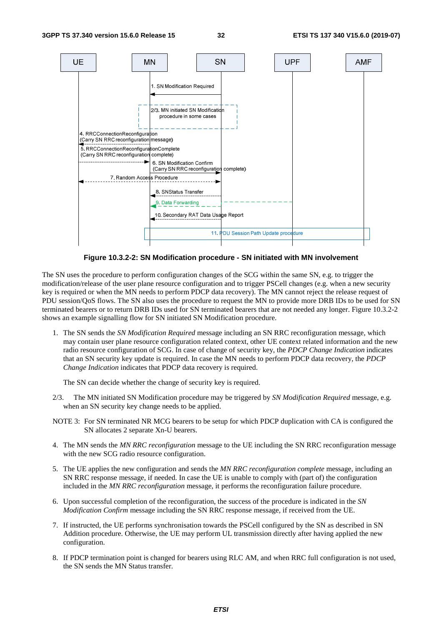

**Figure 10.3.2-2: SN Modification procedure - SN initiated with MN involvement** 

The SN uses the procedure to perform configuration changes of the SCG within the same SN, e.g. to trigger the modification/release of the user plane resource configuration and to trigger PSCell changes (e.g. when a new security key is required or when the MN needs to perform PDCP data recovery). The MN cannot reject the release request of PDU session/QoS flows. The SN also uses the procedure to request the MN to provide more DRB IDs to be used for SN terminated bearers or to return DRB IDs used for SN terminated bearers that are not needed any longer. Figure 10.3.2-2 shows an example signalling flow for SN initiated SN Modification procedure.

1. The SN sends the *SN Modification Required* message including an SN RRC reconfiguration message, which may contain user plane resource configuration related context, other UE context related information and the new radio resource configuration of SCG. In case of change of security key, the *PDCP Change Indication* indicates that an SN security key update is required. In case the MN needs to perform PDCP data recovery, the *PDCP Change Indication* indicates that PDCP data recovery is required.

The SN can decide whether the change of security key is required.

- 2/3. The MN initiated SN Modification procedure may be triggered by *SN Modification Required* message, e.g. when an SN security key change needs to be applied.
- NOTE 3: For SN terminated NR MCG bearers to be setup for which PDCP duplication with CA is configured the SN allocates 2 separate Xn-U bearers.
- 4. The MN sends the *MN RRC reconfiguration* message to the UE including the SN RRC reconfiguration message with the new SCG radio resource configuration.
- 5. The UE applies the new configuration and sends the *MN RRC reconfiguration complete* message, including an SN RRC response message, if needed. In case the UE is unable to comply with (part of) the configuration included in the *MN RRC reconfiguration* message, it performs the reconfiguration failure procedure.
- 6. Upon successful completion of the reconfiguration, the success of the procedure is indicated in the *SN Modification Confirm* message including the SN RRC response message, if received from the UE.
- 7. If instructed, the UE performs synchronisation towards the PSCell configured by the SN as described in SN Addition procedure. Otherwise, the UE may perform UL transmission directly after having applied the new configuration.
- 8. If PDCP termination point is changed for bearers using RLC AM, and when RRC full configuration is not used, the SN sends the MN Status transfer.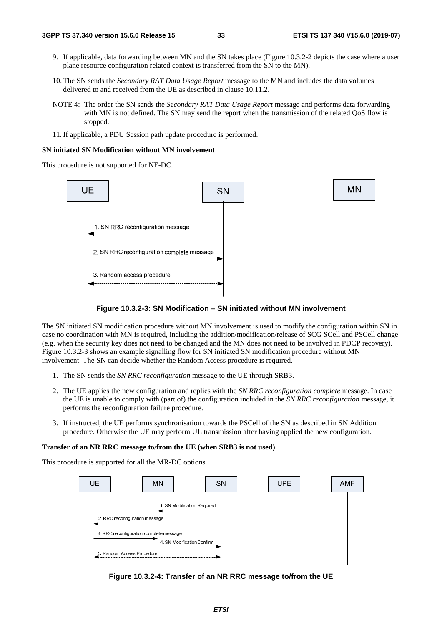- 9. If applicable, data forwarding between MN and the SN takes place (Figure 10.3.2-2 depicts the case where a user plane resource configuration related context is transferred from the SN to the MN).
- 10. The SN sends the *Secondary RAT Data Usage Report* message to the MN and includes the data volumes delivered to and received from the UE as described in clause 10.11.2.
- NOTE 4: The order the SN sends the *Secondary RAT Data Usage Report* message and performs data forwarding with MN is not defined. The SN may send the report when the transmission of the related OoS flow is stopped.
- 11. If applicable, a PDU Session path update procedure is performed.

#### **SN initiated SN Modification without MN involvement**

This procedure is not supported for NE-DC.





The SN initiated SN modification procedure without MN involvement is used to modify the configuration within SN in case no coordination with MN is required, including the addition/modification/release of SCG SCell and PSCell change (e.g. when the security key does not need to be changed and the MN does not need to be involved in PDCP recovery). Figure 10.3.2-3 shows an example signalling flow for SN initiated SN modification procedure without MN involvement. The SN can decide whether the Random Access procedure is required.

- 1. The SN sends the *SN RRC reconfiguration* message to the UE through SRB3.
- 2. The UE applies the new configuration and replies with the *SN RRC reconfiguration complete* message. In case the UE is unable to comply with (part of) the configuration included in the *SN RRC reconfiguration* message, it performs the reconfiguration failure procedure.
- 3. If instructed, the UE performs synchronisation towards the PSCell of the SN as described in SN Addition procedure. Otherwise the UE may perform UL transmission after having applied the new configuration.

#### **Transfer of an NR RRC message to/from the UE (when SRB3 is not used)**

This procedure is supported for all the MR-DC options.



**Figure 10.3.2-4: Transfer of an NR RRC message to/from the UE**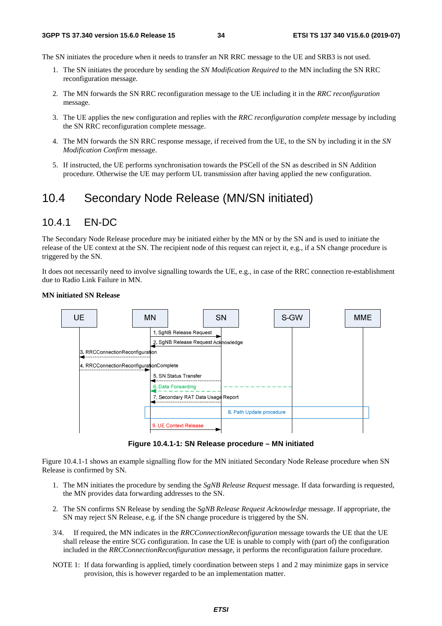The SN initiates the procedure when it needs to transfer an NR RRC message to the UE and SRB3 is not used.

- 1. The SN initiates the procedure by sending the *SN Modification Required* to the MN including the SN RRC reconfiguration message.
- 2. The MN forwards the SN RRC reconfiguration message to the UE including it in the *RRC reconfiguration*  message.
- 3. The UE applies the new configuration and replies with the *RRC reconfiguration complete* message by including the SN RRC reconfiguration complete message.
- 4. The MN forwards the SN RRC response message, if received from the UE, to the SN by including it in the *SN Modification Confirm* message.
- 5. If instructed, the UE performs synchronisation towards the PSCell of the SN as described in SN Addition procedure. Otherwise the UE may perform UL transmission after having applied the new configuration.

## 10.4 Secondary Node Release (MN/SN initiated)

### 10.4.1 EN-DC

The Secondary Node Release procedure may be initiated either by the MN or by the SN and is used to initiate the release of the UE context at the SN. The recipient node of this request can reject it, e.g., if a SN change procedure is triggered by the SN.

It does not necessarily need to involve signalling towards the UE, e.g., in case of the RRC connection re-establishment due to Radio Link Failure in MN.



#### **MN initiated SN Release**

**Figure 10.4.1-1: SN Release procedure – MN initiated** 

Figure 10.4.1-1 shows an example signalling flow for the MN initiated Secondary Node Release procedure when SN Release is confirmed by SN.

- 1. The MN initiates the procedure by sending the *SgNB Release Request* message. If data forwarding is requested, the MN provides data forwarding addresses to the SN.
- 2. The SN confirms SN Release by sending the *SgNB Release Request Acknowledge* message. If appropriate, the SN may reject SN Release, e.g. if the SN change procedure is triggered by the SN.
- 3/4. If required, the MN indicates in the *RRCConnectionReconfiguration* message towards the UE that the UE shall release the entire SCG configuration. In case the UE is unable to comply with (part of) the configuration included in the *RRCConnectionReconfiguration* message, it performs the reconfiguration failure procedure.
- NOTE 1: If data forwarding is applied, timely coordination between steps 1 and 2 may minimize gaps in service provision, this is however regarded to be an implementation matter.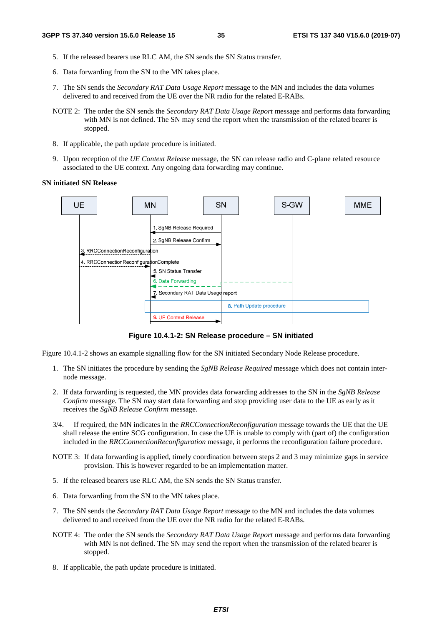- 5. If the released bearers use RLC AM, the SN sends the SN Status transfer.
- 6. Data forwarding from the SN to the MN takes place.
- 7. The SN sends the *Secondary RAT Data Usage Report* message to the MN and includes the data volumes delivered to and received from the UE over the NR radio for the related E-RABs.
- NOTE 2: The order the SN sends the *Secondary RAT Data Usage Report* message and performs data forwarding with MN is not defined. The SN may send the report when the transmission of the related bearer is stopped.
- 8. If applicable, the path update procedure is initiated.
- 9. Upon reception of the *UE Context Release* message, the SN can release radio and C-plane related resource associated to the UE context. Any ongoing data forwarding may continue.

#### **SN initiated SN Release**



**Figure 10.4.1-2: SN Release procedure – SN initiated** 

Figure 10.4.1-2 shows an example signalling flow for the SN initiated Secondary Node Release procedure.

- 1. The SN initiates the procedure by sending the *SgNB Release Required* message which does not contain internode message.
- 2. If data forwarding is requested, the MN provides data forwarding addresses to the SN in the *SgNB Release Confirm* message. The SN may start data forwarding and stop providing user data to the UE as early as it receives the *SgNB Release Confirm* message.
- 3/4. If required, the MN indicates in the *RRCConnectionReconfiguration* message towards the UE that the UE shall release the entire SCG configuration. In case the UE is unable to comply with (part of) the configuration included in the *RRCConnectionReconfiguration* message, it performs the reconfiguration failure procedure.
- NOTE 3: If data forwarding is applied, timely coordination between steps 2 and 3 may minimize gaps in service provision. This is however regarded to be an implementation matter.
- 5. If the released bearers use RLC AM, the SN sends the SN Status transfer.
- 6. Data forwarding from the SN to the MN takes place.
- 7. The SN sends the *Secondary RAT Data Usage Report* message to the MN and includes the data volumes delivered to and received from the UE over the NR radio for the related E-RABs.
- NOTE 4: The order the SN sends the *Secondary RAT Data Usage Report* message and performs data forwarding with MN is not defined. The SN may send the report when the transmission of the related bearer is stopped.
- 8. If applicable, the path update procedure is initiated.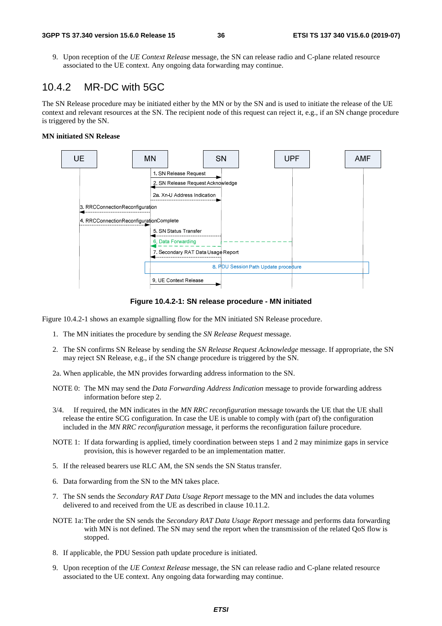9. Upon reception of the *UE Context Release* message, the SN can release radio and C-plane related resource associated to the UE context. Any ongoing data forwarding may continue.

### 10.4.2 MR-DC with 5GC

The SN Release procedure may be initiated either by the MN or by the SN and is used to initiate the release of the UE context and relevant resources at the SN. The recipient node of this request can reject it, e.g., if an SN change procedure is triggered by the SN.

#### **MN initiated SN Release**



**Figure 10.4.2-1: SN release procedure - MN initiated** 

Figure 10.4.2-1 shows an example signalling flow for the MN initiated SN Release procedure.

- 1. The MN initiates the procedure by sending the *SN Release Request* message.
- 2. The SN confirms SN Release by sending the *SN Release Request Acknowledge* message. If appropriate, the SN may reject SN Release, e.g., if the SN change procedure is triggered by the SN.
- 2a. When applicable, the MN provides forwarding address information to the SN.
- NOTE 0: The MN may send the *Data Forwarding Address Indication* message to provide forwarding address information before step 2.
- 3/4. If required, the MN indicates in the *MN RRC reconfiguration* message towards the UE that the UE shall release the entire SCG configuration. In case the UE is unable to comply with (part of) the configuration included in the *MN RRC reconfiguration* message, it performs the reconfiguration failure procedure.
- NOTE 1: If data forwarding is applied, timely coordination between steps 1 and 2 may minimize gaps in service provision, this is however regarded to be an implementation matter.
- 5. If the released bearers use RLC AM, the SN sends the SN Status transfer.
- 6. Data forwarding from the SN to the MN takes place.
- 7. The SN sends the *Secondary RAT Data Usage Report* message to the MN and includes the data volumes delivered to and received from the UE as described in clause 10.11.2.
- NOTE 1a: The order the SN sends the *Secondary RAT Data Usage Report* message and performs data forwarding with MN is not defined. The SN may send the report when the transmission of the related QoS flow is stopped.
- 8. If applicable, the PDU Session path update procedure is initiated.
- 9. Upon reception of the *UE Context Release* message, the SN can release radio and C-plane related resource associated to the UE context. Any ongoing data forwarding may continue.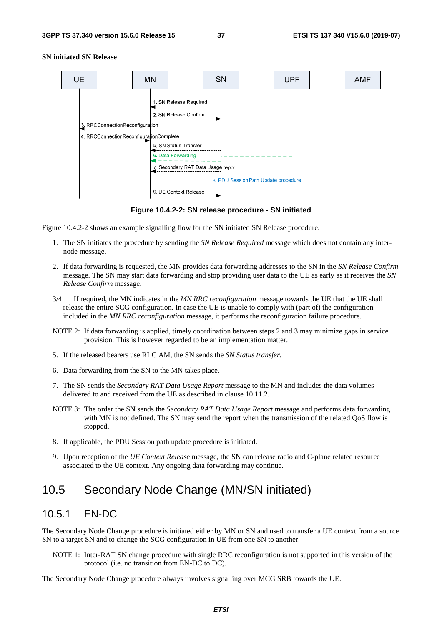

#### **SN initiated SN Release**

**Figure 10.4.2-2: SN release procedure - SN initiated** 

Figure 10.4.2-2 shows an example signalling flow for the SN initiated SN Release procedure.

- 1. The SN initiates the procedure by sending the *SN Release Required* message which does not contain any internode message.
- 2. If data forwarding is requested, the MN provides data forwarding addresses to the SN in the *SN Release Confirm* message. The SN may start data forwarding and stop providing user data to the UE as early as it receives the *SN Release Confirm* message.
- 3/4. If required, the MN indicates in the *MN RRC reconfiguration* message towards the UE that the UE shall release the entire SCG configuration. In case the UE is unable to comply with (part of) the configuration included in the *MN RRC reconfiguration* message, it performs the reconfiguration failure procedure.
- NOTE 2: If data forwarding is applied, timely coordination between steps 2 and 3 may minimize gaps in service provision. This is however regarded to be an implementation matter.
- 5. If the released bearers use RLC AM, the SN sends the *SN Status transfer*.
- 6. Data forwarding from the SN to the MN takes place.
- 7. The SN sends the *Secondary RAT Data Usage Report* message to the MN and includes the data volumes delivered to and received from the UE as described in clause 10.11.2.
- NOTE 3: The order the SN sends the *Secondary RAT Data Usage Report* message and performs data forwarding with MN is not defined. The SN may send the report when the transmission of the related QoS flow is stopped.
- 8. If applicable, the PDU Session path update procedure is initiated.
- 9. Upon reception of the *UE Context Release* message, the SN can release radio and C-plane related resource associated to the UE context. Any ongoing data forwarding may continue.

### 10.5 Secondary Node Change (MN/SN initiated)

### 10.5.1 EN-DC

The Secondary Node Change procedure is initiated either by MN or SN and used to transfer a UE context from a source SN to a target SN and to change the SCG configuration in UE from one SN to another.

NOTE 1: Inter-RAT SN change procedure with single RRC reconfiguration is not supported in this version of the protocol (i.e. no transition from EN-DC to DC).

The Secondary Node Change procedure always involves signalling over MCG SRB towards the UE.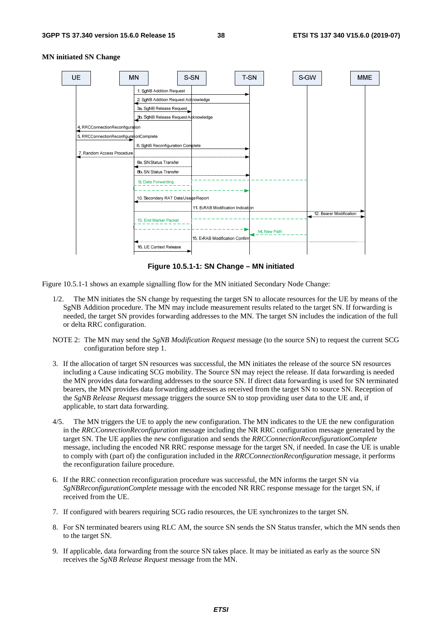

#### **MN initiated SN Change**

**Figure 10.5.1-1: SN Change – MN initiated** 

Figure 10.5.1-1 shows an example signalling flow for the MN initiated Secondary Node Change:

- 1/2. The MN initiates the SN change by requesting the target SN to allocate resources for the UE by means of the SgNB Addition procedure. The MN may include measurement results related to the target SN. If forwarding is needed, the target SN provides forwarding addresses to the MN. The target SN includes the indication of the full or delta RRC configuration.
- NOTE 2: The MN may send the *SgNB Modification Request* message (to the source SN) to request the current SCG configuration before step 1.
- 3. If the allocation of target SN resources was successful, the MN initiates the release of the source SN resources including a Cause indicating SCG mobility. The Source SN may reject the release. If data forwarding is needed the MN provides data forwarding addresses to the source SN. If direct data forwarding is used for SN terminated bearers, the MN provides data forwarding addresses as received from the target SN to source SN. Reception of the *SgNB Release Request* message triggers the source SN to stop providing user data to the UE and, if applicable, to start data forwarding.
- 4/5. The MN triggers the UE to apply the new configuration. The MN indicates to the UE the new configuration in the *RRCConnectionReconfiguration* message including the NR RRC configuration message generated by the target SN. The UE applies the new configuration and sends the *RRCConnectionReconfigurationComplete* message, including the encoded NR RRC response message for the target SN, if needed. In case the UE is unable to comply with (part of) the configuration included in the *RRCConnectionReconfiguration* message, it performs the reconfiguration failure procedure.
- 6. If the RRC connection reconfiguration procedure was successful, the MN informs the target SN via *SgNBReconfigurationComplete* message with the encoded NR RRC response message for the target SN, if received from the UE.
- 7. If configured with bearers requiring SCG radio resources, the UE synchronizes to the target SN.
- 8. For SN terminated bearers using RLC AM, the source SN sends the SN Status transfer, which the MN sends then to the target SN.
- 9. If applicable, data forwarding from the source SN takes place. It may be initiated as early as the source SN receives the *SgNB Release Request* message from the MN.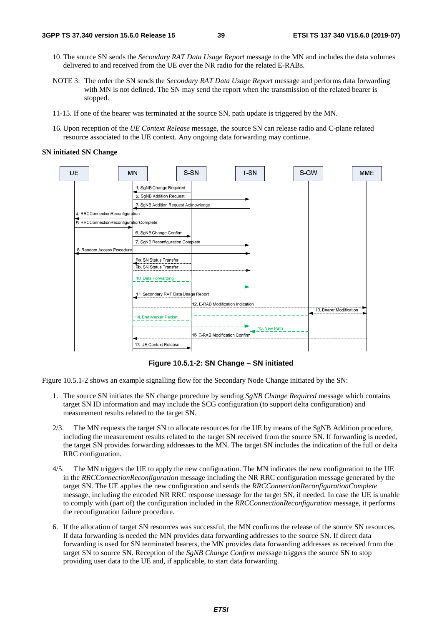- 10. The source SN sends the *Secondary RAT Data Usage Report* message to the MN and includes the data volumes delivered to and received from the UE over the NR radio for the related E-RABs.
- NOTE 3: The order the SN sends the *Secondary RAT Data Usage Report* message and performs data forwarding with MN is not defined. The SN may send the report when the transmission of the related bearer is stopped.
- 11-15. If one of the bearer was terminated at the source SN, path update is triggered by the MN.
- 16. Upon reception of the *UE Context Release* message, the source SN can release radio and C-plane related resource associated to the UE context. Any ongoing data forwarding may continue.

#### **SN initiated SN Change**



**Figure 10.5.1-2: SN Change – SN initiated** 

Figure 10.5.1-2 shows an example signalling flow for the Secondary Node Change initiated by the SN:

- 1. The source SN initiates the SN change procedure by sending *SgNB Change Required* message which contains target SN ID information and may include the SCG configuration (to support delta configuration) and measurement results related to the target SN.
- 2/3. The MN requests the target SN to allocate resources for the UE by means of the SgNB Addition procedure, including the measurement results related to the target SN received from the source SN. If forwarding is needed, the target SN provides forwarding addresses to the MN. The target SN includes the indication of the full or delta RRC configuration.
- 4/5. The MN triggers the UE to apply the new configuration. The MN indicates the new configuration to the UE in the *RRCConnectionReconfiguration* message including the NR RRC configuration message generated by the target SN. The UE applies the new configuration and sends the *RRCConnectionReconfigurationComplete* message, including the encoded NR RRC response message for the target SN, if needed. In case the UE is unable to comply with (part of) the configuration included in the *RRCConnectionReconfiguration* message, it performs the reconfiguration failure procedure.
- 6. If the allocation of target SN resources was successful, the MN confirms the release of the source SN resources. If data forwarding is needed the MN provides data forwarding addresses to the source SN. If direct data forwarding is used for SN terminated bearers, the MN provides data forwarding addresses as received from the target SN to source SN. Reception of the *SgNB Change Confirm* message triggers the source SN to stop providing user data to the UE and, if applicable, to start data forwarding.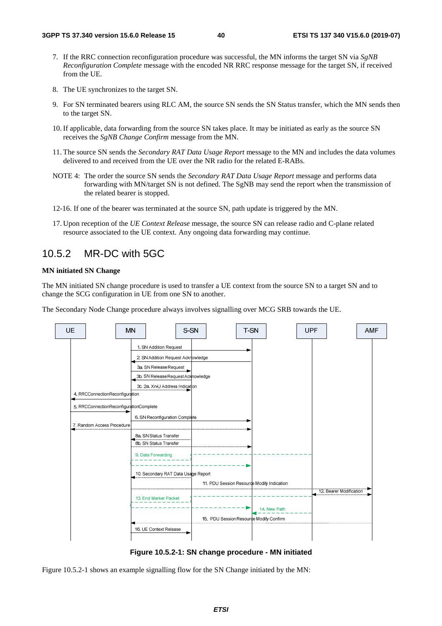- 7. If the RRC connection reconfiguration procedure was successful, the MN informs the target SN via *SgNB Reconfiguration Complete* message with the encoded NR RRC response message for the target SN, if received from the UE.
- 8. The UE synchronizes to the target SN.
- 9. For SN terminated bearers using RLC AM, the source SN sends the SN Status transfer, which the MN sends then to the target SN.
- 10. If applicable, data forwarding from the source SN takes place. It may be initiated as early as the source SN receives the *SgNB Change Confirm* message from the MN.
- 11. The source SN sends the *Secondary RAT Data Usage Report* message to the MN and includes the data volumes delivered to and received from the UE over the NR radio for the related E-RABs.
- NOTE 4: The order the source SN sends the *Secondary RAT Data Usage Report* message and performs data forwarding with MN/target SN is not defined. The SgNB may send the report when the transmission of the related bearer is stopped.
- 12-16. If one of the bearer was terminated at the source SN, path update is triggered by the MN.
- 17. Upon reception of the *UE Context Release* message, the source SN can release radio and C-plane related resource associated to the UE context. Any ongoing data forwarding may continue.

### 10.5.2 MR-DC with 5GC

#### **MN initiated SN Change**

The MN initiated SN change procedure is used to transfer a UE context from the source SN to a target SN and to change the SCG configuration in UE from one SN to another.

The Secondary Node Change procedure always involves signalling over MCG SRB towards the UE.



**Figure 10.5.2-1: SN change procedure - MN initiated** 

Figure 10.5.2-1 shows an example signalling flow for the SN Change initiated by the MN: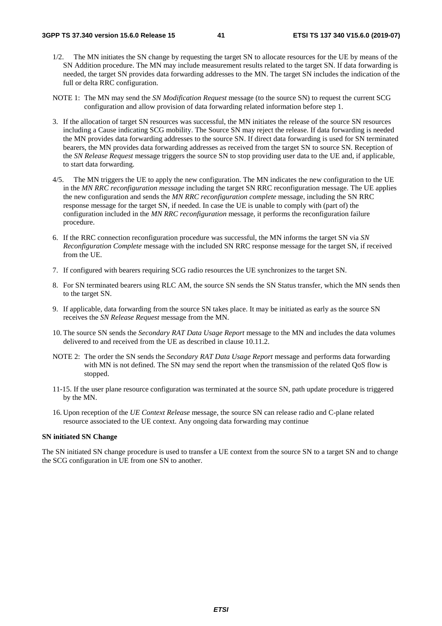- 1/2. The MN initiates the SN change by requesting the target SN to allocate resources for the UE by means of the SN Addition procedure. The MN may include measurement results related to the target SN. If data forwarding is needed, the target SN provides data forwarding addresses to the MN. The target SN includes the indication of the full or delta RRC configuration.
- NOTE 1: The MN may send the *SN Modification Request* message (to the source SN) to request the current SCG configuration and allow provision of data forwarding related information before step 1.
- 3. If the allocation of target SN resources was successful, the MN initiates the release of the source SN resources including a Cause indicating SCG mobility. The Source SN may reject the release. If data forwarding is needed the MN provides data forwarding addresses to the source SN. If direct data forwarding is used for SN terminated bearers, the MN provides data forwarding addresses as received from the target SN to source SN. Reception of the *SN Release Request* message triggers the source SN to stop providing user data to the UE and, if applicable, to start data forwarding.
- 4/5. The MN triggers the UE to apply the new configuration. The MN indicates the new configuration to the UE in the *MN RRC reconfiguration message* including the target SN RRC reconfiguration message. The UE applies the new configuration and sends the *MN RRC reconfiguration complete* message, including the SN RRC response message for the target SN, if needed. In case the UE is unable to comply with (part of) the configuration included in the *MN RRC reconfiguration* message, it performs the reconfiguration failure procedure.
- 6. If the RRC connection reconfiguration procedure was successful, the MN informs the target SN via *SN Reconfiguration Complete* message with the included SN RRC response message for the target SN, if received from the UE.
- 7. If configured with bearers requiring SCG radio resources the UE synchronizes to the target SN.
- 8. For SN terminated bearers using RLC AM, the source SN sends the SN Status transfer, which the MN sends then to the target SN.
- 9. If applicable, data forwarding from the source SN takes place. It may be initiated as early as the source SN receives the *SN Release Request* message from the MN.
- 10. The source SN sends the *Secondary RAT Data Usage Report* message to the MN and includes the data volumes delivered to and received from the UE as described in clause 10.11.2.
- NOTE 2: The order the SN sends the *Secondary RAT Data Usage Report* message and performs data forwarding with MN is not defined. The SN may send the report when the transmission of the related QoS flow is stopped.
- 11-15. If the user plane resource configuration was terminated at the source SN, path update procedure is triggered by the MN.
- 16. Upon reception of the *UE Context Release* message, the source SN can release radio and C-plane related resource associated to the UE context. Any ongoing data forwarding may continue

#### **SN initiated SN Change**

The SN initiated SN change procedure is used to transfer a UE context from the source SN to a target SN and to change the SCG configuration in UE from one SN to another.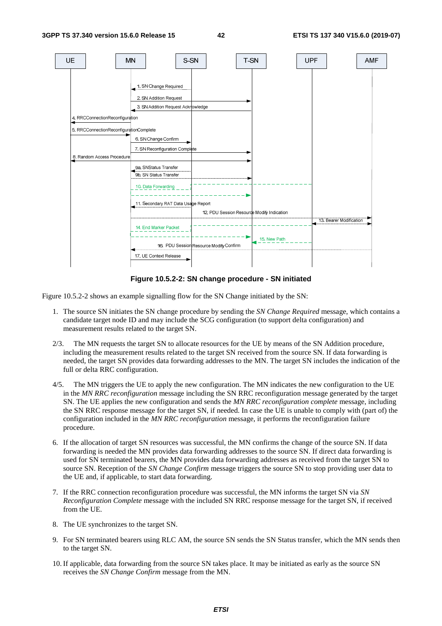

**Figure 10.5.2-2: SN change procedure - SN initiated** 

Figure 10.5.2-2 shows an example signalling flow for the SN Change initiated by the SN:

- 1. The source SN initiates the SN change procedure by sending the *SN Change Required* message, which contains a candidate target node ID and may include the SCG configuration (to support delta configuration) and measurement results related to the target SN.
- 2/3. The MN requests the target SN to allocate resources for the UE by means of the SN Addition procedure, including the measurement results related to the target SN received from the source SN. If data forwarding is needed, the target SN provides data forwarding addresses to the MN. The target SN includes the indication of the full or delta RRC configuration.
- 4/5. The MN triggers the UE to apply the new configuration. The MN indicates the new configuration to the UE in the *MN RRC reconfiguration* message including the SN RRC reconfiguration message generated by the target SN. The UE applies the new configuration and sends the *MN RRC reconfiguration complete* message, including the SN RRC response message for the target SN, if needed. In case the UE is unable to comply with (part of) the configuration included in the *MN RRC reconfiguration* message, it performs the reconfiguration failure procedure.
- 6. If the allocation of target SN resources was successful, the MN confirms the change of the source SN. If data forwarding is needed the MN provides data forwarding addresses to the source SN. If direct data forwarding is used for SN terminated bearers, the MN provides data forwarding addresses as received from the target SN to source SN. Reception of the *SN Change Confirm* message triggers the source SN to stop providing user data to the UE and, if applicable, to start data forwarding.
- 7. If the RRC connection reconfiguration procedure was successful, the MN informs the target SN via *SN Reconfiguration Complete* message with the included SN RRC response message for the target SN, if received from the UE.
- 8. The UE synchronizes to the target SN.
- 9. For SN terminated bearers using RLC AM, the source SN sends the SN Status transfer, which the MN sends then to the target SN.
- 10. If applicable, data forwarding from the source SN takes place. It may be initiated as early as the source SN receives the *SN Change Confirm* message from the MN.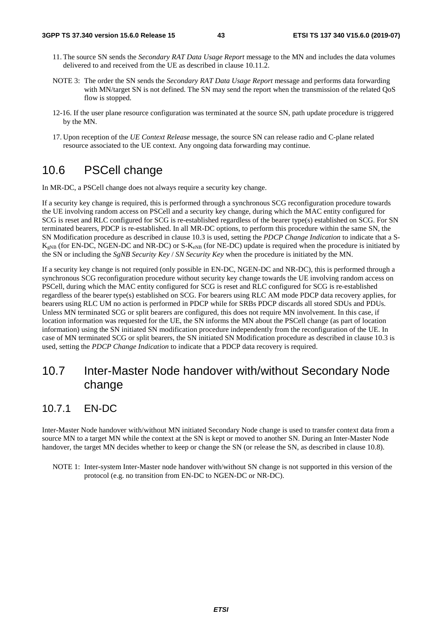- 11. The source SN sends the *Secondary RAT Data Usage Report* message to the MN and includes the data volumes delivered to and received from the UE as described in clause 10.11.2.
- NOTE 3: The order the SN sends the *Secondary RAT Data Usage Report* message and performs data forwarding with MN/target SN is not defined. The SN may send the report when the transmission of the related QoS flow is stopped.
- 12-16. If the user plane resource configuration was terminated at the source SN, path update procedure is triggered by the MN.
- 17. Upon reception of the *UE Context Release* message, the source SN can release radio and C-plane related resource associated to the UE context. Any ongoing data forwarding may continue.

# 10.6 PSCell change

In MR-DC, a PSCell change does not always require a security key change.

If a security key change is required, this is performed through a synchronous SCG reconfiguration procedure towards the UE involving random access on PSCell and a security key change, during which the MAC entity configured for SCG is reset and RLC configured for SCG is re-established regardless of the bearer type(s) established on SCG. For SN terminated bearers, PDCP is re-established. In all MR-DC options, to perform this procedure within the same SN, the SN Modification procedure as described in clause 10.3 is used, setting the *PDCP Change Indication* to indicate that a S- $K_{eNB}$  (for EN-DC, NGEN-DC and NR-DC) or S- $K_{eNB}$  (for NE-DC) update is required when the procedure is initiated by the SN or including the *SgNB Security Key* / *SN Security Key* when the procedure is initiated by the MN.

If a security key change is not required (only possible in EN-DC, NGEN-DC and NR-DC), this is performed through a synchronous SCG reconfiguration procedure without security key change towards the UE involving random access on PSCell, during which the MAC entity configured for SCG is reset and RLC configured for SCG is re-established regardless of the bearer type(s) established on SCG. For bearers using RLC AM mode PDCP data recovery applies, for bearers using RLC UM no action is performed in PDCP while for SRBs PDCP discards all stored SDUs and PDUs. Unless MN terminated SCG or split bearers are configured, this does not require MN involvement. In this case, if location information was requested for the UE, the SN informs the MN about the PSCell change (as part of location information) using the SN initiated SN modification procedure independently from the reconfiguration of the UE. In case of MN terminated SCG or split bearers, the SN initiated SN Modification procedure as described in clause 10.3 is used, setting the *PDCP Change Indication* to indicate that a PDCP data recovery is required.

# 10.7 Inter-Master Node handover with/without Secondary Node change

### 10.7.1 EN-DC

Inter-Master Node handover with/without MN initiated Secondary Node change is used to transfer context data from a source MN to a target MN while the context at the SN is kept or moved to another SN. During an Inter-Master Node handover, the target MN decides whether to keep or change the SN (or release the SN, as described in clause 10.8).

NOTE 1: Inter-system Inter-Master node handover with/without SN change is not supported in this version of the protocol (e.g. no transition from EN-DC to NGEN-DC or NR-DC).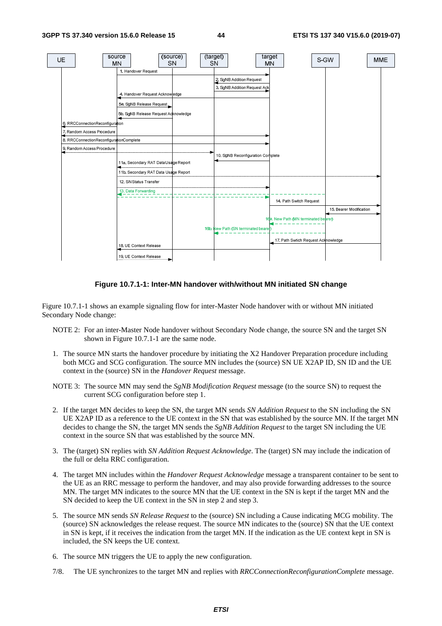

#### **Figure 10.7.1-1: Inter-MN handover with/without MN initiated SN change**

Figure 10.7.1-1 shows an example signaling flow for inter-Master Node handover with or without MN initiated Secondary Node change:

- NOTE 2: For an inter-Master Node handover without Secondary Node change, the source SN and the target SN shown in Figure 10.7.1-1 are the same node.
- 1. The source MN starts the handover procedure by initiating the X2 Handover Preparation procedure including both MCG and SCG configuration. The source MN includes the (source) SN UE X2AP ID, SN ID and the UE context in the (source) SN in the *Handover Request* message.
- NOTE 3: The source MN may send the *SgNB Modification Request* message (to the source SN) to request the current SCG configuration before step 1.
- 2. If the target MN decides to keep the SN, the target MN sends *SN Addition Request* to the SN including the SN UE X2AP ID as a reference to the UE context in the SN that was established by the source MN. If the target MN decides to change the SN, the target MN sends the *SgNB Addition Request* to the target SN including the UE context in the source SN that was established by the source MN.
- 3. The (target) SN replies with *SN Addition Request Acknowledge*. The (target) SN may include the indication of the full or delta RRC configuration.
- 4. The target MN includes within the *Handover Request Acknowledge* message a transparent container to be sent to the UE as an RRC message to perform the handover, and may also provide forwarding addresses to the source MN. The target MN indicates to the source MN that the UE context in the SN is kept if the target MN and the SN decided to keep the UE context in the SN in step 2 and step 3.
- 5. The source MN sends *SN Release Request* to the (source) SN including a Cause indicating MCG mobility. The (source) SN acknowledges the release request. The source MN indicates to the (source) SN that the UE context in SN is kept, if it receives the indication from the target MN. If the indication as the UE context kept in SN is included, the SN keeps the UE context.
- 6. The source MN triggers the UE to apply the new configuration.
- 7/8. The UE synchronizes to the target MN and replies with *RRCConnectionReconfigurationComplete* message.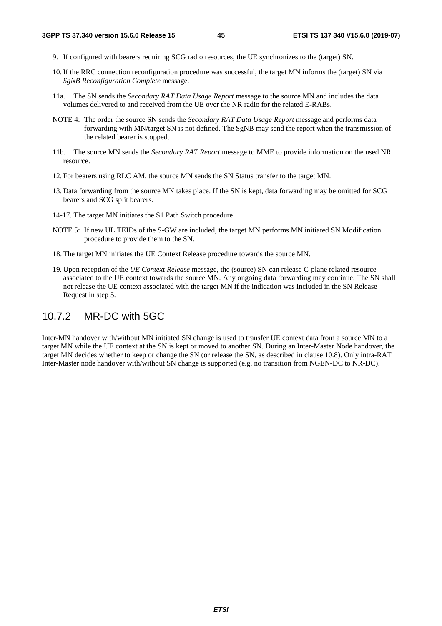- 9. If configured with bearers requiring SCG radio resources, the UE synchronizes to the (target) SN.
- 10. If the RRC connection reconfiguration procedure was successful, the target MN informs the (target) SN via *SgNB Reconfiguration Complete* message.
- 11a. The SN sends the *Secondary RAT Data Usage Report* message to the source MN and includes the data volumes delivered to and received from the UE over the NR radio for the related E-RABs.
- NOTE 4: The order the source SN sends the *Secondary RAT Data Usage Report* message and performs data forwarding with MN/target SN is not defined. The SgNB may send the report when the transmission of the related bearer is stopped.
- 11b. The source MN sends the *Secondary RAT Report* message to MME to provide information on the used NR resource.
- 12. For bearers using RLC AM, the source MN sends the SN Status transfer to the target MN.
- 13. Data forwarding from the source MN takes place. If the SN is kept, data forwarding may be omitted for SCG bearers and SCG split bearers.
- 14-17. The target MN initiates the S1 Path Switch procedure.
- NOTE 5: If new UL TEIDs of the S-GW are included, the target MN performs MN initiated SN Modification procedure to provide them to the SN.
- 18. The target MN initiates the UE Context Release procedure towards the source MN.
- 19. Upon reception of the *UE Context Release* message, the (source) SN can release C-plane related resource associated to the UE context towards the source MN. Any ongoing data forwarding may continue. The SN shall not release the UE context associated with the target MN if the indication was included in the SN Release Request in step 5.

### 10.7.2 MR-DC with 5GC

Inter-MN handover with/without MN initiated SN change is used to transfer UE context data from a source MN to a target MN while the UE context at the SN is kept or moved to another SN. During an Inter-Master Node handover, the target MN decides whether to keep or change the SN (or release the SN, as described in clause 10.8). Only intra-RAT Inter-Master node handover with/without SN change is supported (e.g. no transition from NGEN-DC to NR-DC).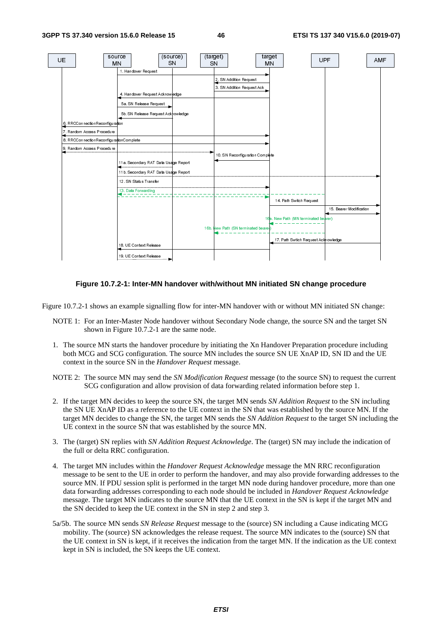

#### **Figure 10.7.2-1: Inter-MN handover with/without MN initiated SN change procedure**

Figure 10.7.2-1 shows an example signalling flow for inter-MN handover with or without MN initiated SN change:

- NOTE 1: For an Inter-Master Node handover without Secondary Node change, the source SN and the target SN shown in Figure 10.7.2-1 are the same node.
- 1. The source MN starts the handover procedure by initiating the Xn Handover Preparation procedure including both MCG and SCG configuration. The source MN includes the source SN UE XnAP ID, SN ID and the UE context in the source SN in the *Handover Request* message.
- NOTE 2: The source MN may send the *SN Modification Request* message (to the source SN) to request the current SCG configuration and allow provision of data forwarding related information before step 1.
- 2. If the target MN decides to keep the source SN, the target MN sends *SN Addition Request* to the SN including the SN UE XnAP ID as a reference to the UE context in the SN that was established by the source MN. If the target MN decides to change the SN, the target MN sends the *SN Addition Request* to the target SN including the UE context in the source SN that was established by the source MN.
- 3. The (target) SN replies with *SN Addition Request Acknowledge*. The (target) SN may include the indication of the full or delta RRC configuration.
- 4. The target MN includes within the *Handover Request Acknowledge* message the MN RRC reconfiguration message to be sent to the UE in order to perform the handover, and may also provide forwarding addresses to the source MN. If PDU session split is performed in the target MN node during handover procedure, more than one data forwarding addresses corresponding to each node should be included in *Handover Request Acknowledge* message. The target MN indicates to the source MN that the UE context in the SN is kept if the target MN and the SN decided to keep the UE context in the SN in step 2 and step 3.
- 5a/5b. The source MN sends *SN Release Request* message to the (source) SN including a Cause indicating MCG mobility. The (source) SN acknowledges the release request. The source MN indicates to the (source) SN that the UE context in SN is kept, if it receives the indication from the target MN. If the indication as the UE context kept in SN is included, the SN keeps the UE context.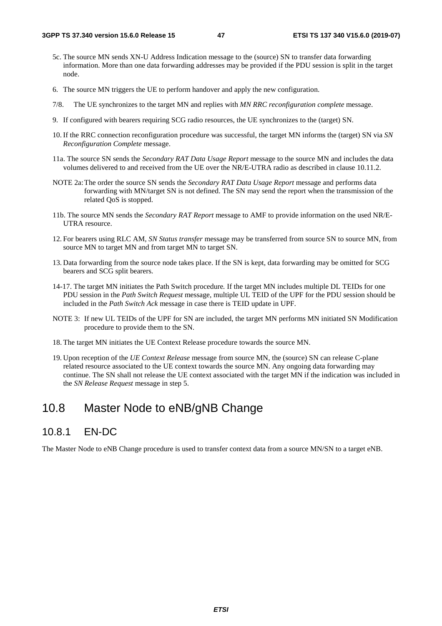- 5c. The source MN sends XN-U Address Indication message to the (source) SN to transfer data forwarding information. More than one data forwarding addresses may be provided if the PDU session is split in the target node.
- 6. The source MN triggers the UE to perform handover and apply the new configuration.
- 7/8. The UE synchronizes to the target MN and replies with *MN RRC reconfiguration complete* message.
- 9. If configured with bearers requiring SCG radio resources, the UE synchronizes to the (target) SN.
- 10. If the RRC connection reconfiguration procedure was successful, the target MN informs the (target) SN via *SN Reconfiguration Complete* message.
- 11a. The source SN sends the *Secondary RAT Data Usage Report* message to the source MN and includes the data volumes delivered to and received from the UE over the NR/E-UTRA radio as described in clause 10.11.2.
- NOTE 2a: The order the source SN sends the *Secondary RAT Data Usage Report* message and performs data forwarding with MN/target SN is not defined. The SN may send the report when the transmission of the related QoS is stopped.
- 11b. The source MN sends the *Secondary RAT Report* message to AMF to provide information on the used NR/E-UTRA resource.
- 12. For bearers using RLC AM, *SN Status transfer* message may be transferred from source SN to source MN, from source MN to target MN and from target MN to target SN.
- 13. Data forwarding from the source node takes place. If the SN is kept, data forwarding may be omitted for SCG bearers and SCG split bearers.
- 14-17. The target MN initiates the Path Switch procedure*.* If the target MN includes multiple DL TEIDs for one PDU session in the *Path Switch Request* message, multiple UL TEID of the UPF for the PDU session should be included in the *Path Switch Ack* message in case there is TEID update in UPF.
- NOTE 3: If new UL TEIDs of the UPF for SN are included, the target MN performs MN initiated SN Modification procedure to provide them to the SN.
- 18. The target MN initiates the UE Context Release procedure towards the source MN.
- 19. Upon reception of the *UE Context Release* message from source MN, the (source) SN can release C-plane related resource associated to the UE context towards the source MN. Any ongoing data forwarding may continue. The SN shall not release the UE context associated with the target MN if the indication was included in the *SN Release Request* message in step 5.

### 10.8 Master Node to eNB/gNB Change

### 10.8.1 EN-DC

The Master Node to eNB Change procedure is used to transfer context data from a source MN/SN to a target eNB.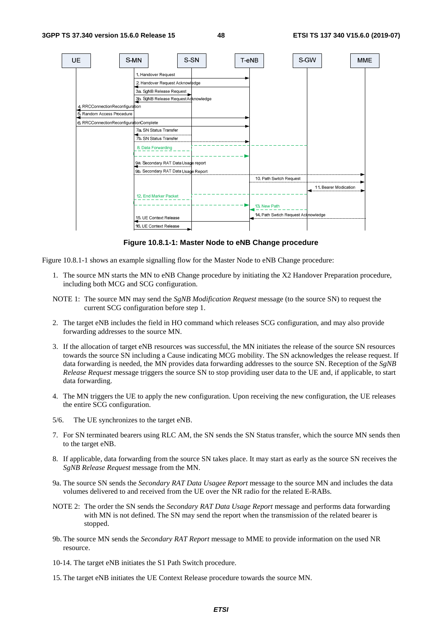

**Figure 10.8.1-1: Master Node to eNB Change procedure** 

Figure 10.8.1-1 shows an example signalling flow for the Master Node to eNB Change procedure:

- 1. The source MN starts the MN to eNB Change procedure by initiating the X2 Handover Preparation procedure, including both MCG and SCG configuration.
- NOTE 1: The source MN may send the *SgNB Modification Request* message (to the source SN) to request the current SCG configuration before step 1.
- 2. The target eNB includes the field in HO command which releases SCG configuration, and may also provide forwarding addresses to the source MN.
- 3. If the allocation of target eNB resources was successful, the MN initiates the release of the source SN resources towards the source SN including a Cause indicating MCG mobility. The SN acknowledges the release request. If data forwarding is needed, the MN provides data forwarding addresses to the source SN. Reception of the *SgNB Release Request* message triggers the source SN to stop providing user data to the UE and, if applicable, to start data forwarding.
- 4. The MN triggers the UE to apply the new configuration. Upon receiving the new configuration, the UE releases the entire SCG configuration.
- 5/6. The UE synchronizes to the target eNB.
- 7. For SN terminated bearers using RLC AM, the SN sends the SN Status transfer, which the source MN sends then to the target eNB.
- 8. If applicable, data forwarding from the source SN takes place. It may start as early as the source SN receives the *SgNB Release Request* message from the MN.
- 9a. The source SN sends the *Secondary RAT Data Usagee Report* message to the source MN and includes the data volumes delivered to and received from the UE over the NR radio for the related E-RABs.
- NOTE 2: The order the SN sends the *Secondary RAT Data Usage Report* message and performs data forwarding with MN is not defined. The SN may send the report when the transmission of the related bearer is stopped.
- 9b. The source MN sends the *Secondary RAT Report* message to MME to provide information on the used NR resource.
- 10-14. The target eNB initiates the S1 Path Switch procedure.
- 15. The target eNB initiates the UE Context Release procedure towards the source MN.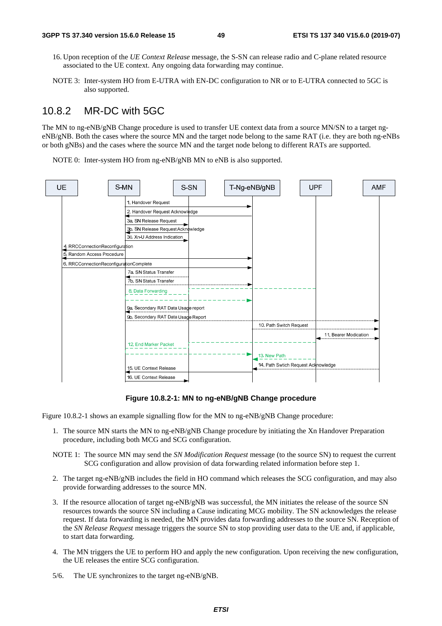- 16. Upon reception of the *UE Context Release* message, the S-SN can release radio and C-plane related resource associated to the UE context. Any ongoing data forwarding may continue.
- NOTE 3: Inter-system HO from E-UTRA with EN-DC configuration to NR or to E-UTRA connected to 5GC is also supported.

## 10.8.2 MR-DC with 5GC

The MN to ng-eNB/gNB Change procedure is used to transfer UE context data from a source MN/SN to a target ngeNB/gNB. Both the cases where the source MN and the target node belong to the same RAT (i.e. they are both ng-eNBs or both gNBs) and the cases where the source MN and the target node belong to different RATs are supported.

NOTE 0: Inter-system HO from ng-eNB/gNB MN to eNB is also supported.



#### **Figure 10.8.2-1: MN to ng-eNB/gNB Change procedure**

Figure 10.8.2-1 shows an example signalling flow for the MN to ng-eNB/gNB Change procedure:

- 1. The source MN starts the MN to ng-eNB/gNB Change procedure by initiating the Xn Handover Preparation procedure, including both MCG and SCG configuration.
- NOTE 1: The source MN may send the *SN Modification Request* message (to the source SN) to request the current SCG configuration and allow provision of data forwarding related information before step 1.
- 2. The target ng-eNB/gNB includes the field in HO command which releases the SCG configuration, and may also provide forwarding addresses to the source MN.
- 3. If the resource allocation of target ng-eNB/gNB was successful, the MN initiates the release of the source SN resources towards the source SN including a Cause indicating MCG mobility. The SN acknowledges the release request. If data forwarding is needed, the MN provides data forwarding addresses to the source SN. Reception of the *SN Release Request* message triggers the source SN to stop providing user data to the UE and, if applicable, to start data forwarding.
- 4. The MN triggers the UE to perform HO and apply the new configuration. Upon receiving the new configuration, the UE releases the entire SCG configuration.
- 5/6. The UE synchronizes to the target ng-eNB/gNB.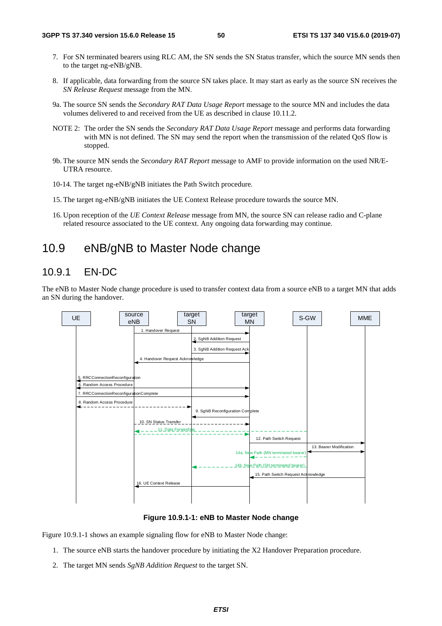- 7. For SN terminated bearers using RLC AM, the SN sends the SN Status transfer, which the source MN sends then to the target ng-eNB/gNB.
- 8. If applicable, data forwarding from the source SN takes place. It may start as early as the source SN receives the *SN Release Request* message from the MN.
- 9a. The source SN sends the *Secondary RAT Data Usage Report* message to the source MN and includes the data volumes delivered to and received from the UE as described in clause 10.11.2.
- NOTE 2: The order the SN sends the *Secondary RAT Data Usage Report* message and performs data forwarding with MN is not defined. The SN may send the report when the transmission of the related QoS flow is stopped.
- 9b. The source MN sends the *Secondary RAT Report* message to AMF to provide information on the used NR/E-UTRA resource.
- 10-14. The target ng-eNB/gNB initiates the Path Switch procedure*.*
- 15. The target ng-eNB/gNB initiates the UE Context Release procedure towards the source MN.
- 16. Upon reception of the *UE Context Release* message from MN, the source SN can release radio and C-plane related resource associated to the UE context. Any ongoing data forwarding may continue.

### 10.9 eNB/gNB to Master Node change

### 10.9.1 EN-DC

The eNB to Master Node change procedure is used to transfer context data from a source eNB to a target MN that adds an SN during the handover.



**Figure 10.9.1-1: eNB to Master Node change** 

Figure 10.9.1-1 shows an example signaling flow for eNB to Master Node change:

- 1. The source eNB starts the handover procedure by initiating the X2 Handover Preparation procedure.
- 2. The target MN sends *SgNB Addition Request* to the target SN.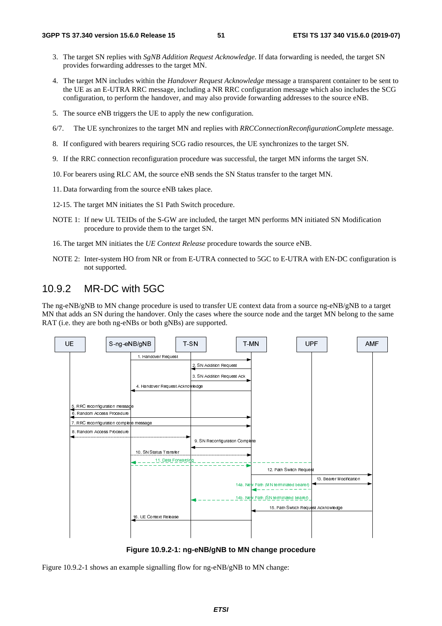- 3. The target SN replies with *SgNB Addition Request Acknowledge*. If data forwarding is needed, the target SN provides forwarding addresses to the target MN.
- 4. The target MN includes within the *Handover Request Acknowledge* message a transparent container to be sent to the UE as an E-UTRA RRC message, including a NR RRC configuration message which also includes the SCG configuration, to perform the handover, and may also provide forwarding addresses to the source eNB.
- 5. The source eNB triggers the UE to apply the new configuration.
- 6/7. The UE synchronizes to the target MN and replies with *RRCConnectionReconfigurationComplete* message.
- 8. If configured with bearers requiring SCG radio resources, the UE synchronizes to the target SN.
- 9. If the RRC connection reconfiguration procedure was successful, the target MN informs the target SN.
- 10. For bearers using RLC AM, the source eNB sends the SN Status transfer to the target MN.
- 11. Data forwarding from the source eNB takes place.
- 12-15. The target MN initiates the S1 Path Switch procedure.
- NOTE 1: If new UL TEIDs of the S-GW are included, the target MN performs MN initiated SN Modification procedure to provide them to the target SN.
- 16. The target MN initiates the *UE Context Release* procedure towards the source eNB.
- NOTE 2: Inter-system HO from NR or from E-UTRA connected to 5GC to E-UTRA with EN-DC configuration is not supported.

### 10.9.2 MR-DC with 5GC

The ng-eNB/gNB to MN change procedure is used to transfer UE context data from a source ng-eNB/gNB to a target MN that adds an SN during the handover. Only the cases where the source node and the target MN belong to the same RAT (i.e. they are both ng-eNBs or both gNBs) are supported.



**Figure 10.9.2-1: ng-eNB/gNB to MN change procedure** 

Figure 10.9.2-1 shows an example signalling flow for ng-eNB/gNB to MN change: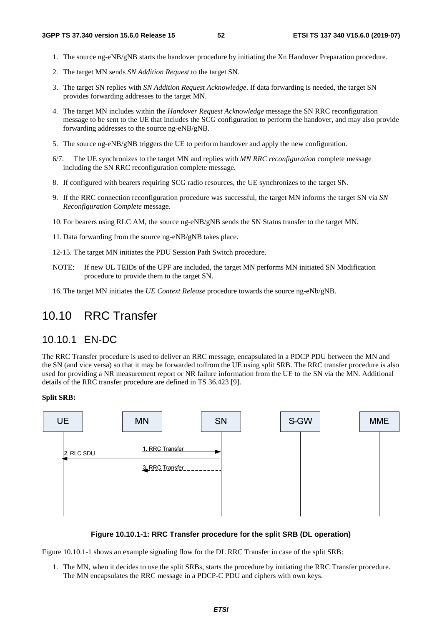- 1. The source ng-eNB/gNB starts the handover procedure by initiating the Xn Handover Preparation procedure.
- 2. The target MN sends *SN Addition Request* to the target SN.
- 3. The target SN replies with *SN Addition Request Acknowledge*. If data forwarding is needed, the target SN provides forwarding addresses to the target MN.
- 4. The target MN includes within the *Handover Request Acknowledge* message the SN RRC reconfiguration message to be sent to the UE that includes the SCG configuration to perform the handover, and may also provide forwarding addresses to the source ng-eNB/gNB.
- 5. The source ng-eNB/gNB triggers the UE to perform handover and apply the new configuration.
- 6/7. The UE synchronizes to the target MN and replies with *MN RRC reconfiguration* complete message including the SN RRC reconfiguration complete message.
- 8. If configured with bearers requiring SCG radio resources, the UE synchronizes to the target SN.
- 9. If the RRC connection reconfiguration procedure was successful, the target MN informs the target SN via *SN Reconfiguration Complete* message.
- 10. For bearers using RLC AM, the source ng-eNB/gNB sends the SN Status transfer to the target MN.
- 11. Data forwarding from the source ng-eNB/gNB takes place.
- 12-15. The target MN initiates the PDU Session Path Switch procedure.
- NOTE: If new UL TEIDs of the UPF are included, the target MN performs MN initiated SN Modification procedure to provide them to the target SN.
- 16. The target MN initiates the *UE Context Release* procedure towards the source ng-eNb/gNB.

### 10.10 RRC Transfer

### 10.10.1 EN-DC

The RRC Transfer procedure is used to deliver an RRC message, encapsulated in a PDCP PDU between the MN and the SN (and vice versa) so that it may be forwarded to/from the UE using split SRB. The RRC transfer procedure is also used for providing a NR measurement report or NR failure information from the UE to the SN via the MN. Additional details of the RRC transfer procedure are defined in TS 36.423 [9].

#### **Split SRB:**



#### **Figure 10.10.1-1: RRC Transfer procedure for the split SRB (DL operation)**

Figure 10.10.1-1 shows an example signaling flow for the DL RRC Transfer in case of the split SRB:

1. The MN, when it decides to use the split SRBs, starts the procedure by initiating the RRC Transfer procedure. The MN encapsulates the RRC message in a PDCP-C PDU and ciphers with own keys.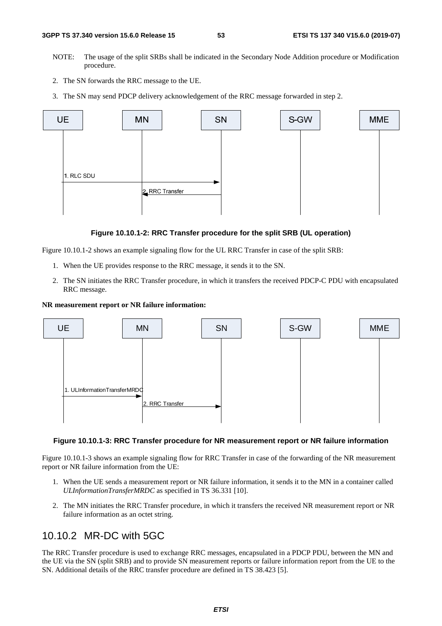- NOTE: The usage of the split SRBs shall be indicated in the Secondary Node Addition procedure or Modification procedure.
- 2. The SN forwards the RRC message to the UE.
- 3. The SN may send PDCP delivery acknowledgement of the RRC message forwarded in step 2.



#### **Figure 10.10.1-2: RRC Transfer procedure for the split SRB (UL operation)**

Figure 10.10.1-2 shows an example signaling flow for the UL RRC Transfer in case of the split SRB:

- 1. When the UE provides response to the RRC message, it sends it to the SN.
- 2. The SN initiates the RRC Transfer procedure, in which it transfers the received PDCP-C PDU with encapsulated RRC message.

#### **NR measurement report or NR failure information:**



#### **Figure 10.10.1-3: RRC Transfer procedure for NR measurement report or NR failure information**

Figure 10.10.1-3 shows an example signaling flow for RRC Transfer in case of the forwarding of the NR measurement report or NR failure information from the UE:

- 1. When the UE sends a measurement report or NR failure information, it sends it to the MN in a container called *ULInformationTransferMRDC* as specified in TS 36.331 [10].
- 2. The MN initiates the RRC Transfer procedure, in which it transfers the received NR measurement report or NR failure information as an octet string.

### 10.10.2 MR-DC with 5GC

The RRC Transfer procedure is used to exchange RRC messages, encapsulated in a PDCP PDU, between the MN and the UE via the SN (split SRB) and to provide SN measurement reports or failure information report from the UE to the SN. Additional details of the RRC transfer procedure are defined in TS 38.423 [5].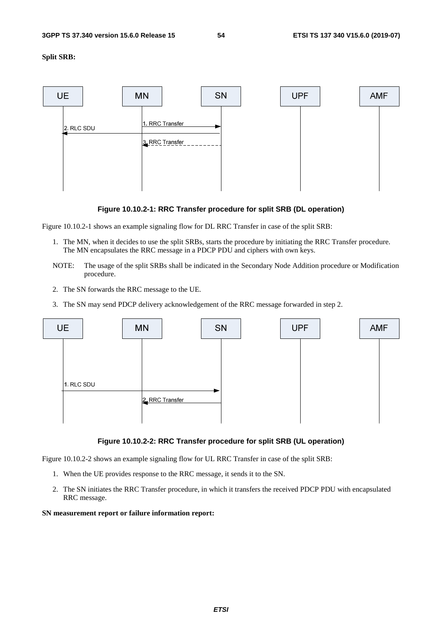**Split SRB:** 





Figure 10.10.2-1 shows an example signaling flow for DL RRC Transfer in case of the split SRB:

- 1. The MN, when it decides to use the split SRBs, starts the procedure by initiating the RRC Transfer procedure. The MN encapsulates the RRC message in a PDCP PDU and ciphers with own keys.
- NOTE: The usage of the split SRBs shall be indicated in the Secondary Node Addition procedure or Modification procedure.
- 2. The SN forwards the RRC message to the UE.
- 3. The SN may send PDCP delivery acknowledgement of the RRC message forwarded in step 2.



**Figure 10.10.2-2: RRC Transfer procedure for split SRB (UL operation)** 

Figure 10.10.2-2 shows an example signaling flow for UL RRC Transfer in case of the split SRB:

- 1. When the UE provides response to the RRC message, it sends it to the SN.
- 2. The SN initiates the RRC Transfer procedure, in which it transfers the received PDCP PDU with encapsulated RRC message.

#### **SN measurement report or failure information report:**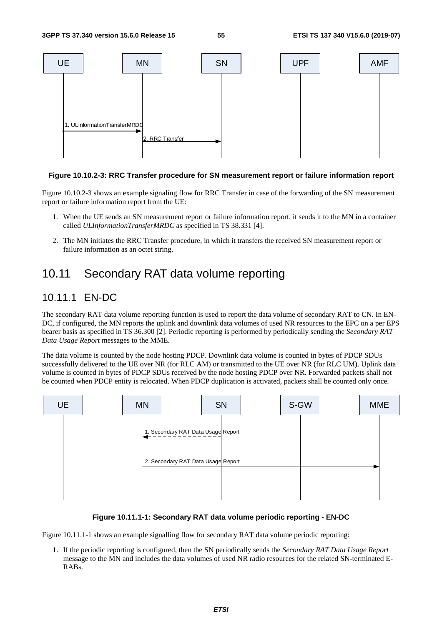

#### **Figure 10.10.2-3: RRC Transfer procedure for SN measurement report or failure information report**

Figure 10.10.2-3 shows an example signaling flow for RRC Transfer in case of the forwarding of the SN measurement report or failure information report from the UE:

- 1. When the UE sends an SN measurement report or failure information report, it sends it to the MN in a container called *ULInformationTransferMRDC* as specified in TS 38.331 [4].
- 2. The MN initiates the RRC Transfer procedure, in which it transfers the received SN measurement report or failure information as an octet string.

## 10.11 Secondary RAT data volume reporting

### 10.11.1 EN-DC

The secondary RAT data volume reporting function is used to report the data volume of secondary RAT to CN. In EN-DC, if configured, the MN reports the uplink and downlink data volumes of used NR resources to the EPC on a per EPS bearer basis as specified in TS 36.300 [2]. Periodic reporting is performed by periodically sending the *Secondary RAT Data Usage Report* messages to the MME.

The data volume is counted by the node hosting PDCP. Downlink data volume is counted in bytes of PDCP SDUs successfully delivered to the UE over NR (for RLC AM) or transmitted to the UE over NR (for RLC UM). Uplink data volume is counted in bytes of PDCP SDUs received by the node hosting PDCP over NR. Forwarded packets shall not be counted when PDCP entity is relocated. When PDCP duplication is activated, packets shall be counted only once.



#### **Figure 10.11.1-1: Secondary RAT data volume periodic reporting - EN-DC**

Figure 10.11.1-1 shows an example signalling flow for secondary RAT data volume periodic reporting:

1. If the periodic reporting is configured, then the SN periodically sends the *Secondary RAT Data Usage Report* message to the MN and includes the data volumes of used NR radio resources for the related SN-terminated E-RABs.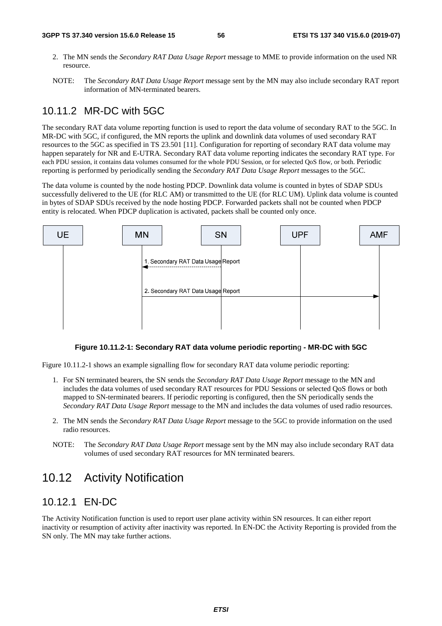- 2. The MN sends the *Secondary RAT Data Usage Report* message to MME to provide information on the used NR resource.
- NOTE: The *Secondary RAT Data Usage Report* message sent by the MN may also include secondary RAT report information of MN-terminated bearers.

## 10.11.2 MR-DC with 5GC

The secondary RAT data volume reporting function is used to report the data volume of secondary RAT to the 5GC. In MR-DC with 5GC, if configured, the MN reports the uplink and downlink data volumes of used secondary RAT resources to the 5GC as specified in TS 23.501 [11]. Configuration for reporting of secondary RAT data volume may happen separately for NR and E-UTRA. Secondary RAT data volume reporting indicates the secondary RAT type. For each PDU session, it contains data volumes consumed for the whole PDU Session, or for selected QoS flow, or both. Periodic reporting is performed by periodically sending the *Secondary RAT Data Usage Report* messages to the 5GC.

The data volume is counted by the node hosting PDCP. Downlink data volume is counted in bytes of SDAP SDUs successfully delivered to the UE (for RLC AM) or transmitted to the UE (for RLC UM). Uplink data volume is counted in bytes of SDAP SDUs received by the node hosting PDCP. Forwarded packets shall not be counted when PDCP entity is relocated. When PDCP duplication is activated, packets shall be counted only once.



#### **Figure 10.11.2-1: Secondary RAT data volume periodic reportin**g **- MR-DC with 5GC**

Figure 10.11.2-1 shows an example signalling flow for secondary RAT data volume periodic reporting:

- 1. For SN terminated bearers, the SN sends the *Secondary RAT Data Usage Report* message to the MN and includes the data volumes of used secondary RAT resources for PDU Sessions or selected QoS flows or both mapped to SN-terminated bearers. If periodic reporting is configured, then the SN periodically sends the *Secondary RAT Data Usage Report* message to the MN and includes the data volumes of used radio resources.
- 2. The MN sends the *Secondary RAT Data Usage Report* message to the 5GC to provide information on the used radio resources.
- NOTE: The *Secondary RAT Data Usage Report* message sent by the MN may also include secondary RAT data volumes of used secondary RAT resources for MN terminated bearers.

# 10.12 Activity Notification

### 10.12.1 EN-DC

The Activity Notification function is used to report user plane activity within SN resources. It can either report inactivity or resumption of activity after inactivity was reported. In EN-DC the Activity Reporting is provided from the SN only. The MN may take further actions.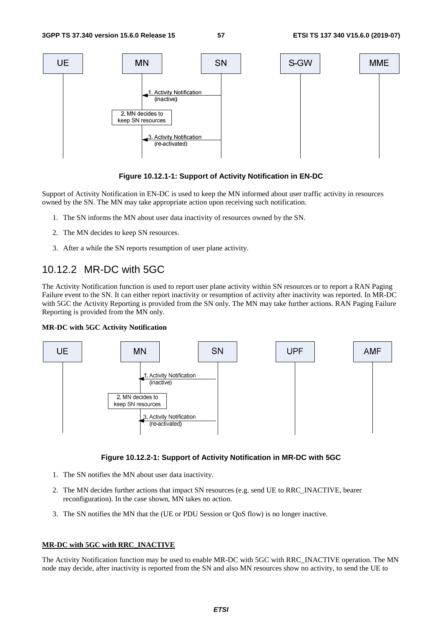

#### **Figure 10.12.1-1: Support of Activity Notification in EN-DC**

Support of Activity Notification in EN-DC is used to keep the MN informed about user traffic activity in resources owned by the SN. The MN may take appropriate action upon receiving such notification.

- 1. The SN informs the MN about user data inactivity of resources owned by the SN.
- 2. The MN decides to keep SN resources.
- 3. After a while the SN reports resumption of user plane activity.

### 10.12.2 MR-DC with 5GC

The Activity Notification function is used to report user plane activity within SN resources or to report a RAN Paging Failure event to the SN. It can either report inactivity or resumption of activity after inactivity was reported. In MR-DC with 5GC the Activity Reporting is provided from the SN only. The MN may take further actions. RAN Paging Failure Reporting is provided from the MN only.

#### **MR-DC with 5GC Activity Notification**



#### **Figure 10.12.2-1: Support of Activity Notification in MR-DC with 5GC**

- 1. The SN notifies the MN about user data inactivity.
- 2. The MN decides further actions that impact SN resources (e.g. send UE to RRC\_INACTIVE, bearer reconfiguration). In the case shown, MN takes no action.
- 3. The SN notifies the MN that the (UE or PDU Session or QoS flow) is no longer inactive.

#### **MR-DC with 5GC with RRC\_INACTIVE**

The Activity Notification function may be used to enable MR-DC with 5GC with RRC\_INACTIVE operation. The MN node may decide, after inactivity is reported from the SN and also MN resources show no activity, to send the UE to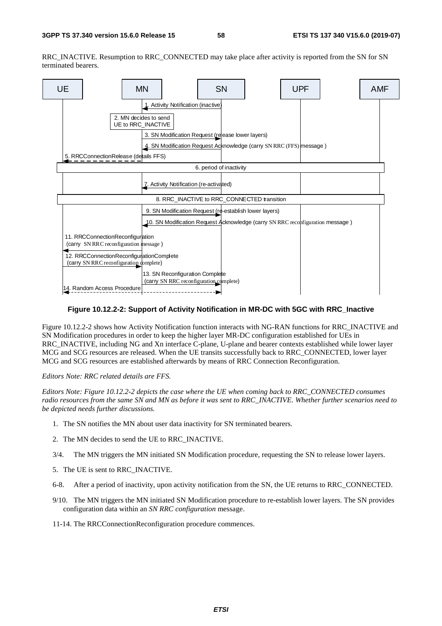RRC\_INACTIVE. Resumption to RRC\_CONNECTED may take place after activity is reported from the SN for SN terminated bearers.



#### **Figure 10.12.2-2: Support of Activity Notification in MR-DC with 5GC with RRC\_Inactive**

Figure 10.12.2-2 shows how Activity Notification function interacts with NG-RAN functions for RRC\_INACTIVE and SN Modification procedures in order to keep the higher layer MR-DC configuration established for UEs in RRC\_INACTIVE, including NG and Xn interface C-plane, U-plane and bearer contexts established while lower layer MCG and SCG resources are released. When the UE transits successfully back to RRC\_CONNECTED, lower layer MCG and SCG resources are established afterwards by means of RRC Connection Reconfiguration.

*Editors Note: RRC related details are FFS.* 

*Editors Note: Figure 10.12.2-2 depicts the case where the UE when coming back to RRC\_CONNECTED consumes radio resources from the same SN and MN as before it was sent to RRC\_INACTIVE. Whether further scenarios need to be depicted needs further discussions.* 

- 1. The SN notifies the MN about user data inactivity for SN terminated bearers.
- 2. The MN decides to send the UE to RRC\_INACTIVE.
- 3/4. The MN triggers the MN initiated SN Modification procedure, requesting the SN to release lower layers.
- 5. The UE is sent to RRC\_INACTIVE.
- 6-8. After a period of inactivity, upon activity notification from the SN, the UE returns to RRC\_CONNECTED.
- 9/10. The MN triggers the MN initiated SN Modification procedure to re-establish lower layers. The SN provides configuration data within an *SN RRC configuration* message.
- 11-14. The RRCConnectionReconfiguration procedure commences.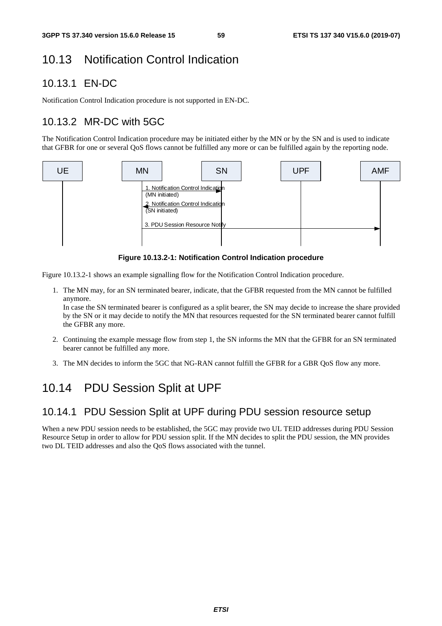# 10.13 Notification Control Indication

# 10.13.1 EN-DC

Notification Control Indication procedure is not supported in EN-DC.

# 10.13.2 MR-DC with 5GC

The Notification Control Indication procedure may be initiated either by the MN or by the SN and is used to indicate that GFBR for one or several QoS flows cannot be fulfilled any more or can be fulfilled again by the reporting node.



**Figure 10.13.2-1: Notification Control Indication procedure** 

Figure 10.13.2-1 shows an example signalling flow for the Notification Control Indication procedure.

1. The MN may, for an SN terminated bearer, indicate, that the GFBR requested from the MN cannot be fulfilled anymore.

In case the SN terminated bearer is configured as a split bearer, the SN may decide to increase the share provided by the SN or it may decide to notify the MN that resources requested for the SN terminated bearer cannot fulfill the GFBR any more.

- 2. Continuing the example message flow from step 1, the SN informs the MN that the GFBR for an SN terminated bearer cannot be fulfilled any more.
- 3. The MN decides to inform the 5GC that NG-RAN cannot fulfill the GFBR for a GBR QoS flow any more.

# 10.14 PDU Session Split at UPF

## 10.14.1 PDU Session Split at UPF during PDU session resource setup

When a new PDU session needs to be established, the 5GC may provide two UL TEID addresses during PDU Session Resource Setup in order to allow for PDU session split. If the MN decides to split the PDU session, the MN provides two DL TEID addresses and also the QoS flows associated with the tunnel.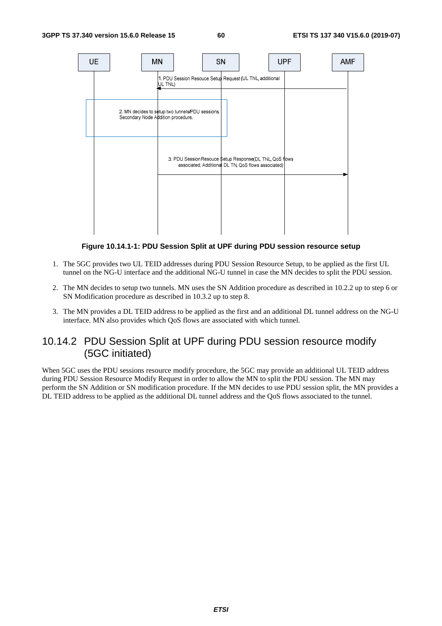

**Figure 10.14.1-1: PDU Session Split at UPF during PDU session resource setup** 

- 1. The 5GC provides two UL TEID addresses during PDU Session Resource Setup, to be applied as the first UL tunnel on the NG-U interface and the additional NG-U tunnel in case the MN decides to split the PDU session.
- 2. The MN decides to setup two tunnels. MN uses the SN Addition procedure as described in 10.2.2 up to step 6 or SN Modification procedure as described in 10.3.2 up to step 8.
- 3. The MN provides a DL TEID address to be applied as the first and an additional DL tunnel address on the NG-U interface. MN also provides which QoS flows are associated with which tunnel.

### 10.14.2 PDU Session Split at UPF during PDU session resource modify (5GC initiated)

When 5GC uses the PDU sessions resource modify procedure, the 5GC may provide an additional UL TEID address during PDU Session Resource Modify Request in order to allow the MN to split the PDU session. The MN may perform the SN Addition or SN modification procedure. If the MN decides to use PDU session split, the MN provides a DL TEID address to be applied as the additional DL tunnel address and the QoS flows associated to the tunnel.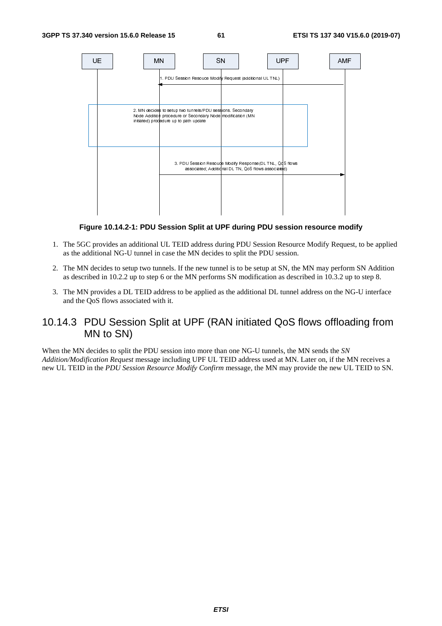

**Figure 10.14.2-1: PDU Session Split at UPF during PDU session resource modify** 

- 1. The 5GC provides an additional UL TEID address during PDU Session Resource Modify Request, to be applied as the additional NG-U tunnel in case the MN decides to split the PDU session.
- 2. The MN decides to setup two tunnels. If the new tunnel is to be setup at SN, the MN may perform SN Addition as described in 10.2.2 up to step 6 or the MN performs SN modification as described in 10.3.2 up to step 8.
- 3. The MN provides a DL TEID address to be applied as the additional DL tunnel address on the NG-U interface and the QoS flows associated with it.

### 10.14.3 PDU Session Split at UPF (RAN initiated QoS flows offloading from MN to SN)

When the MN decides to split the PDU session into more than one NG-U tunnels, the MN sends the *SN Addition/Modification Request* message including UPF UL TEID address used at MN. Later on, if the MN receives a new UL TEID in the *PDU Session Resource Modify Confirm* message, the MN may provide the new UL TEID to SN.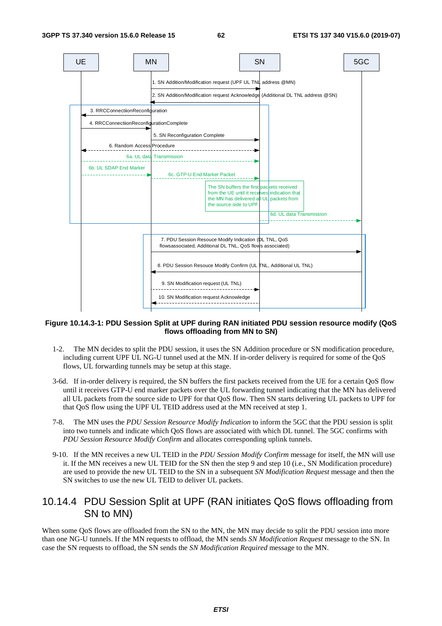

#### **Figure 10.14.3-1: PDU Session Split at UPF during RAN initiated PDU session resource modify (QoS flows offloading from MN to SN)**

- 1-2. The MN decides to split the PDU session, it uses the SN Addition procedure or SN modification procedure, including current UPF UL NG-U tunnel used at the MN. If in-order delivery is required for some of the QoS flows, UL forwarding tunnels may be setup at this stage.
- 3-6d. If in-order delivery is required, the SN buffers the first packets received from the UE for a certain QoS flow until it receives GTP-U end marker packets over the UL forwarding tunnel indicating that the MN has delivered all UL packets from the source side to UPF for that QoS flow. Then SN starts delivering UL packets to UPF for that QoS flow using the UPF UL TEID address used at the MN received at step 1.
- 7-8. The MN uses the *PDU Session Resource Modify Indication* to inform the 5GC that the PDU session is split into two tunnels and indicate which QoS flows are associated with which DL tunnel. The 5GC confirms with *PDU Session Resource Modify Confirm* and allocates corresponding uplink tunnels.
- 9-10. If the MN receives a new UL TEID in the *PDU Session Modify Confirm* message for itself, the MN will use it. If the MN receives a new UL TEID for the SN then the step 9 and step 10 (i.e., SN Modification procedure) are used to provide the new UL TEID to the SN in a subsequent *SN Modification Request* message and then the SN switches to use the new UL TEID to deliver UL packets.

### 10.14.4 PDU Session Split at UPF (RAN initiates QoS flows offloading from SN to MN)

When some QoS flows are offloaded from the SN to the MN, the MN may decide to split the PDU session into more than one NG-U tunnels. If the MN requests to offload, the MN sends *SN Modification Request* message to the SN. In case the SN requests to offload, the SN sends the *SN Modification Required* message to the MN.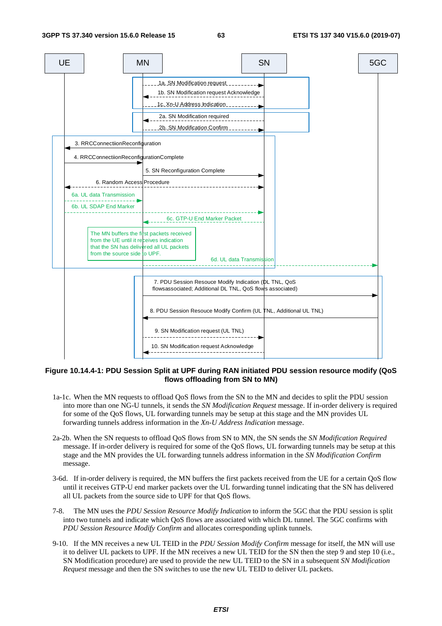

#### **Figure 10.14.4-1: PDU Session Split at UPF during RAN initiated PDU session resource modify (QoS flows offloading from SN to MN)**

- 1a-1c. When the MN requests to offload QoS flows from the SN to the MN and decides to split the PDU session into more than one NG-U tunnels, it sends the *SN Modification Request* message. If in-order delivery is required for some of the QoS flows, UL forwarding tunnels may be setup at this stage and the MN provides UL forwarding tunnels address information in the *Xn-U Address Indication* message.
- 2a-2b. When the SN requests to offload QoS flows from SN to MN, the SN sends the *SN Modification Required* message. If in-order delivery is required for some of the QoS flows, UL forwarding tunnels may be setup at this stage and the MN provides the UL forwarding tunnels address information in the *SN Modification Confirm* message.
- 3-6d. If in-order delivery is required, the MN buffers the first packets received from the UE for a certain QoS flow until it receives GTP-U end marker packets over the UL forwarding tunnel indicating that the SN has delivered all UL packets from the source side to UPF for that QoS flows.
- 7-8. The MN uses the *PDU Session Resource Modify Indication* to inform the 5GC that the PDU session is split into two tunnels and indicate which QoS flows are associated with which DL tunnel. The 5GC confirms with *PDU Session Resource Modify Confirm* and allocates corresponding uplink tunnels.
- 9-10. If the MN receives a new UL TEID in the *PDU Session Modify Confirm* message for itself, the MN will use it to deliver UL packets to UPF. If the MN receives a new UL TEID for the SN then the step 9 and step 10 (i.e., SN Modification procedure) are used to provide the new UL TEID to the SN in a subsequent *SN Modification Request* message and then the SN switches to use the new UL TEID to deliver UL packets.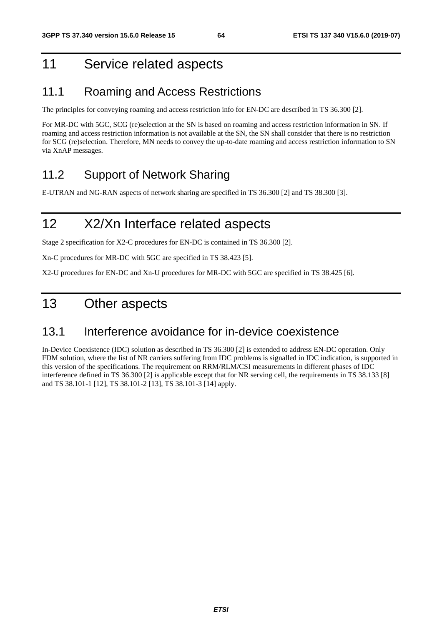# 11 Service related aspects

## 11.1 Roaming and Access Restrictions

The principles for conveying roaming and access restriction info for EN-DC are described in TS 36.300 [2].

For MR-DC with 5GC, SCG (re)selection at the SN is based on roaming and access restriction information in SN. If roaming and access restriction information is not available at the SN, the SN shall consider that there is no restriction for SCG (re)selection. Therefore, MN needs to convey the up-to-date roaming and access restriction information to SN via XnAP messages.

## 11.2 Support of Network Sharing

E-UTRAN and NG-RAN aspects of network sharing are specified in TS 36.300 [2] and TS 38.300 [3].

# 12 X2/Xn Interface related aspects

Stage 2 specification for X2-C procedures for EN-DC is contained in TS 36.300 [2].

Xn-C procedures for MR-DC with 5GC are specified in TS 38.423 [5].

X2-U procedures for EN-DC and Xn-U procedures for MR-DC with 5GC are specified in TS 38.425 [6].

# 13 Other aspects

## 13.1 Interference avoidance for in-device coexistence

In-Device Coexistence (IDC) solution as described in TS 36.300 [2] is extended to address EN-DC operation. Only FDM solution, where the list of NR carriers suffering from IDC problems is signalled in IDC indication, is supported in this version of the specifications. The requirement on RRM/RLM/CSI measurements in different phases of IDC interference defined in TS 36.300 [2] is applicable except that for NR serving cell, the requirements in TS 38.133 [8] and TS 38.101-1 [12], TS 38.101-2 [13], TS 38.101-3 [14] apply.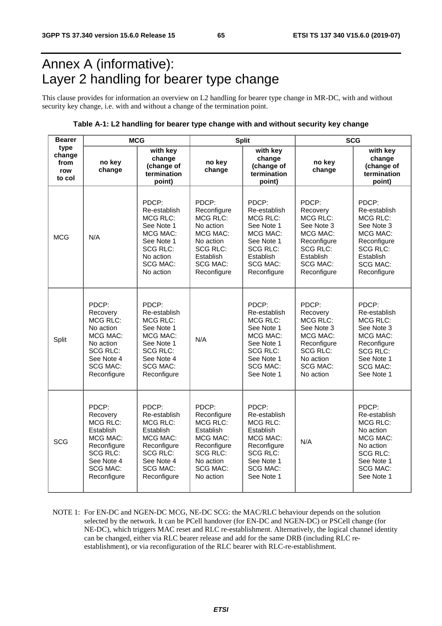# Annex A (informative): Layer 2 handling for bearer type change

This clause provides for information an overview on L2 handling for bearer type change in MR-DC, with and without security key change, i.e. with and without a change of the termination point.

#### **Table A-1: L2 handling for bearer type change with and without security key change**

| <b>Bearer</b>                           | <b>MCG</b>                                                                                                                               |                                                                                                                                                  |                                                                                                                                                 | <b>Split</b>                                                                                                                                       | <b>SCG</b>                                                                                                                                      |                                                                                                                                                         |  |
|-----------------------------------------|------------------------------------------------------------------------------------------------------------------------------------------|--------------------------------------------------------------------------------------------------------------------------------------------------|-------------------------------------------------------------------------------------------------------------------------------------------------|----------------------------------------------------------------------------------------------------------------------------------------------------|-------------------------------------------------------------------------------------------------------------------------------------------------|---------------------------------------------------------------------------------------------------------------------------------------------------------|--|
| type<br>change<br>from<br>row<br>to col | no key<br>change                                                                                                                         | with key<br>change<br>(change of<br>termination<br>point)                                                                                        | no key<br>change                                                                                                                                | with key<br>change<br>(change of<br>termination<br>point)                                                                                          | no key<br>change                                                                                                                                | with key<br>change<br>(change of<br>termination<br>point)                                                                                               |  |
| <b>MCG</b>                              | N/A                                                                                                                                      | PDCP:<br>Re-establish<br><b>MCG RLC:</b><br>See Note 1<br>MCG MAC:<br>See Note 1<br><b>SCG RLC:</b><br>No action<br><b>SCG MAC:</b><br>No action | PDCP:<br>Reconfigure<br>MCG RLC:<br>No action<br>MCG MAC:<br>No action<br><b>SCG RLC:</b><br>Establish<br><b>SCG MAC:</b><br>Reconfigure        | PDCP:<br>Re-establish<br><b>MCG RLC:</b><br>See Note 1<br>MCG MAC:<br>See Note 1<br><b>SCG RLC:</b><br>Establish<br><b>SCG MAC:</b><br>Reconfigure | PDCP:<br>Recovery<br><b>MCG RLC:</b><br>See Note 3<br>MCG MAC:<br>Reconfigure<br><b>SCG RLC:</b><br>Establish<br><b>SCG MAC:</b><br>Reconfigure | PDCP:<br>Re-establish<br><b>MCG RLC:</b><br>See Note 3<br>MCG MAC:<br>Reconfigure<br><b>SCG RLC:</b><br>Establish<br><b>SCG MAC:</b><br>Reconfigure     |  |
| Split                                   | PDCP:<br>Recovery<br><b>MCG RLC:</b><br>No action<br>MCG MAC:<br>No action<br>SCG RLC:<br>See Note 4<br><b>SCG MAC:</b><br>Reconfigure   | PDCP:<br>Re-establish<br>MCG RLC:<br>See Note 1<br>MCG MAC:<br>See Note 1<br>SCG RLC:<br>See Note 4<br><b>SCG MAC:</b><br>Reconfigure            | N/A                                                                                                                                             | PDCP:<br>Re-establish<br>MCG RLC:<br>See Note 1<br>MCG MAC:<br>See Note 1<br>SCG RLC:<br>See Note 1<br><b>SCG MAC:</b><br>See Note 1               | PDCP:<br>Recovery<br>MCG RLC:<br>See Note 3<br>MCG MAC:<br>Reconfigure<br>SCG RLC:<br>No action<br><b>SCG MAC:</b><br>No action                 | PDCP:<br>Re-establish<br><b>MCG RLC:</b><br>See Note 3<br>MCG MAC:<br>Reconfigure<br>SCG RLC:<br>See Note 1<br><b>SCG MAC:</b><br>See Note 1            |  |
| <b>SCG</b>                              | PDCP:<br>Recovery<br><b>MCG RLC:</b><br>Establish<br>MCG MAC:<br>Reconfigure<br>SCG RLC:<br>See Note 4<br><b>SCG MAC:</b><br>Reconfigure | PDCP:<br>Re-establish<br>MCG RLC:<br>Establish<br>MCG MAC:<br>Reconfigure<br>SCG RLC:<br>See Note 4<br><b>SCG MAC:</b><br>Reconfigure            | PDCP:<br>Reconfigure<br>MCG RLC:<br>Establish<br><b>MCG MAC:</b><br>Reconfigure<br><b>SCG RLC:</b><br>No action<br><b>SCG MAC:</b><br>No action | PDCP:<br>Re-establish<br>MCG RLC:<br>Establish<br>MCG MAC:<br>Reconfigure<br><b>SCG RLC:</b><br>See Note 1<br><b>SCG MAC:</b><br>See Note 1        | N/A                                                                                                                                             | PDCP:<br>Re-establish<br><b>MCG RLC:</b><br>No action<br><b>MCG MAC:</b><br>No action<br><b>SCG RLC:</b><br>See Note 1<br><b>SCG MAC:</b><br>See Note 1 |  |

NOTE 1: For EN-DC and NGEN-DC MCG, NE-DC SCG: the MAC/RLC behaviour depends on the solution selected by the network. It can be PCell handover (for EN-DC and NGEN-DC) or PSCell change (for NE-DC), which triggers MAC reset and RLC re-establishment. Alternatively, the logical channel identity can be changed, either via RLC bearer release and add for the same DRB (including RLC reestablishment), or via reconfiguration of the RLC bearer with RLC-re-establishment.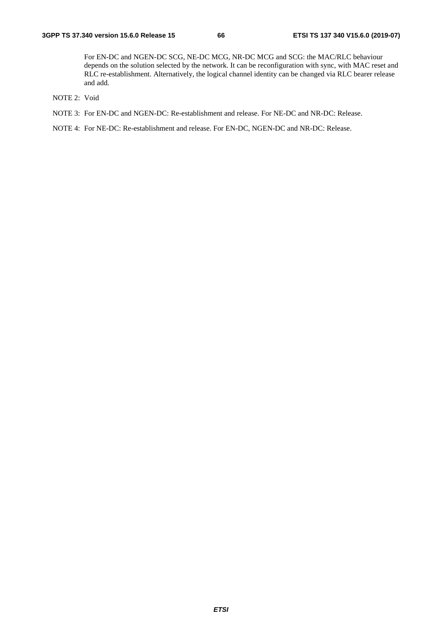For EN-DC and NGEN-DC SCG, NE-DC MCG, NR-DC MCG and SCG: the MAC/RLC behaviour depends on the solution selected by the network. It can be reconfiguration with sync, with MAC reset and RLC re-establishment. Alternatively, the logical channel identity can be changed via RLC bearer release and add.

- NOTE 2: Void
- NOTE 3: For EN-DC and NGEN-DC: Re-establishment and release. For NE-DC and NR-DC: Release.

NOTE 4: For NE-DC: Re-establishment and release. For EN-DC, NGEN-DC and NR-DC: Release.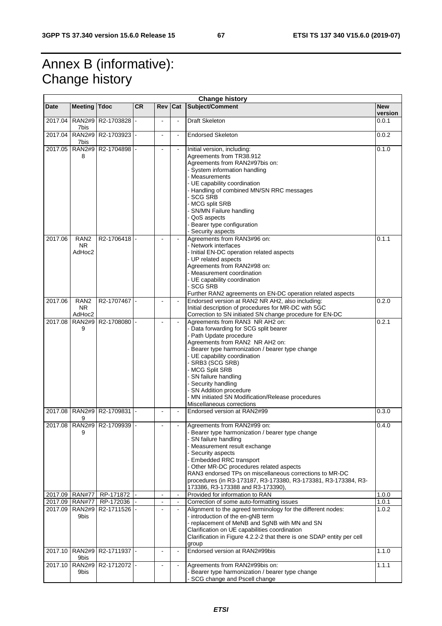# Annex B (informative): Change history

| <b>Change history</b> |                                         |                             |           |                                  |                          |                                                                                                                                                                                                                                                                                                                                                                                                                                 |                       |  |
|-----------------------|-----------------------------------------|-----------------------------|-----------|----------------------------------|--------------------------|---------------------------------------------------------------------------------------------------------------------------------------------------------------------------------------------------------------------------------------------------------------------------------------------------------------------------------------------------------------------------------------------------------------------------------|-----------------------|--|
| <b>Date</b>           | <b>Meeting</b>                          | <b>Tdoc</b>                 | <b>CR</b> | Rev                              | Cat                      | Subject/Comment                                                                                                                                                                                                                                                                                                                                                                                                                 | <b>New</b><br>version |  |
| 2017.04               | <b>RAN2#9</b><br>7bis                   | R2-1703828                  |           |                                  | $\blacksquare$           | <b>Draft Skeleton</b>                                                                                                                                                                                                                                                                                                                                                                                                           | 0.0.1                 |  |
| 2017.04               | 7bis                                    | RAN2#9 R2-1703923 -         |           | $\blacksquare$                   | $\blacksquare$           | <b>Endorsed Skeleton</b>                                                                                                                                                                                                                                                                                                                                                                                                        | 0.0.2                 |  |
| 2017.05               | <b>RAN2#9</b><br>8                      | R2-1704898                  |           |                                  |                          | Initial version, including:<br>Agreements from TR38.912<br>Agreements from RAN2#97bis on:<br>- System information handling<br>- Measurements<br>- UE capability coordination<br>- Handling of combined MN/SN RRC messages<br><b>SCG SRB</b><br>MCG split SRB<br>SN/MN Failure handling<br>- QoS aspects<br>Bearer type configuration<br>- Security aspects                                                                      |                       |  |
| 2017.06               | RAN <sub>2</sub><br><b>NR</b><br>AdHoc2 | R2-1706418                  |           |                                  |                          | Agreements from RAN3#96 on:<br>- Network interfaces<br>- Initial EN-DC operation related aspects<br>- UP related aspects<br>Agreements from RAN2#98 on:<br>- Measurement coordination<br>- UE capability coordination<br>- SCG SRB<br>Further RAN2 agreements on EN-DC operation related aspects                                                                                                                                | 0.1.1                 |  |
| 2017.06               | RAN <sub>2</sub><br><b>NR</b><br>AdHoc2 | R2-1707467                  |           | $\blacksquare$                   | $\blacksquare$           | Endorsed version at RAN2 NR AH2, also including:<br>Initial description of procedures for MR-DC with 5GC<br>Correction to SN initiated SN change procedure for EN-DC                                                                                                                                                                                                                                                            | 0.2.0                 |  |
| 2017.08               | <b>RAN2#9</b><br>9                      | R2-1708080                  |           | $\sim$                           |                          | Agreements from RAN3 NR AH2 on:<br>- Data forwarding for SCG split bearer<br>- Path Update procedure<br>Agreements from RAN2 NR AH2 on:<br>- Bearer type harmonization / bearer type change<br>- UE capability coordination<br>- SRB3 (SCG SRB)<br>- MCG Split SRB<br>- SN failure handling<br>- Security handling<br>- SN Addition procedure<br>- MN initiated SN Modification/Release procedures<br>Miscellaneous corrections | 0.2.1                 |  |
| 2017.08               | 9                                       | RAN2#9 R2-1709831           |           |                                  |                          | Endorsed version at RAN2#99                                                                                                                                                                                                                                                                                                                                                                                                     | 0.3.0                 |  |
|                       | 9                                       | 2017.08 RAN2#9 R2-1709939 - |           |                                  |                          | Agreements from RAN2#99 on:<br>Bearer type harmonization / bearer type change<br>SN failure handling<br>- Measurement result exchange<br>- Security aspects<br>- Embedded RRC transport<br>- Other MR-DC procedures related aspects<br>RAN3 endorsed TPs on miscellaneous corrections to MR-DC<br>procedures (in R3-173187, R3-173380, R3-173381, R3-173384, R3-<br>173386, R3-173388 and R3-173390),                           | 0.4.0                 |  |
| 2017.09               | <b>RAN#77</b>                           | RP-171872                   |           | $\blacksquare$                   | $\blacksquare$           | Provided for information to RAN                                                                                                                                                                                                                                                                                                                                                                                                 | 1.0.0                 |  |
| 2017.09<br>2017.09    | <b>RAN#77</b><br><b>RAN2#9</b><br>9bis  | RP-172036<br>R2-1711526     |           | $\blacksquare$<br>$\blacksquare$ | $\blacksquare$<br>$\Box$ | Correction of some auto-formatting issues<br>Alignment to the agreed terminology for the different nodes:<br>- introduction of the en-gNB term<br>- replacement of MeNB and SgNB with MN and SN<br>Clarification on UE capabilities coordination<br>Clarification in Figure 4.2.2-2 that there is one SDAP entity per cell<br>group                                                                                             | 1.0.1<br>1.0.2        |  |
| 2017.10               | <b>RAN2#9</b><br>9bis                   | R <sub>2</sub> -1711937 -   |           |                                  | $\blacksquare$           | Endorsed version at RAN2#99bis                                                                                                                                                                                                                                                                                                                                                                                                  | 1.1.0                 |  |
| 2017.10               | 9bis                                    | RAN2#9   R2-1712072  -      |           |                                  | $\blacksquare$           | Agreements from RAN2#99bis on:<br>- Bearer type harmonization / bearer type change<br>- SCG change and Pscell change                                                                                                                                                                                                                                                                                                            | $\overline{1}$ .1.1   |  |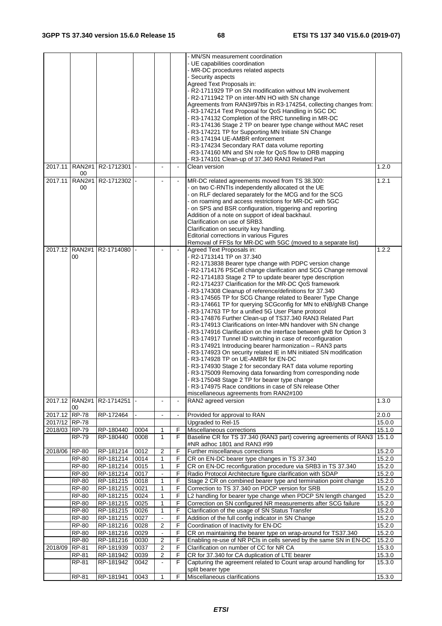| 2017.11       | <b>RAN2#1</b>                         | R2-1712301                  |              |                                | $\overline{a}$ | - MN/SN measurement coordination<br>- UE capabilities coordination<br>- MR-DC procedures related aspects<br>- Security aspects<br>Agreed Text Proposals in:<br>- R2-1711929 TP on SN modification without MN involvement<br>- R2-1711942 TP on inter-MN HO with SN change<br>Agreements from RAN3#97bis in R3-174254, collecting changes from:<br>- R3-174214 Text Proposal for QoS Handling in 5GC DC<br>- R3-174132 Completion of the RRC tunnelling in MR-DC<br>- R3-174136 Stage 2 TP on bearer type change without MAC reset<br>- R3-174221 TP for Supporting MN Initiate SN Change<br>- R3-174194 UE-AMBR enforcement<br>- R3-174234 Secondary RAT data volume reporting<br>-R3-174160 MN and SN role for QoS flow to DRB mapping<br>R3-174101 Clean-up of 37.340 RAN3 Related Part<br>Clean version                                                                                                                                                                                                                                                                                                                                                                                                                                                         | 1.2.0            |
|---------------|---------------------------------------|-----------------------------|--------------|--------------------------------|----------------|--------------------------------------------------------------------------------------------------------------------------------------------------------------------------------------------------------------------------------------------------------------------------------------------------------------------------------------------------------------------------------------------------------------------------------------------------------------------------------------------------------------------------------------------------------------------------------------------------------------------------------------------------------------------------------------------------------------------------------------------------------------------------------------------------------------------------------------------------------------------------------------------------------------------------------------------------------------------------------------------------------------------------------------------------------------------------------------------------------------------------------------------------------------------------------------------------------------------------------------------------------------------|------------------|
|               | 00                                    |                             |              |                                |                |                                                                                                                                                                                                                                                                                                                                                                                                                                                                                                                                                                                                                                                                                                                                                                                                                                                                                                                                                                                                                                                                                                                                                                                                                                                                    |                  |
| 2017.11       | <b>RAN2#1</b><br>00<br>2017.12 RAN2#1 | R2-1712302  -<br>R2-1714080 |              |                                |                | MR-DC related agreements moved from TS 38.300:<br>- on two C-RNTIs independently allocated ot the UE<br>- on RLF declared separately for the MCG and for the SCG<br>- on roaming and access restrictions for MR-DC with 5GC<br>- on SPS and BSR configuration, triggering and reporting<br>Addition of a note on support of ideal backhaul.<br>Clarification on use of SRB3.<br>Clarification on security key handling.<br>Editorial corrections in various Figures<br>Removal of FFSs for MR-DC with 5GC (moved to a separate list)<br>Agreed Text Proposals in:                                                                                                                                                                                                                                                                                                                                                                                                                                                                                                                                                                                                                                                                                                  | 1.2.1<br>1.2.2   |
|               | 00                                    |                             |              |                                |                | - R2-1713141 TP on 37.340<br>- R2-1713838 Bearer type change with PDPC version change<br>- R2-1714176 PSCell change clarification and SCG Change removal<br>- R2-1714183 Stage 2 TP to update bearer type description<br>R2-1714237 Clarification for the MR-DC QoS framework<br>- R3-174308 Cleanup of reference/definitions for 37.340<br>- R3-174565 TP for SCG Change related to Bearer Type Change<br>- R3-174661 TP for querying SCGconfig for MN to eNB/gNB Change<br>- R3-174763 TP for a unified 5G User Plane protocol<br>- R3-174876 Further Clean-up of TS37.340 RAN3 Related Part<br>- R3-174913 Clarifications on Inter-MN handover with SN change<br>- R3-174916 Clarification on the interface between gNB for Option 3<br>- R3-174917 Tunnel ID switching in case of reconfiguration<br>- R3-174921 Introducing bearer harmonization - RAN3 parts<br>- R3-174923 On security related IE in MN initiated SN modification<br>- R3-174928 TP on UE-AMBR for EN-DC<br>- R3-174930 Stage 2 for secondary RAT data volume reporting<br>R3-175009 Removing data forwarding from corresponding node<br>- R3-175048 Stage 2 TP for bearer type change<br>- R3-174975 Race conditions in case of SN release Other<br>miscellaneous agreements from RAN2#100 |                  |
|               | 00                                    | 2017.12 RAN2#1 R2-1714251   |              |                                | $\blacksquare$ | RAN2 agreed version                                                                                                                                                                                                                                                                                                                                                                                                                                                                                                                                                                                                                                                                                                                                                                                                                                                                                                                                                                                                                                                                                                                                                                                                                                                | 1.3.0            |
| 2017.12 RP-78 |                                       | RP-172464                   |              | $\blacksquare$                 | $\blacksquare$ | Provided for approval to RAN                                                                                                                                                                                                                                                                                                                                                                                                                                                                                                                                                                                                                                                                                                                                                                                                                                                                                                                                                                                                                                                                                                                                                                                                                                       | 2.0.0            |
| 2017/12 RP-78 |                                       |                             |              |                                |                | Upgraded to Rel-15                                                                                                                                                                                                                                                                                                                                                                                                                                                                                                                                                                                                                                                                                                                                                                                                                                                                                                                                                                                                                                                                                                                                                                                                                                                 | 15.0.0           |
| 2018/03 RP-79 |                                       | RP-180440                   | 0004         | 1                              | F              | Miscellaneous corrections                                                                                                                                                                                                                                                                                                                                                                                                                                                                                                                                                                                                                                                                                                                                                                                                                                                                                                                                                                                                                                                                                                                                                                                                                                          | 15.1.0           |
| 2018/06 RP-80 | <b>RP-79</b>                          | RP-180440<br>RP-181214      | 0008<br>0012 | $\mathbf{1}$<br>$\overline{2}$ | F<br>F         | Baseline CR for TS 37.340 (RAN3 part) covering agreements of RAN3<br>#NR adhoc 1801 and RAN3 #99<br>Further miscellaneus corrections                                                                                                                                                                                                                                                                                                                                                                                                                                                                                                                                                                                                                                                                                                                                                                                                                                                                                                                                                                                                                                                                                                                               | 15.1.0<br>15.2.0 |
|               | RP-80                                 | RP-181214                   | 0014         | 1                              | F              | CR on EN-DC bearer type changes in TS 37.340                                                                                                                                                                                                                                                                                                                                                                                                                                                                                                                                                                                                                                                                                                                                                                                                                                                                                                                                                                                                                                                                                                                                                                                                                       | 15.2.0           |
|               | <b>RP-80</b>                          | RP-181214                   | 0015         | 1                              | F              | CR on EN-DC reconfiguration procedure via SRB3 in TS 37.340                                                                                                                                                                                                                                                                                                                                                                                                                                                                                                                                                                                                                                                                                                                                                                                                                                                                                                                                                                                                                                                                                                                                                                                                        | 15.2.0           |
|               | RP-80                                 | RP-181214                   | 0017         | $\blacksquare$                 | F              | Radio Protocol Architecture figure clarification with SDAP                                                                                                                                                                                                                                                                                                                                                                                                                                                                                                                                                                                                                                                                                                                                                                                                                                                                                                                                                                                                                                                                                                                                                                                                         | 15.2.0           |
|               | RP-80                                 | RP-181215                   | 0018         | 1                              | F              | Stage 2 CR on combined bearer type and termination point change                                                                                                                                                                                                                                                                                                                                                                                                                                                                                                                                                                                                                                                                                                                                                                                                                                                                                                                                                                                                                                                                                                                                                                                                    | 15.2.0           |
|               | <b>RP-80</b>                          | RP-181215                   | 0021         | 1                              | F              | Correction to TS 37.340 on PDCP version for SRB                                                                                                                                                                                                                                                                                                                                                                                                                                                                                                                                                                                                                                                                                                                                                                                                                                                                                                                                                                                                                                                                                                                                                                                                                    | 15.2.0           |
|               | <b>RP-80</b>                          | RP-181215                   | 0024         | $\mathbf{1}$                   | F              | L2 handling for bearer type change when PDCP SN length changed                                                                                                                                                                                                                                                                                                                                                                                                                                                                                                                                                                                                                                                                                                                                                                                                                                                                                                                                                                                                                                                                                                                                                                                                     | 15.2.0           |
|               | <b>RP-80</b>                          | RP-181215                   | 0025         | 1                              | F              | Correction on SN configured NR measurements after SCG failure                                                                                                                                                                                                                                                                                                                                                                                                                                                                                                                                                                                                                                                                                                                                                                                                                                                                                                                                                                                                                                                                                                                                                                                                      | 15.2.0           |
|               | <b>RP-80</b>                          | RP-181215                   | 0026         | 1                              | F              | Clarification of the usage of SN Status Transfer                                                                                                                                                                                                                                                                                                                                                                                                                                                                                                                                                                                                                                                                                                                                                                                                                                                                                                                                                                                                                                                                                                                                                                                                                   | 15.2.0           |
|               | <b>RP-80</b>                          | RP-181215                   | 0027         | $\blacksquare$                 | F              | Addition of the full config indicator in SN Change                                                                                                                                                                                                                                                                                                                                                                                                                                                                                                                                                                                                                                                                                                                                                                                                                                                                                                                                                                                                                                                                                                                                                                                                                 | 15.2.0           |
|               | <b>RP-80</b>                          | RP-181216                   | 0028         | $\overline{c}$                 | F              | Coordination of Inactivity for EN-DC                                                                                                                                                                                                                                                                                                                                                                                                                                                                                                                                                                                                                                                                                                                                                                                                                                                                                                                                                                                                                                                                                                                                                                                                                               | 15.2.0           |
|               | <b>RP-80</b>                          | RP-181216                   | 0029         |                                | F              | CR on maintaining the bearer type on wrap-around for TS37.340                                                                                                                                                                                                                                                                                                                                                                                                                                                                                                                                                                                                                                                                                                                                                                                                                                                                                                                                                                                                                                                                                                                                                                                                      | 15.2.0           |
|               | $RP-80$                               | RP-181216                   | 0030         | $\overline{c}$                 | F              | Enabling re-use of NR PCIs in cells served by the same SN in EN-DC                                                                                                                                                                                                                                                                                                                                                                                                                                                                                                                                                                                                                                                                                                                                                                                                                                                                                                                                                                                                                                                                                                                                                                                                 | 15.2.0           |
| 2018/09       | RP-81                                 | RP-181939                   | 0037         | 2                              | F              | Clarification on number of CC for NR CA                                                                                                                                                                                                                                                                                                                                                                                                                                                                                                                                                                                                                                                                                                                                                                                                                                                                                                                                                                                                                                                                                                                                                                                                                            | 15.3.0           |
|               | RP-81                                 | RP-181942                   | 0039         | 2                              | F              | CR for 37.340 for CA duplication of LTE bearer                                                                                                                                                                                                                                                                                                                                                                                                                                                                                                                                                                                                                                                                                                                                                                                                                                                                                                                                                                                                                                                                                                                                                                                                                     | 15.3.0           |
|               | RP-81                                 | RP-181942                   | 0042         |                                | F              | Capturing the agreement related to Count wrap around handling for                                                                                                                                                                                                                                                                                                                                                                                                                                                                                                                                                                                                                                                                                                                                                                                                                                                                                                                                                                                                                                                                                                                                                                                                  | 15.3.0           |
|               | RP-81                                 | RP-181941                   | 0043         | $\mathbf{1}$                   | F              | split bearer type<br>Miscellaneous clarifications                                                                                                                                                                                                                                                                                                                                                                                                                                                                                                                                                                                                                                                                                                                                                                                                                                                                                                                                                                                                                                                                                                                                                                                                                  | 15.3.0           |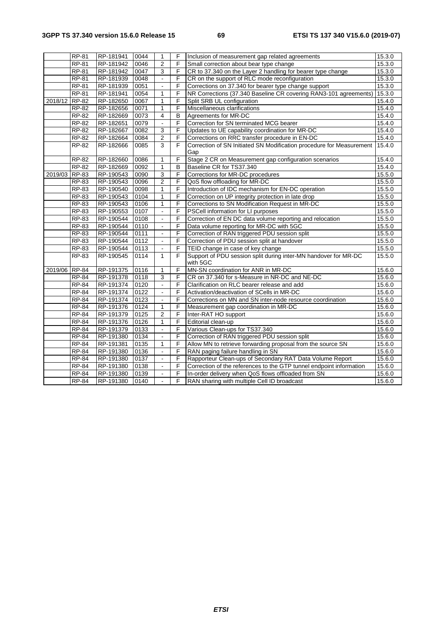|               | <b>RP-81</b> | RP-181941 | 0044 | 1              | F              | Inclusion of measurement gap related agreements                      | 15.3.0 |
|---------------|--------------|-----------|------|----------------|----------------|----------------------------------------------------------------------|--------|
|               | <b>RP-81</b> | RP-181942 | 0046 | 2              | $\overline{F}$ | Small correction about bear type change                              | 15.3.0 |
|               | <b>RP-81</b> | RP-181942 | 0047 | $\overline{3}$ | F              | CR to 37.340 on the Layer 2 handling for bearer type change          | 15.3.0 |
|               | <b>RP-81</b> | RP-181939 | 0048 | $\blacksquare$ | F              | CR on the support of RLC mode reconfiguration                        | 15.3.0 |
|               | <b>RP-81</b> | RP-181939 | 0051 |                | F              | Corrections on 37.340 for bearer type change support                 | 15.3.0 |
|               | <b>RP-81</b> | RP-181941 | 0054 | $\mathbf{1}$   | F              | NR Corrections (37.340 Baseline CR covering RAN3-101 agreements)     | 15.3.0 |
| 2018/12       | <b>RP-82</b> | RP-182650 | 0067 | 1              | F              | Split SRB UL configuration                                           | 15.4.0 |
|               | RP-82        | RP-182656 | 0071 | 1              | F              | Miscellaneous clarifications                                         | 15.4.0 |
|               | RP-82        | RP-182669 | 0073 | $\overline{4}$ | B              | Agreements for MR-DC                                                 | 15.4.0 |
|               | RP-82        | RP-182651 | 0079 |                | F              | Correction for SN terminated MCG bearer                              | 15.4.0 |
|               | <b>RP-82</b> | RP-182667 | 0082 | 3              | F              | Updates to UE capability coordination for MR-DC                      | 15.4.0 |
|               | RP-82        | RP-182664 | 0084 | $\overline{2}$ | F              | Corrections on RRC transfer procedure in EN-DC                       | 15.4.0 |
|               | RP-82        | RP-182666 | 0085 | 3              | F              | Correction of SN Initiated SN Modification procedure for Measurement | 15.4.0 |
|               |              |           |      |                |                | Gap                                                                  |        |
|               | RP-82        | RP-182660 | 0086 | 1              | F              | Stage 2 CR on Measurement gap configuration scenarios                | 15.4.0 |
|               | <b>RP-82</b> | RP-182669 | 0092 | $\mathbf{1}$   | B              | Baseline CR for TS37.340                                             | 15.4.0 |
| 2019/03       | RP-83        | RP-190543 | 0090 | 3              | F              | Corrections for MR-DC procedures                                     | 15.5.0 |
|               | RP-83        | RP-190543 | 0096 | $\overline{2}$ | F              | QoS flow offloading for MR-DC                                        | 15.5.0 |
|               | RP-83        | RP-190540 | 0098 | $\mathbf{1}$   | $\overline{F}$ | Introduction of IDC mechanism for EN-DC operation                    | 15.5.0 |
|               | RP-83        | RP-190543 | 0104 | $\mathbf{1}$   | F              | Correction on UP integrity protection in late drop                   | 15.5.0 |
|               | RP-83        | RP-190543 | 0106 | $\mathbf{1}$   | F              | Corrections to SN Modification Request in MR-DC                      | 15.5.0 |
|               | RP-83        | RP-190553 | 0107 | $\blacksquare$ | F              | PSCell information for LI purposes                                   | 15.5.0 |
|               | RP-83        | RP-190544 | 0108 | ä,             | F              | Correction of EN DC data volume reporting and relocation             | 15.5.0 |
|               | RP-83        | RP-190544 | 0110 | ä,             | F              | Data volume reporting for MR-DC with 5GC                             | 15.5.0 |
|               | RP-83        | RP-190544 | 0111 | $\blacksquare$ | F              | Correction of RAN triggered PDU session split                        | 15.5.0 |
|               | <b>RP-83</b> | RP-190544 | 0112 | $\blacksquare$ | $\overline{F}$ | Correction of PDU session split at handover                          | 15.5.0 |
|               | RP-83        | RP-190544 | 0113 | $\blacksquare$ | F              | TEID change in case of key change                                    | 15.5.0 |
|               | RP-83        | RP-190545 | 0114 | $\mathbf{1}$   | $\overline{F}$ | Support of PDU session split during inter-MN handover for MR-DC      | 15.5.0 |
|               |              |           |      |                |                | with 5GC                                                             |        |
| 2019/06 RP-84 |              | RP-191375 | 0116 | 1              | F              | MN-SN coordination for ANR in MR-DC                                  | 15.6.0 |
|               | <b>RP-84</b> | RP-191378 | 0118 | 3              | F              | CR on 37.340 for s-Measure in NR-DC and NE-DC                        | 15.6.0 |
|               | <b>RP-84</b> | RP-191374 | 0120 | ÷.             | F              | Clarification on RLC bearer release and add                          | 15.6.0 |
|               | <b>RP-84</b> | RP-191374 | 0122 | $\blacksquare$ | F              | Activation/deactivation of SCells in MR-DC                           | 15.6.0 |
|               | <b>RP-84</b> | RP-191374 | 0123 |                | F              | Corrections on MN and SN inter-node resource coordination            | 15.6.0 |
|               | $RP-84$      | RP-191376 | 0124 | $\mathbf{1}$   | F              | Measurement gap coordination in MR-DC                                | 15.6.0 |
|               | <b>RP-84</b> | RP-191379 | 0125 | $\overline{2}$ | F              | Inter-RAT HO support                                                 | 15.6.0 |
|               | <b>RP-84</b> | RP-191376 | 0126 | $\mathbf{1}$   | F              | Editorial clean-up                                                   | 15.6.0 |
|               | $RP-84$      | RP-191379 | 0133 | $\blacksquare$ | F              | Various Clean-ups for TS37.340                                       | 15.6.0 |
|               | <b>RP-84</b> | RP-191380 | 0134 | $\blacksquare$ | F              | Correction of RAN triggered PDU session split                        | 15.6.0 |
|               | <b>RP-84</b> | RP-191381 | 0135 | $\mathbf{1}$   | F              | Allow MN to retrieve forwarding proposal from the source SN          | 15.6.0 |
|               | RP-84        | RP-191380 | 0136 | $\blacksquare$ | F              | RAN paging failure handling in SN                                    | 15.6.0 |
|               | <b>RP-84</b> | RP-191380 | 0137 | $\blacksquare$ | $\mathsf F$    | Rapporteur Clean-ups of Secondary RAT Data Volume Report             | 15.6.0 |
|               | RP-84        | RP-191380 | 0138 | $\blacksquare$ | F              | Correction of the references to the GTP tunnel endpoint information  | 15.6.0 |
|               | $RP-84$      | RP-191380 | 0139 | $\blacksquare$ | F              | In-order delivery when QoS flows offloaded from SN                   | 15.6.0 |
|               | <b>RP-84</b> | RP-191380 | 0140 |                | F              | RAN sharing with multiple Cell ID broadcast                          | 15.6.0 |
|               |              |           |      |                |                |                                                                      |        |